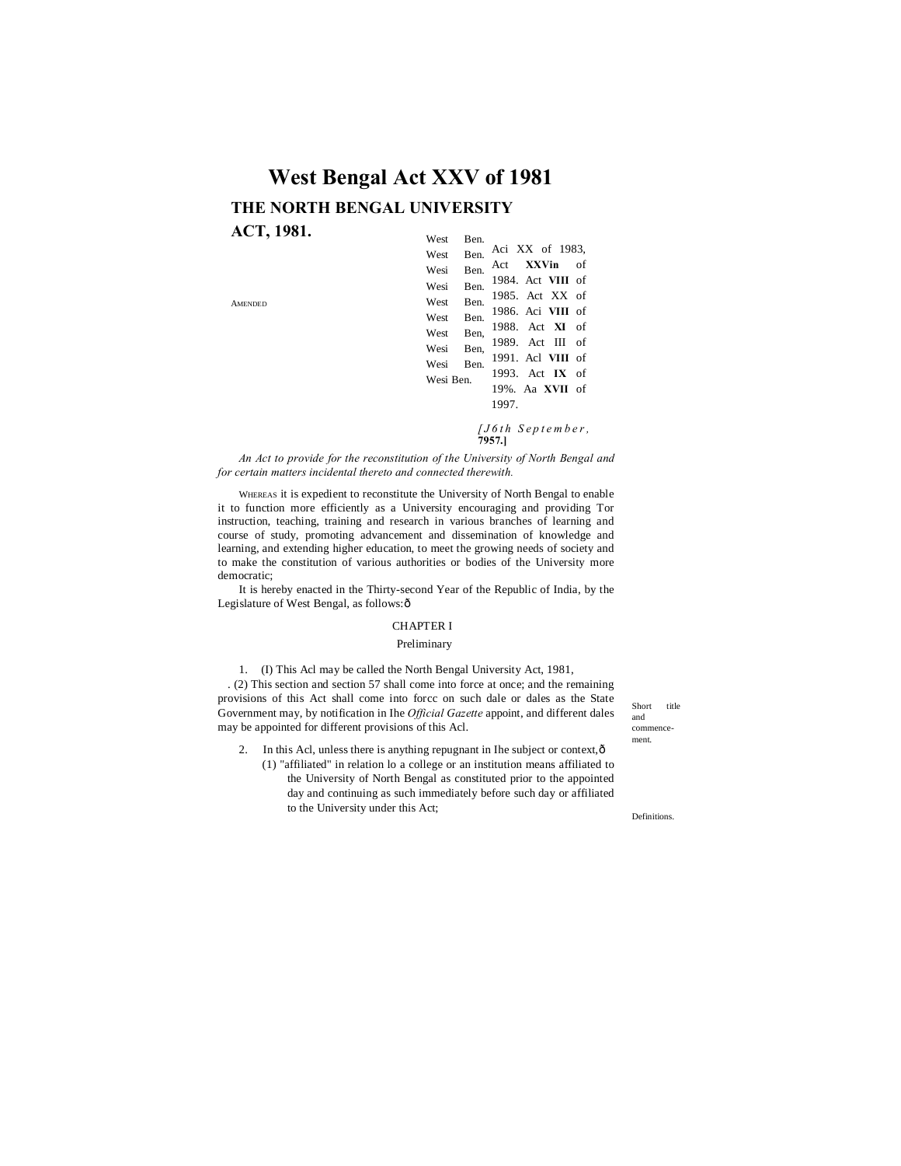# West Ben. **West Bengal Act XXV of 1981 THE NORTH BENGAL UNIVERSITY ACT, 1981.**

AMENDED

| w est<br>вeп.      |                            |
|--------------------|----------------------------|
| Ben.<br>West       | Aci XX of 1983,            |
| <b>Ben</b><br>Wesi | Act XXVin of               |
| Ben.<br>Wesi       | 1984. Act VIII of          |
| <b>Ben</b><br>West | 1985. Act XX of            |
| Ben.<br>West       | 1986. Aci VIII of          |
| West Ben.          | 1988. Act XI of            |
| Wesi Ben.          | 1989. Act III of           |
| Wesi Ben.          | 1991. Acl VIII of          |
| Wesi Ben           | 1993. Act $\mathbf{IX}$ of |
|                    | 19%. Aa XVII of            |
|                    | 1997.                      |
|                    |                            |

*[ J 6 t h S e p t e m b e r ,* **7957.]**

*An Act to provide for the reconstitution of the University of North Bengal and for certain matters incidental thereto and connected therewith.*

WHEREAS it is expedient to reconstitute the University of North Bengal to enable it to function more efficiently as a University encouraging and providing Tor instruction, teaching, training and research in various branches of learning and course of study, promoting advancement and dissemination of knowledge and learning, and extending higher education, to meet the growing needs of society and to make the constitution of various authorities or bodies of the University more democratic;

It is hereby enacted in the Thirty-second Year of the Republic of India, by the Legislature of West Bengal, as follows: ô

#### CHAPTER I

#### Preliminary

1. (I) This Acl may be called the North Bengal University Act, 1981,

. (2) This section and section 57 shall come into force at once; and the remaining provisions of this Act shall come into forcc on such dale or dales as the State Government may, by notification in Ihe *Official Gazette* appoint, and different dales may be appointed for different provisions of this Acl.

2. In this Acl, unless there is anything repugnant in Ihe subject or context, $\hat{o}$ (1) "affiliated" in relation lo a college or an institution means affiliated to the University of North Bengal as constituted prior to the appointed day and continuing as such immediately before such day or affiliated to the University under this Act;

Short title and commencement.

Definitions.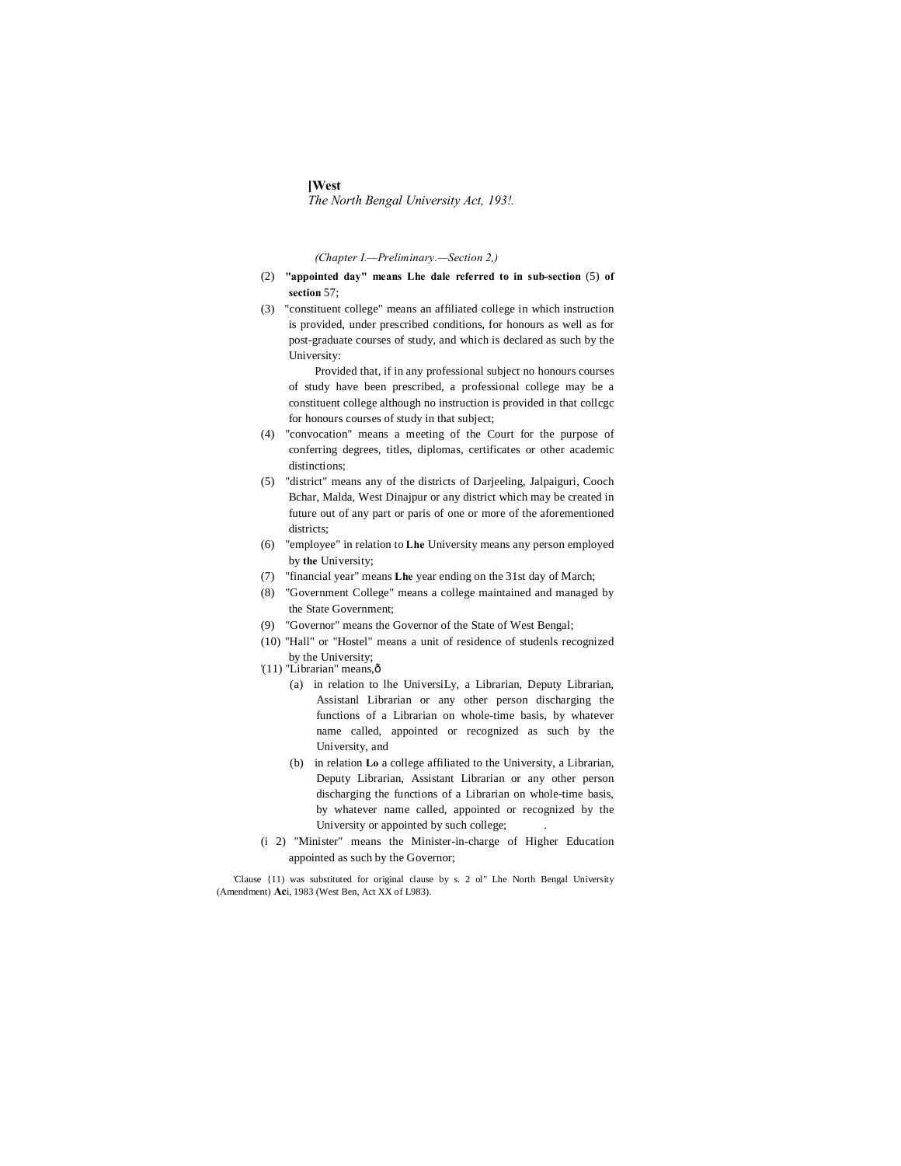#### **[West**

*The North Bengal University Act, 193!.*

*(Chapter I.—Preliminary.—Section 2,)*

- (2) **"appointed day" means Lhe dale referred to in sub-section** (5) **of section** 57;
- (3) "constituent college" means an affiliated college in which instruction is provided, under prescribed conditions, for honours as well as for post-graduate courses of study, and which is declared as such by the University:

Provided that, if in any professional subject no honours courses of study have been prescribed, a professional college may be a constituent college although no instruction is provided in that collcgc for honours courses of study in that subject;

- (4) "convocation" means a meeting of the Court for the purpose of conferring degrees, titles, diplomas, certificates or other academic distinctions;
- (5) "district" means any of the districts of Darjeeling, Jalpaiguri, Cooch Bchar, Malda, West Dinajpur or any district which may be created in future out of any part or paris of one or more of the aforementioned districts;
- (6) "employee" in relation to **Lhe** University means any person employed by **the** University;
- (7) "financial year" means **Lhe** year ending on the 31st day of March;
- (8) "Government College" means a college maintained and managed by the State Government;
- (9) "Governor" means the Governor of the State of West Bengal;
- (10) "Hall" or "Hostel" means a unit of residence of studenls recognized by the University;
- '(11) "Librarian" means,ô
	- (a) in relation to lhe UniversiLy, a Librarian, Deputy Librarian, Assistanl Librarian or any other person discharging the functions of a Librarian on whole-time basis, by whatever name called, appointed or recognized as such by the University, and
	- (b) in relation **Lo** a college affiliated to the University, a Librarian, Deputy Librarian, Assistant Librarian or any other person discharging the functions of a Librarian on whole-time basis, by whatever name called, appointed or recognized by the University or appointed by such college;
- (i 2) "Minister" means the Minister-in-charge of Higher Education appointed as such by the Governor;

'Clause {11) was substituted for original clause by s. 2 ol" Lhe North Bengal University (Amendment) **Ac**i, 1983 (West Ben, Act XX of L983).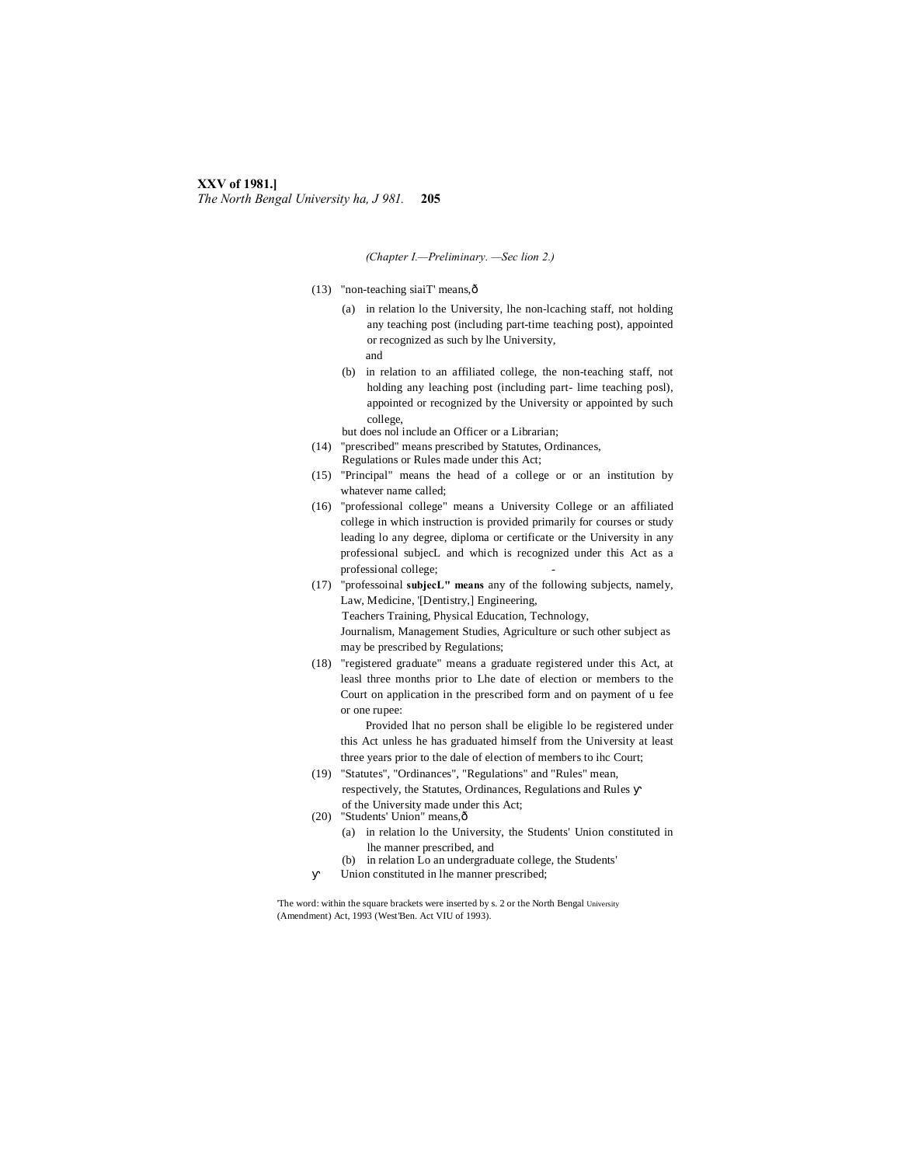# **XXV of 1981.]** *The North Bengal University ha, J 981.* **205**

*(Chapter I.—Preliminary. —Sec lion 2.)*

- (13) "non-teaching siaiT' means,—
	- (a) in relation lo the University, lhe non-lcaching staff, not holding any teaching post (including part-time teaching post), appointed or recognized as such by lhe University, and
	- (b) in relation to an affiliated college, the non-teaching staff, not holding any leaching post (including part- lime teaching posl), appointed or recognized by the University or appointed by such college,
	- but does nol include an Officer or a Librarian;
- (14) "prescribed" means prescribed by Statutes, Ordinances, Regulations or Rules made under this Act;
- (15) "Principal" means the head of a college or or an institution by whatever name called;
- (16) "professional college" means a University College or an affiliated college in which instruction is provided primarily for courses or study leading lo any degree, diploma or certificate or the University in any professional subjecL and which is recognized under this Act as a professional college;
- (17) "professoinal **subjecL" means** any of the following subjects, namely, Law, Medicine, '[Dentistry,] Engineering, Teachers Training, Physical Education, Technology, Journalism, Management Studies, Agriculture or such other subject as may be prescribed by Regulations;
- (18) "registered graduate" means a graduate registered under this Act, at leasl three months prior to Lhe date of election or members to the Court on application in the prescribed form and on payment of u fee or one rupee:
	- Provided lhat no person shall be eligible lo be registered under this Act unless he has graduated himself from the University at least three years prior to the dale of election of members to ihc Court;
- (19) "Statutes", "Ordinances", "Regulations" and "Rules" mean, respectively, the Statutes, Ordinances, Regulations and Rules
- of the University made under this Act; (20) "Students' Union" means, ô
	- (a) in relation lo the University, the Students' Union constituted in lhe manner prescribed, and
	- (b) in relation Lo an undergraduate college, the Students'
	- Union constituted in lhe manner prescribed;

'The word: within the square brackets were inserted by s. 2 or the North Bengal University (Amendment) Act, 1993 (West'Ben. Act VIU of 1993).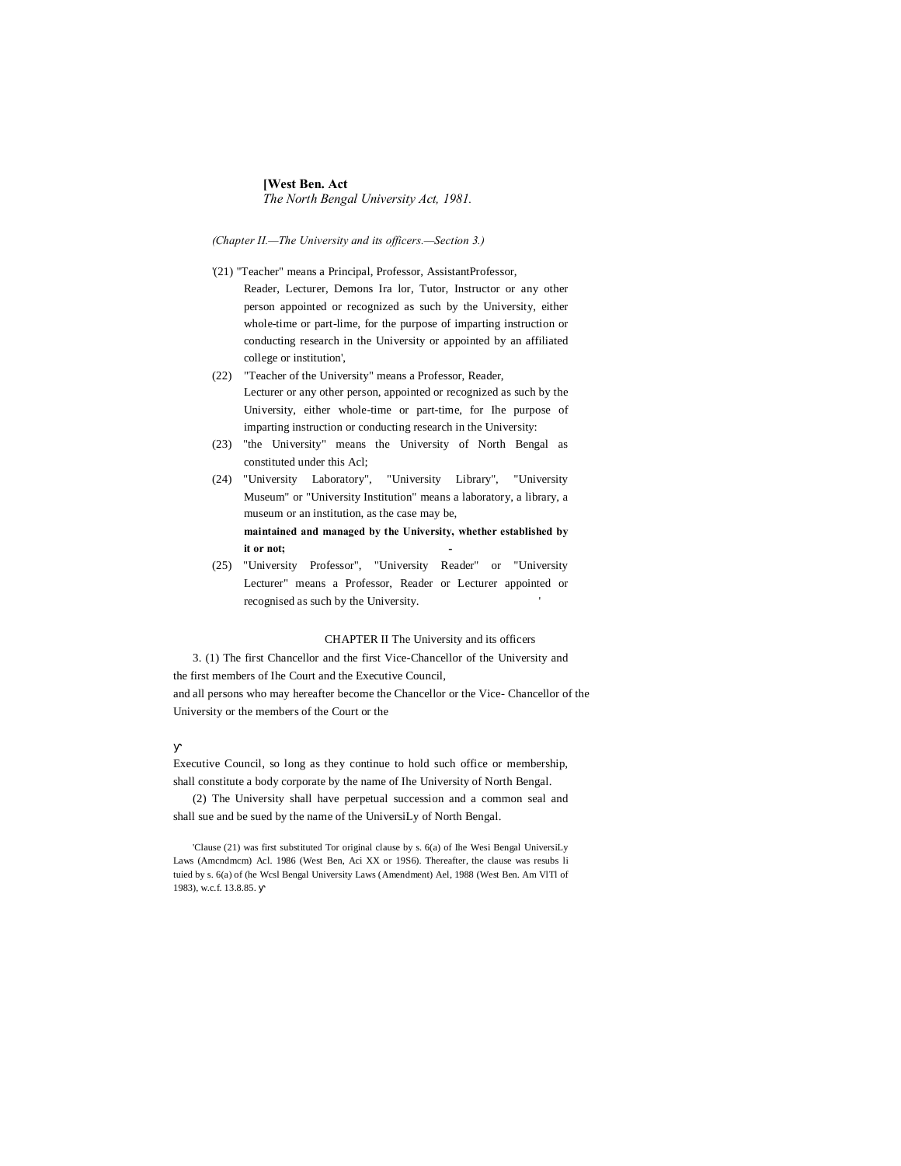# **[West Ben. Act** *The North Bengal University Act, 1981.*

*(Chapter II.—The University and its officers.—Section 3.)*

- '(21) "Teacher" means a Principal, Professor, AssistantProfessor, Reader, Lecturer, Demons Ira lor, Tutor, Instructor or any other person appointed or recognized as such by the University, either whole-time or part-lime, for the purpose of imparting instruction or conducting research in the University or appointed by an affiliated college or institution',
- (22) "Teacher of the University" means a Professor, Reader, Lecturer or any other person, appointed or recognized as such by the University, either whole-time or part-time, for Ihe purpose of imparting instruction or conducting research in the University:
- (23) "the University" means the University of North Bengal as constituted under this Acl;
- (24) "University Laboratory", "University Library", "University Museum" or "University Institution" means a laboratory, a library, a museum or an institution, as the case may be, **maintained and managed by the University, whether established by it or not; -**
- (25) "University Professor", "University Reader" or "University Lecturer" means a Professor, Reader or Lecturer appointed or recognised as such by the University. '

### CHAPTER II The University and its officers

3. (1) The first Chancellor and the first Vice-Chancellor of the University and the first members of Ihe Court and the Executive Council,

and all persons who may hereafter become the Chancellor or the Vice- Chancellor of the University or the members of the Court or the

Executive Council, so long as they continue to hold such office or membership, shall constitute a body corporate by the name of Ihe University of North Bengal.

(2) The University shall have perpetual succession and a common seal and shall sue and be sued by the name of the UniversiLy of North Bengal.

'Clause (21) was first substituted Tor original clause by s. 6(a) of Ihe Wesi Bengal UniversiLy Laws (Amcndmcm) Acl. 1986 (West Ben, Aci XX or 19S6). Thereafter, the clause was resubs li tuied by s. 6(a) of (he Wcsl Bengal University Laws (Amendment) Ael, 1988 (West Ben. Am VlTl of 1983), w.c.f. 13.8.85.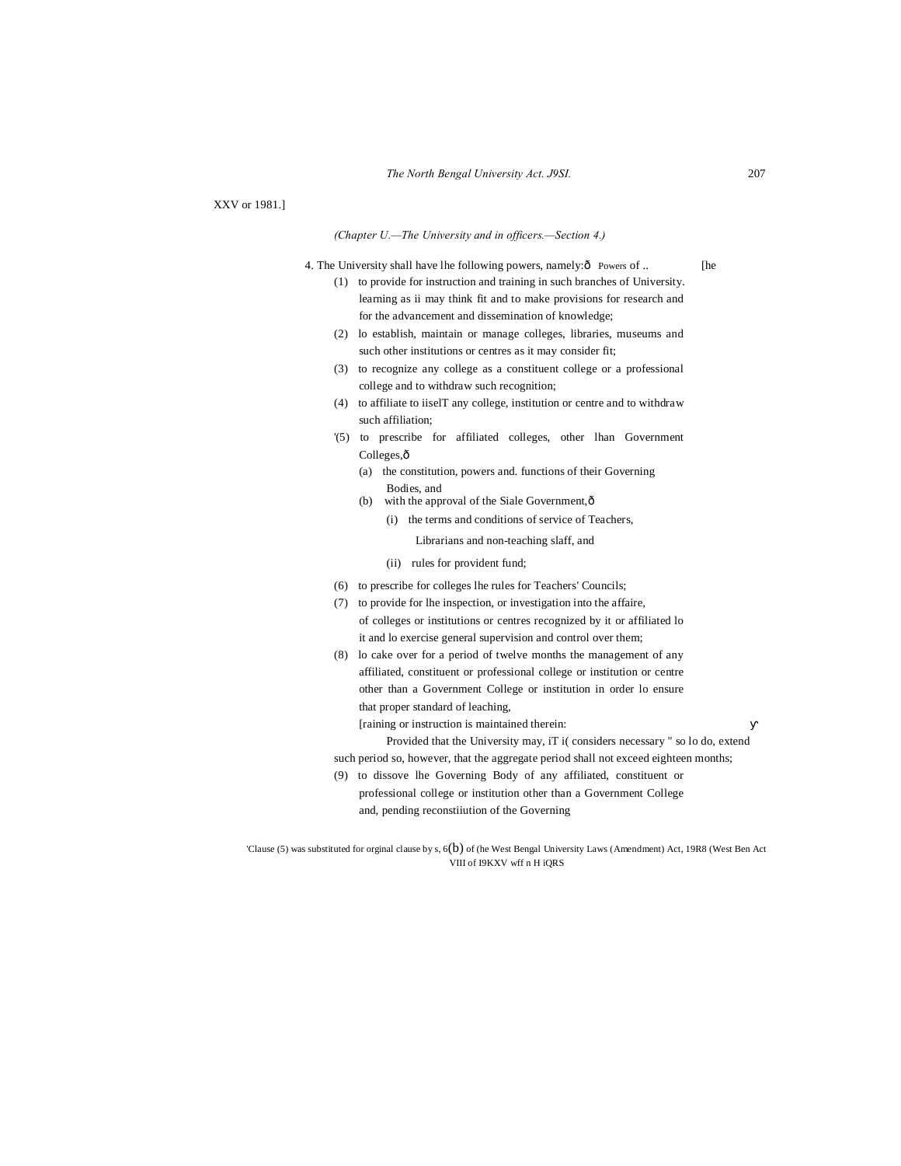XXV or 1981.]

#### *(Chapter U.—The University and in officers.—Section 4.)*

4. The University shall have lhe following powers, namely: $\hat{o}$  Powers of .. [he

- (1) to provide for instruction and training in such branches of University. learning as ii may think fit and to make provisions for research and for the advancement and dissemination of knowledge;
- (2) lo establish, maintain or manage colleges, libraries, museums and such other institutions or centres as it may consider fit;
- (3) to recognize any college as a constituent college or a professional college and to withdraw such recognition;
- (4) to affiliate to iiselT any college, institution or centre and to withdraw such affiliation;
- '(5) to prescribe for affiliated colleges, other lhan Government Colleges, $\hat{o}$ 
	- (a) the constitution, powers and. functions of their Governing Bodies, and
	- (b) with the approval of the Siale Government, $\hat{o}$ 
		- (i) the terms and conditions of service of Teachers,

Librarians and non-teaching slaff, and

- (ii) rules for provident fund;
- (6) to prescribe for colleges lhe rules for Teachers' Councils;
- (7) to provide for lhe inspection, or investigation into the affaire, of colleges or institutions or centres recognized by it or affiliated lo it and lo exercise general supervision and control over them;
- (8) lo cake over for a period of twelve months the management of any affiliated, constituent or professional college or institution or centre other than a Government College or institution in order lo ensure that proper standard of leaching,
	- [raining or instruction is maintained therein:
	- Provided that the University may, iT i( considers necessary " so lo do, extend
- such period so, however, that the aggregate period shall not exceed eighteen months;
- (9) to dissove lhe Governing Body of any affiliated, constituent or professional college or institution other than a Government College and, pending reconstiiution of the Governing

'Clause (5) was substituted for orginal clause by s, 6(b) of (he West Bengal University Laws (Amendment) Act, 19R8 (West Ben Act VIII of I9KXV wff n H iQRS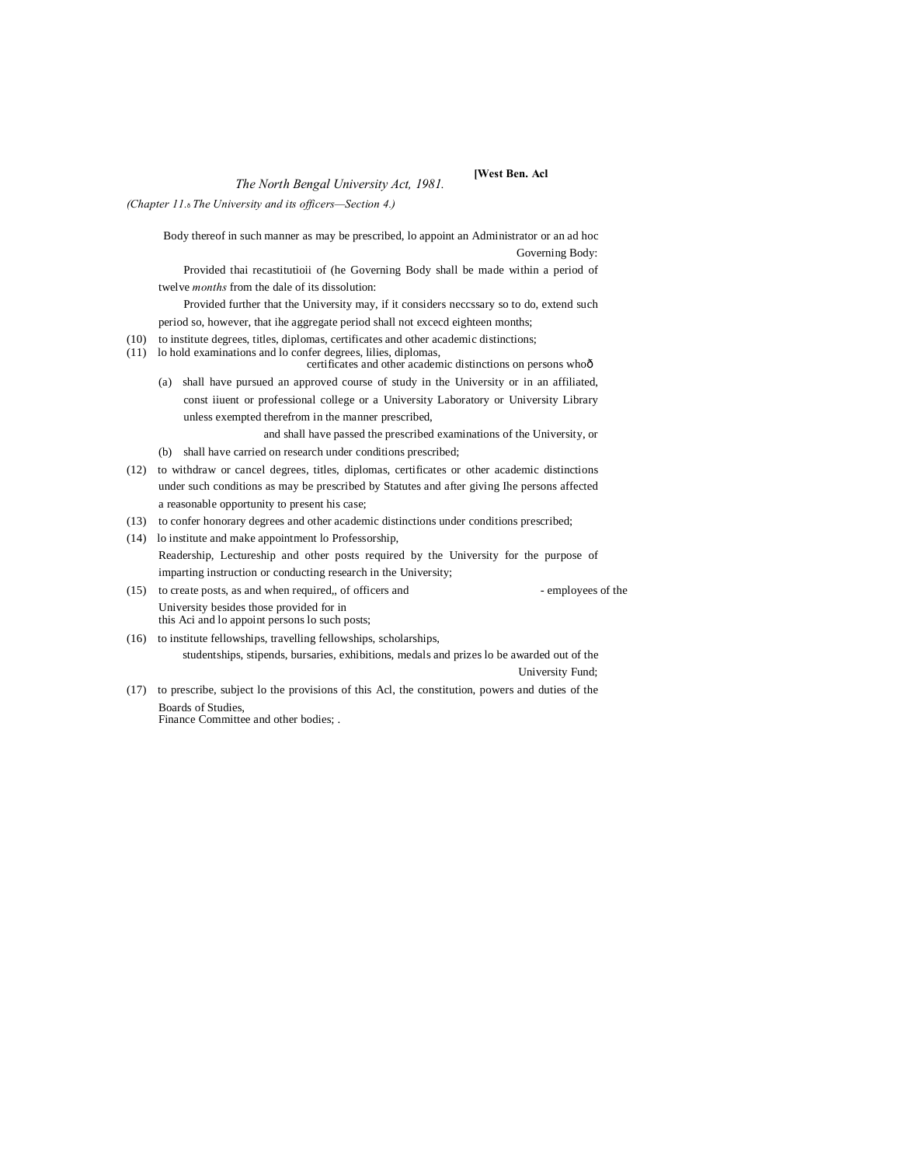# *The North Bengal University Act, 1981.* **[West Ben. Acl**

*(Chapter 11.*—*The University and its officers—Section 4.)*

Body thereof in such manner as may be prescribed, lo appoint an Administrator or an ad hoc Governing Body:

Provided thai recastitutioii of (he Governing Body shall be made within a period of twelve *months* from the dale of its dissolution:

Provided further that the University may, if it considers neccssary so to do, extend such

period so, however, that ihe aggregate period shall not excecd eighteen months;

- (10) to institute degrees, titles, diplomas, certificates and other academic distinctions;
- (11) lo hold examinations and lo confer degrees, lilies, diplomas, certificates and other academic distinctions on persons whoô
	- (a) shall have pursued an approved course of study in the University or in an affiliated, const iiuent or professional college or a University Laboratory or University Library

unless exempted therefrom in the manner prescribed,

and shall have passed the prescribed examinations of the University, or (b) shall have carried on research under conditions prescribed;

- (12) to withdraw or cancel degrees, titles, diplomas, certificates or other academic distinctions under such conditions as may be prescribed by Statutes and after giving Ihe persons affected a reasonable opportunity to present his case;
- (13) to confer honorary degrees and other academic distinctions under conditions prescribed;
- (14) lo institute and make appointment lo Professorship, Readership, Lectureship and other posts required by the University for the purpose of imparting instruction or conducting research in the University;
- (15) to create posts, as and when required,, of officers and employees of the University besides those provided for in this Aci and lo appoint persons lo such posts;
- (16) to institute fellowships, travelling fellowships, scholarships, studentships, stipends, bursaries, exhibitions, medals and prizes lo be awarded out of the University Fund;
- (17) to prescribe, subject lo the provisions of this Acl, the constitution, powers and duties of the Boards of Studies,

Finance Committee and other bodies; .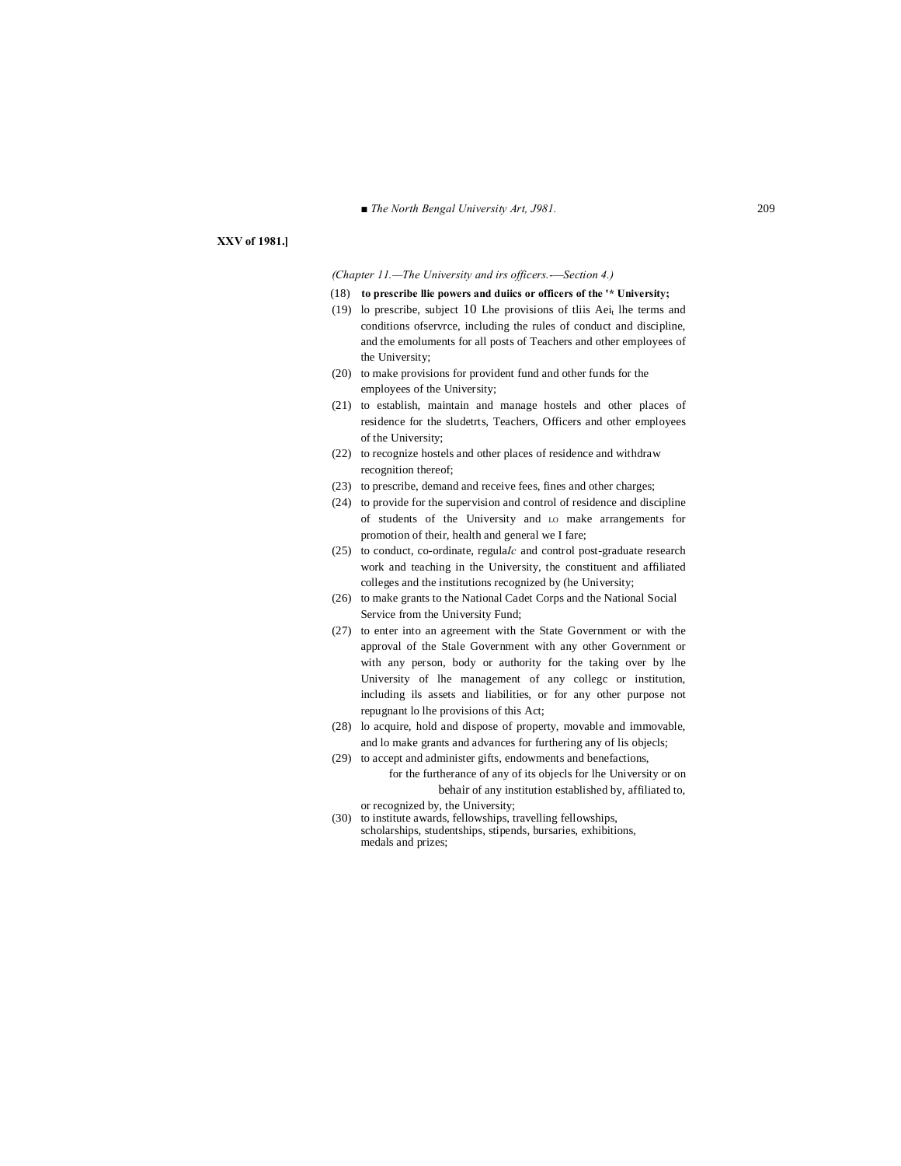■ *The North Bengal University Art, J981.* 209

# **XXV of 1981.]**

#### *(Chapter 11.—The University and irs officers.-—Section 4.)*

- (18) **to prescribe llie powers and duiics or officers of the '\* University;**
- (19) lo prescribe, subject 10 Lhe provisions of this Aei<sub>t</sub> lhe terms and conditions ofservrce, including the rules of conduct and discipline, and the emoluments for all posts of Teachers and other employees of the University;
- (20) to make provisions for provident fund and other funds for the employees of the University;
- (21) to establish, maintain and manage hostels and other places of residence for the sludetrts, Teachers, Officers and other employees of the University;
- (22) to recognize hostels and other places of residence and withdraw recognition thereof;
- (23) to prescribe, demand and receive fees, fines and other charges;
- (24) to provide for the supervision and control of residence and discipline of students of the University and LO make arrangements for promotion of their, health and general we I fare;
- (25) to conduct, co-ordinate, regula*Ic* and control post-graduate research work and teaching in the University, the constituent and affiliated colleges and the institutions recognized by (he University;
- (26) to make grants to the National Cadet Corps and the National Social Service from the University Fund;
- (27) to enter into an agreement with the State Government or with the approval of the Stale Government with any other Government or with any person, body or authority for the taking over by lhe University of lhe management of any collegc or institution, including ils assets and liabilities, or for any other purpose not repugnant lo lhe provisions of this Act;
- (28) lo acquire, hold and dispose of property, movable and immovable, and lo make grants and advances for furthering any of lis objecls;
- (29) to accept and administer gifts, endowments and benefactions, for the furtherance of any of its objecls for lhe University or on behair of any institution established by, affiliated to,
	- or recognized by, the University;
- (30) to institute awards, fellowships, travelling fellowships, scholarships, studentships, stipends, bursaries, exhibitions, medals and prizes;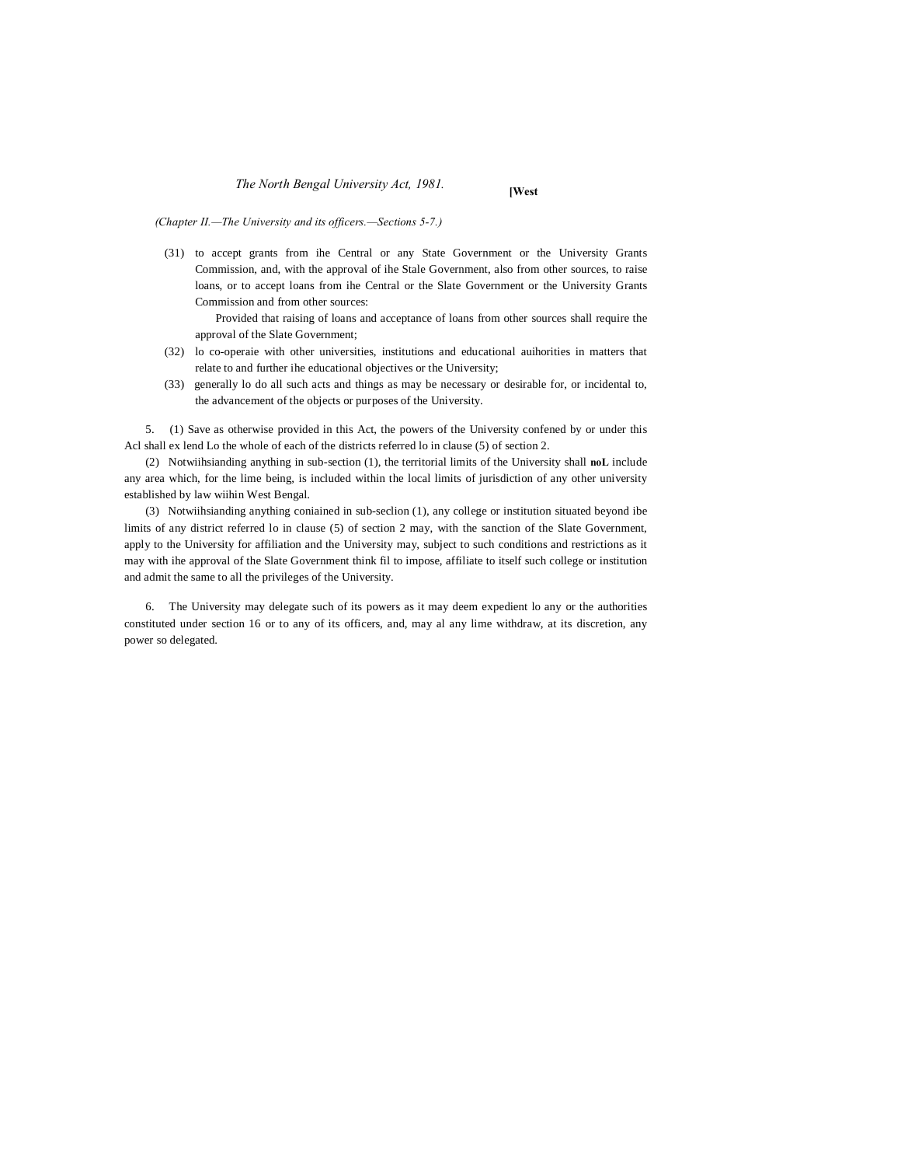# *The North Bengal University Act, 1981.* **[West**

*(Chapter II.—The University and its officers.—Sections 5-7.)*

(31) to accept grants from ihe Central or any State Government or the University Grants Commission, and, with the approval of ihe Stale Government, also from other sources, to raise loans, or to accept loans from ihe Central or the Slate Government or the University Grants Commission and from other sources:

Provided that raising of loans and acceptance of loans from other sources shall require the approval of the Slate Government;

- (32) lo co-operaie with other universities, institutions and educational auihorities in matters that relate to and further ihe educational objectives or the University;
- (33) generally lo do all such acts and things as may be necessary or desirable for, or incidental to, the advancement of the objects or purposes of the University.

5. (1) Save as otherwise provided in this Act, the powers of the University confened by or under this Acl shall ex lend Lo the whole of each of the districts referred lo in clause (5) of section 2.

(2) Notwiihsianding anything in sub-section (1), the territorial limits of the University shall **noL** include any area which, for the lime being, is included within the local limits of jurisdiction of any other university established by law wiihin West Bengal.

(3) Notwiihsianding anything coniained in sub-seclion (1), any college or institution situated beyond ibe limits of any district referred lo in clause (5) of section 2 may, with the sanction of the Slate Government, apply to the University for affiliation and the University may, subject to such conditions and restrictions as it may with ihe approval of the Slate Government think fil to impose, affiliate to itself such college or institution and admit the same to all the privileges of the University.

6. The University may delegate such of its powers as it may deem expedient lo any or the authorities constituted under section 16 or to any of its officers, and, may al any lime withdraw, at its discretion, any power so delegated.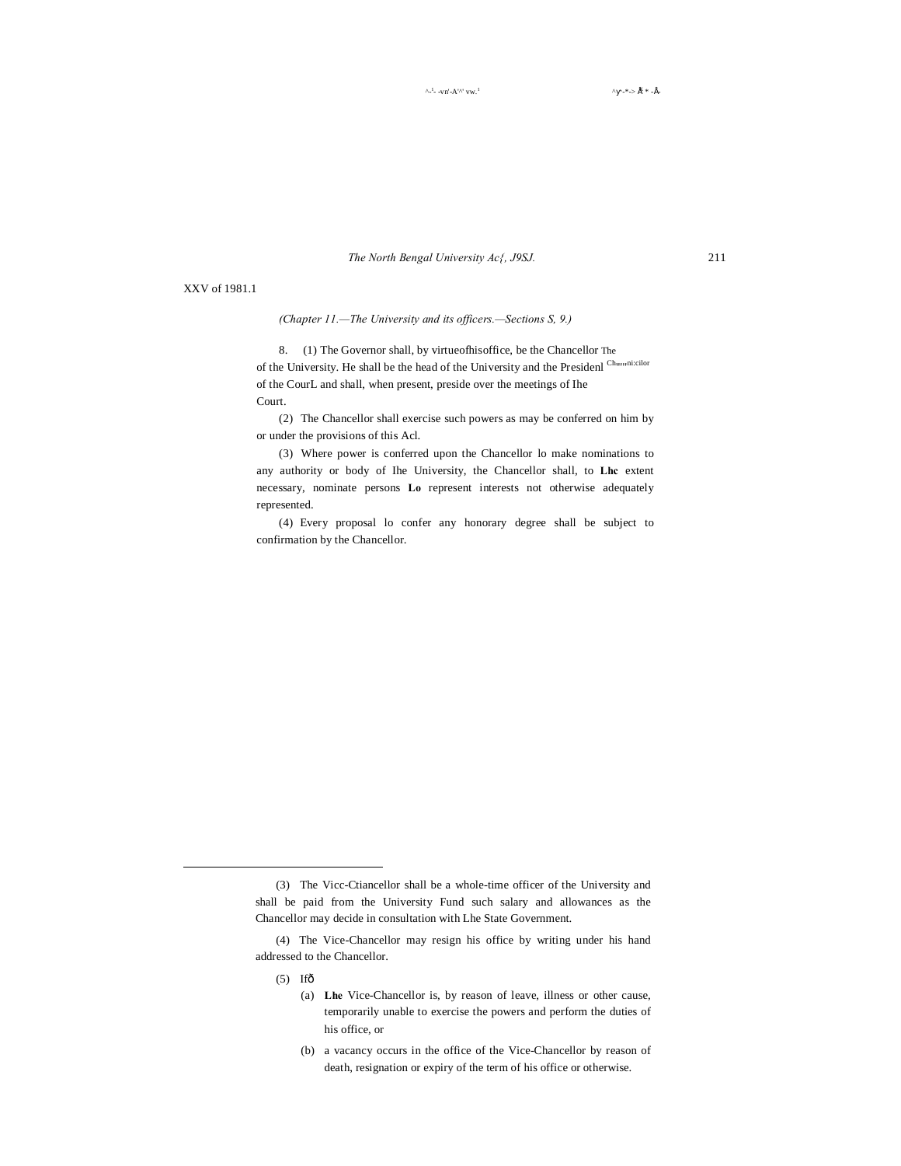*The North Bengal University Ac{, J9SJ.* 211

XXV of 1981.1

*(Chapter 11.—The University and its officers.—Sections S, 9.)*

8. (1) The Governor shall, by virtueofhisoffice, be the Chancellor The of the University. He shall be the head of the University and the Presidenl  $^{Ch_{mn}nicilor}$ of the CourL and shall, when present, preside over the meetings of Ihe Court.

(2) The Chancellor shall exercise such powers as may be conferred on him by or under the provisions of this Acl.

(3) Where power is conferred upon the Chancellor lo make nominations to any authority or body of Ihe University, the Chancellor shall, to **Lhc** extent necessary, nominate persons **Lo** represent interests not otherwise adequately represented.

(4) Every proposal lo confer any honorary degree shall be subject to confirmation by the Chancellor.

 $(5)$  Ifô

-

(a) **Lhe** Vice-Chancellor is, by reason of leave, illness or other cause, temporarily unable to exercise the powers and perform the duties of his office, or

<sup>(3)</sup> The Vicc-Ctiancellor shall be a whole-time officer of the University and shall be paid from the University Fund such salary and allowances as the Chancellor may decide in consultation with Lhe State Government.

<sup>(4)</sup> The Vice-Chancellor may resign his office by writing under his hand addressed to the Chancellor.

<sup>(</sup>b) a vacancy occurs in the office of the Vice-Chancellor by reason of death, resignation or expiry of the term of his office or otherwise.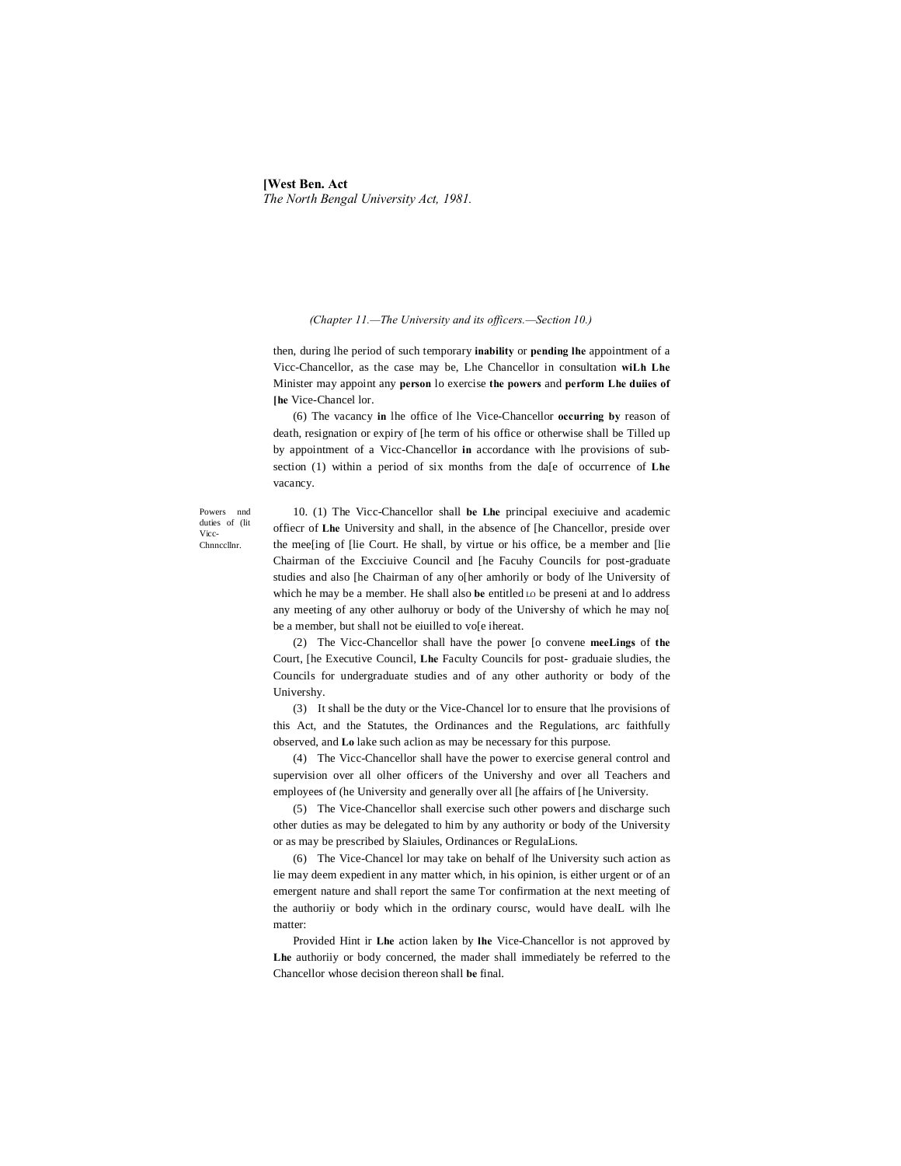# **[West Ben. Act** *The North Bengal University Act, 1981.*

#### *(Chapter 11.—The University and its officers.—Section 10.)*

then, during lhe period of such temporary **inability** or **pending lhe** appointment of a Vicc-Chancellor, as the case may be, Lhe Chancellor in consultation **wiLh Lhe** Minister may appoint any **person** lo exercise **the powers** and **perform Lhe duiies of [he** Vice-Chancel lor.

(6) The vacancy **in** lhe office of lhe Vice-Chancellor **occurring by** reason of death, resignation or expiry of [he term of his office or otherwise shall be Tilled up by appointment of a Vicc-Chancellor **in** accordance with lhe provisions of subsection (1) within a period of six months from the da[e of occurrence of **Lhe** vacancy.

Powers nnd duties of (lit Vicc-Chnnccllnr.

10. (1) The Vicc-Chancellor shall **be Lhe** principal execiuive and academic offiecr of **Lhe** University and shall, in the absence of [he Chancellor, preside over the mee[ing of [lie Court. He shall, by virtue or his office, be a member and [lie Chairman of the Excciuive Council and [he Facuhy Councils for post-graduate studies and also [he Chairman of any o[her amhorily or body of lhe University of which he may be a member. He shall also be entitled LO be preseni at and lo address any meeting of any other aulhoruy or body of the Univershy of which he may no[ be a member, but shall not be eiuilled to vo[e ihereat.

(2) The Vicc-Chancellor shall have the power [o convene **meeLings** of **the** Court, [he Executive Council, **Lhe** Faculty Councils for post- graduaie sludies, the Councils for undergraduate studies and of any other authority or body of the Univershy.

(3) It shall be the duty or the Vice-Chancel lor to ensure that lhe provisions of this Act, and the Statutes, the Ordinances and the Regulations, arc faithfully observed, and **Lo** lake such aclion as may be necessary for this purpose.

(4) The Vicc-Chancellor shall have the power to exercise general control and supervision over all olher officers of the Univershy and over all Teachers and employees of (he University and generally over all [he affairs of [he University.

(5) The Vice-Chancellor shall exercise such other powers and discharge such other duties as may be delegated to him by any authority or body of the University or as may be prescribed by Slaiules, Ordinances or RegulaLions.

(6) The Vice-Chancel lor may take on behalf of lhe University such action as lie may deem expedient in any matter which, in his opinion, is either urgent or of an emergent nature and shall report the same Tor confirmation at the next meeting of the authoriiy or body which in the ordinary coursc, would have dealL wilh lhe matter:

Provided Hint ir **Lhe** action laken by **lhe** Vice-Chancellor is not approved by **Lhe** authoriiy or body concerned, the mader shall immediately be referred to the Chancellor whose decision thereon shall **be** final.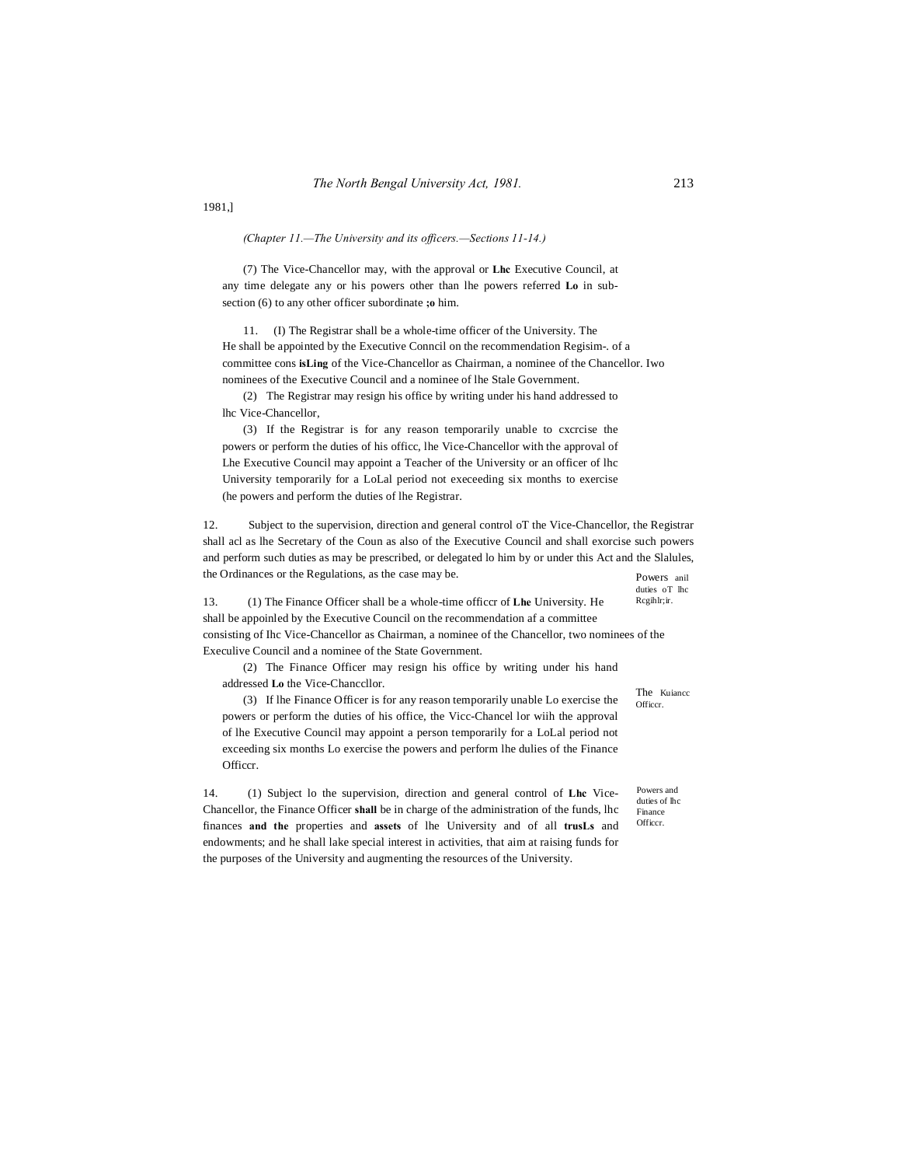1981,]

*(Chapter 11.—The University and its officers.—Sections 11-14.)*

(7) The Vice-Chancellor may, with the approval or **Lhc** Executive Council, at any time delegate any or his powers other than lhe powers referred **Lo** in subsection (6) to any other officer subordinate **;o** him.

11. (I) The Registrar shall be a whole-time officer of the University. The He shall be appointed by the Executive Conncil on the recommendation Regisim-. of a committee cons **isLing** of the Vice-Chancellor as Chairman, a nominee of the Chancellor. Iwo nominees of the Executive Council and a nominee of lhe Stale Government.

(2) The Registrar may resign his office by writing under his hand addressed to lhc Vice-Chancellor,

(3) If the Registrar is for any reason temporarily unable to cxcrcise the powers or perform the duties of his officc, lhe Vice-Chancellor with the approval of Lhe Executive Council may appoint a Teacher of the University or an officer of lhc University temporarily for a LoLal period not execeeding six months to exercise (he powers and perform the duties of lhe Registrar.

Powers anil 12. Subject to the supervision, direction and general control oT the Vice-Chancellor, the Registrar shall acl as lhe Secretary of the Coun as also of the Executive Council and shall exorcise such powers and perform such duties as may be prescribed, or delegated lo him by or under this Act and the Slalules, the Ordinances or the Regulations, as the case may be.

duties oT lhc Rcgihlr;ir. 13. (1) The Finance Officer shall be a whole-time officcr of **Lhe** University. He shall be appoinled by the Executive Council on the recommendation af a committee consisting of Ihc Vice-Chancellor as Chairman, a nominee of the Chancellor, two nominees of the Execulive Council and a nominee of the State Government.

(2) The Finance Officer may resign his office by writing under his hand addressed **Lo** the Vice-Chanccllor.

(3) If lhe Finance Officer is for any reason temporarily unable Lo exercise the powers or perform the duties of his office, the Vicc-Chancel lor wiih the approval of lhe Executive Council may appoint a person temporarily for a LoLal period not exceeding six months Lo exercise the powers and perform lhe dulies of the Finance Officcr.

14. (1) Subject lo the supervision, direction and general control of **Lhc** Vice-Chancellor, the Finance Officer **shall** be in charge of the administration of the funds, lhc finances **and the** properties and **assets** of lhe University and of all **trusLs** and endowments; and he shall lake special interest in activities, that aim at raising funds for the purposes of the University and augmenting the resources of the University.

The Kuiancc Officcr.

Powers and duties of lhc Finance Officcr.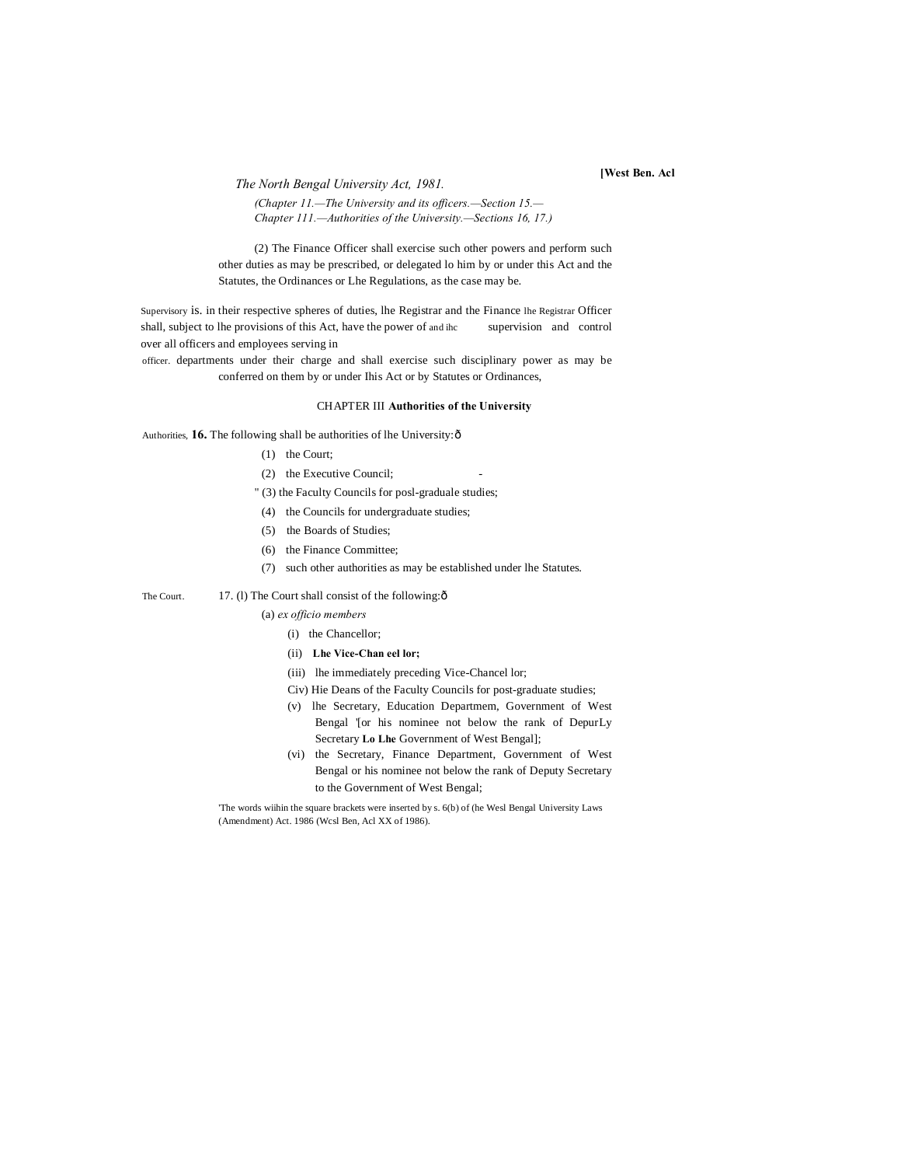*The North Bengal University Act, 1981.* **[West Ben. Acl**

*(Chapter 11.—The University and its officers.—Section 15.— Chapter 111.—Authorities of the University.—Sections 16, 17.)*

(2) The Finance Officer shall exercise such other powers and perform such other duties as may be prescribed, or delegated lo him by or under this Act and the Statutes, the Ordinances or Lhe Regulations, as the case may be.

Supervisory is. in their respective spheres of duties, lhe Registrar and the Finance lhe Registrar Officer shall, subject to lhe provisions of this Act, have the power of and ihc supervision and control over all officers and employees serving in

officer. departments under their charge and shall exercise such disciplinary power as may be conferred on them by or under Ihis Act or by Statutes or Ordinances,

#### CHAPTER III **Authorities of the University**

Authorities, 16. The following shall be authorities of lhe University: ô

- (1) the Court;
- (2) the Executive Council;
- " (3) the Faculty Councils for posl-graduale studies;
- (4) the Councils for undergraduate studies;
- (5) the Boards of Studies;
- (6) the Finance Committee;
- (7) such other authorities as may be established under lhe Statutes.

The Court. 17. (1) The Court shall consist of the following: $\hat{o}$ 

- (a) *ex officio members*
	- (i) the Chancellor;
	- (ii) **Lhe Vice-Chan eel lor;**
	- (iii) lhe immediately preceding Vice-Chancel lor;
	- Civ) Hie Deans of the Faculty Councils for post-graduate studies;
	- (v) lhe Secretary, Education Departmem, Government of West Bengal '[or his nominee not below the rank of DepurLy Secretary **Lo Lhe** Government of West Bengal];
	- (vi) the Secretary, Finance Department, Government of West Bengal or his nominee not below the rank of Deputy Secretary to the Government of West Bengal;

'The words wiihin the square brackets were inserted by s. 6(b) of (he Wesl Bengal University Laws (Amendment) Act. 1986 (Wcsl Ben, Acl XX of 1986).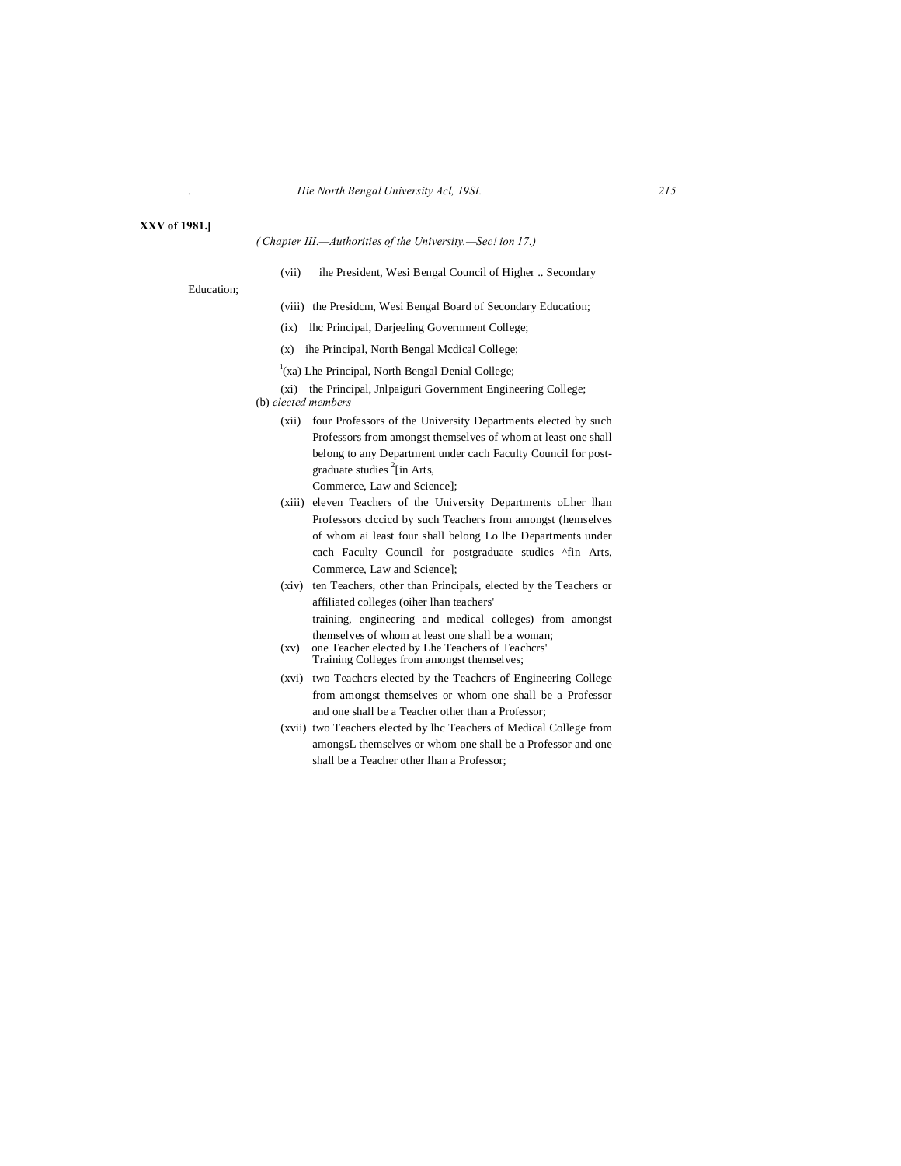# **XXV of 1981.]**

# *( Chapter III.—Authorities of the University.—Sec! ion 17.)*

(vii) ihe President, Wesi Bengal Council of Higher .. Secondary

Education;

- (viii) the Presidcm, Wesi Bengal Board of Secondary Education;
- (ix) lhc Principal, Darjeeling Government College;
- (x) ihe Principal, North Bengal Mcdical College;
- $\int_a^1$ (xa) Lhe Principal, North Bengal Denial College;
- (xi) the Principal, Jnlpaiguri Government Engineering College;

(b) *elected members*

(xii) four Professors of the University Departments elected by such Professors from amongst themselves of whom at least one shall belong to any Department under cach Faculty Council for postgraduate studies <sup>2</sup>[in Arts,

Commerce, Law and Science];

- (xiii) eleven Teachers of the University Departments oLher lhan Professors clccicd by such Teachers from amongst (hemselves of whom ai least four shall belong Lo lhe Departments under cach Faculty Council for postgraduate studies ^fin Arts, Commerce, Law and Science];
- (xiv) ten Teachers, other than Principals, elected by the Teachers or affiliated colleges (oiher lhan teachers' training, engineering and medical colleges) from amongst themselves of whom at least one shall be a woman;
- (xv) one Teacher elected by Lhe Teachers of Teachcrs' Training Colleges from amongst themselves;
- (xvi) two Teachcrs elected by the Teachcrs of Engineering College from amongst themselves or whom one shall be a Professor and one shall be a Teacher other than a Professor;
- (xvii) two Teachers elected by lhc Teachers of Medical College from amongsL themselves or whom one shall be a Professor and one shall be a Teacher other lhan a Professor;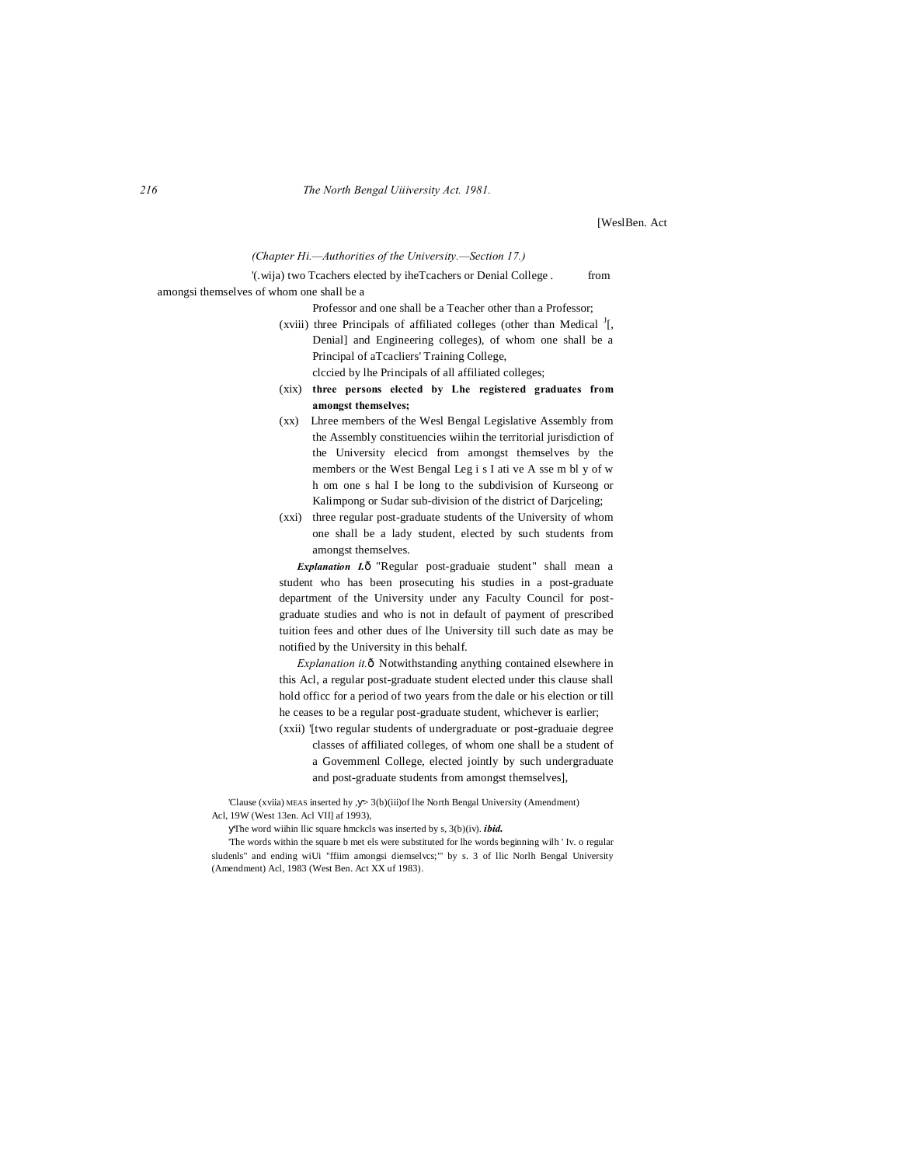[WeslBen. Act

#### *(Chapter Hi.—Authorities of the University.—Section 17.)*

# '(.wija) two Tcachers elected by iheTcachers or Denial College . from amongsi themselves of whom one shall be a

Professor and one shall be a Teacher other than a Professor;

- (xviii) three Principals of affiliated colleges (other than Medical  $I_1$ , Denial] and Engineering colleges), of whom one shall be a Principal of aTcacliers' Training College, clccied by lhe Principals of all affiliated colleges;
- (xix) **three persons elected by Lhe registered graduates from amongst themselves;**
- (xx) Lhree members of the Wesl Bengal Legislative Assembly from the Assembly constituencies wiihin the territorial jurisdiction of the University elecicd from amongst themselves by the members or the West Bengal Leg i s I ati ve A sse m bl y of w h om one s hal I be long to the subdivision of Kurseong or Kalimpong or Sudar sub-division of the district of Darjceling;
- (xxi) three regular post-graduate students of the University of whom one shall be a lady student, elected by such students from amongst themselves.

**Explanation I.**ô "Regular post-graduaie student" shall mean a student who has been prosecuting his studies in a post-graduate department of the University under any Faculty Council for postgraduate studies and who is not in default of payment of prescribed tuition fees and other dues of lhe University till such date as may be notified by the University in this behalf.

*Explanation it.* Ô Notwithstanding anything contained elsewhere in this Acl, a regular post-graduate student elected under this clause shall hold officc for a period of two years from the dale or his election or till he ceases to be a regular post-graduate student, whichever is earlier;

(xxii) '[two regular students of undergraduate or post-graduaie degree classes of affiliated colleges, of whom one shall be a student of a Govemmenl College, elected jointly by such undergraduate and post-graduate students from amongst themselves],

'Clause (xviia) MEAS inserted hy , > 3(b)(iii)of lhe North Bengal University (Amendment) Acl, 19W (West 13en. Acl VII] af 1993),

The word wiihin llic square hmckcls was inserted by s, 3(b)(iv). *ibid.*

'The words within the square b met els were substituted for lhe words beginning wilh ' Iv. o regular sludenls" and ending wiUi "ffiim amongsi diemselvcs;"' by s. 3 of llic Norlh Bengal University (Amendment) Acl, 1983 (West Ben. Act XX uf 1983).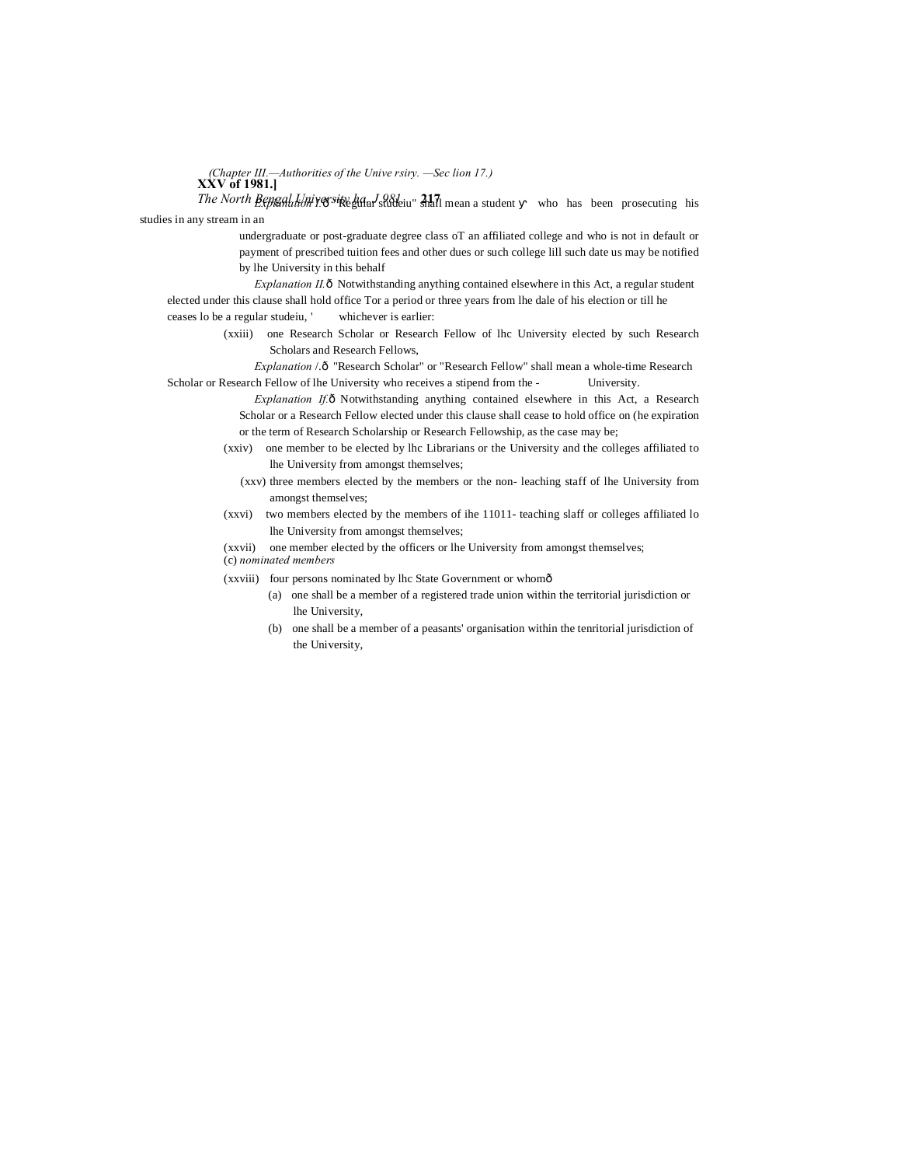**XXV of 1981.]** *(Chapter III.—Authorities of the Unive rsiry. —Sec lion 17.)*

*The North Bengal University haddal Saideiu*" 317 mean a student who has been prosecuting his studies in any stream in an

> undergraduate or post-graduate degree class oT an affiliated college and who is not in default or payment of prescribed tuition fees and other dues or such college lill such date us may be notified by lhe University in this behalf

*Explanation II.* ô Notwithstanding anything contained elsewhere in this Act, a regular student elected under this clause shall hold office Tor a period or three years from lhe dale of his election or till he ceases lo be a regular studeiu, ' whichever is earlier:

> (xxiii) one Research Scholar or Research Fellow of lhc University elected by such Research Scholars and Research Fellows,

*Explanation* /.—"Research Scholar" or "Research Fellow" shall mean a whole-time Research Scholar or Research Fellow of lhe University who receives a stipend from the - University.

> *Explanation If.* ô Notwithstanding anything contained elsewhere in this Act, a Research Scholar or a Research Fellow elected under this clause shall cease to hold office on (he expiration or the term of Research Scholarship or Research Fellowship, as the case may be;

- (xxiv) one member to be elected by lhc Librarians or the University and the colleges affiliated to lhe University from amongst themselves;
	- (xxv) three members elected by the members or the non- leaching staff of lhe University from amongst themselves;

(xxvi) two members elected by the members of ihe 11011- teaching slaff or colleges affiliated lo lhe University from amongst themselves;

(xxvii) one member elected by the officers or lhe University from amongst themselves;

(c) *nominated members*

(xxviii) four persons nominated by lhc State Government or whom—

- (a) one shall be a member of a registered trade union within the territorial jurisdiction or lhe University,
- (b) one shall be a member of a peasants' organisation within the tenritorial jurisdiction of the University,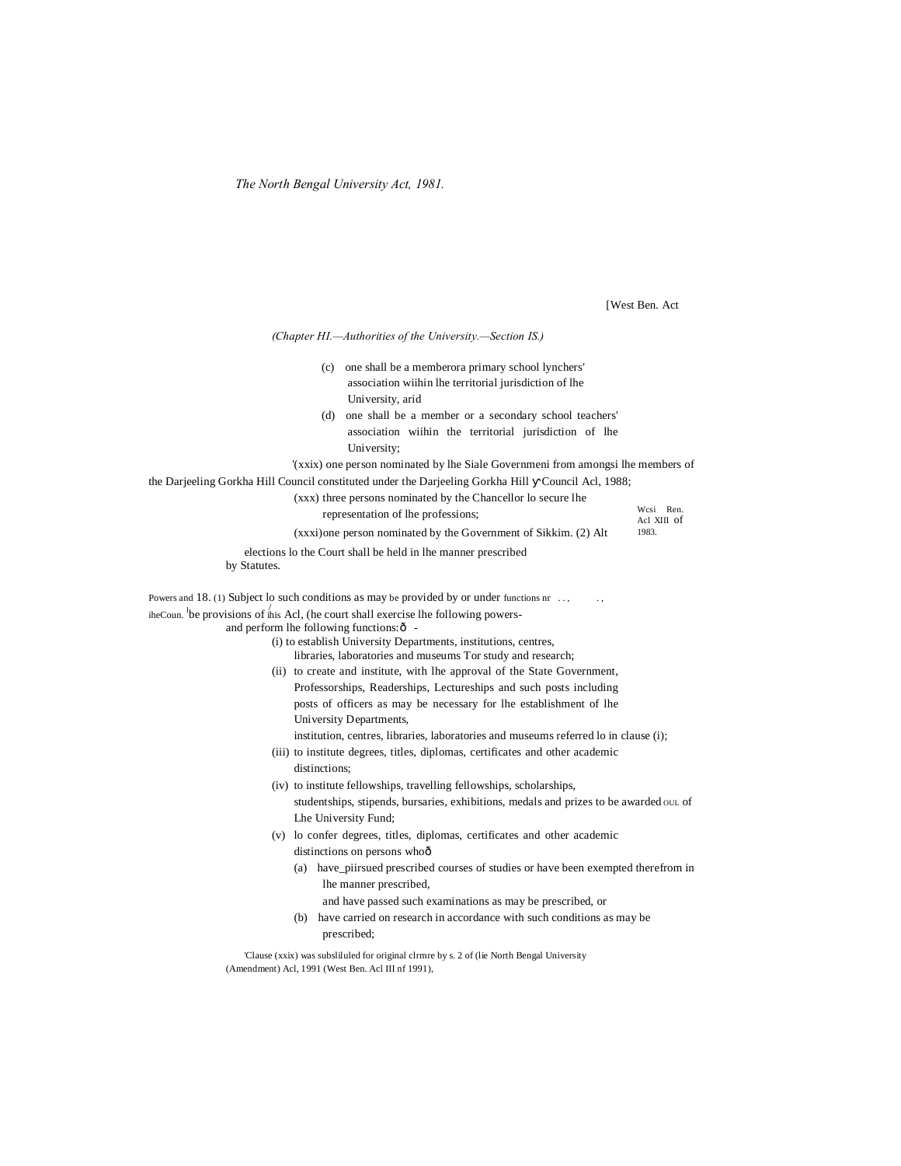*The North Bengal University Act, 1981.*

[West Ben. Act

| (Chapter HI.-Authorities of the University.-Section IS.)                                                                                                                                                                                                                                                                                                                                                                                                                                                                                                                                                                                                                                                                                                                                      |                      |
|-----------------------------------------------------------------------------------------------------------------------------------------------------------------------------------------------------------------------------------------------------------------------------------------------------------------------------------------------------------------------------------------------------------------------------------------------------------------------------------------------------------------------------------------------------------------------------------------------------------------------------------------------------------------------------------------------------------------------------------------------------------------------------------------------|----------------------|
| (c) one shall be a memberora primary school lynchers'<br>association wiihin lhe territorial jurisdiction of lhe<br>University, arid<br>one shall be a member or a secondary school teachers'<br>(d)<br>association wiihin the territorial jurisdiction of lhe<br>University;                                                                                                                                                                                                                                                                                                                                                                                                                                                                                                                  |                      |
| '(xxix) one person nominated by lhe Siale Governmeni from amongsi lhe members of                                                                                                                                                                                                                                                                                                                                                                                                                                                                                                                                                                                                                                                                                                              |                      |
| the Darjeeling Gorkha Hill Council constituted under the Darjeeling Gorkha Hill Council Acl, 1988;                                                                                                                                                                                                                                                                                                                                                                                                                                                                                                                                                                                                                                                                                            |                      |
| (xxx) three persons nominated by the Chancellor lo secure lhe<br>representation of lhe professions;                                                                                                                                                                                                                                                                                                                                                                                                                                                                                                                                                                                                                                                                                           | Wcsi Ren.            |
| (xxxi) one person nominated by the Government of Sikkim. (2) Alt                                                                                                                                                                                                                                                                                                                                                                                                                                                                                                                                                                                                                                                                                                                              | Acl XIII of<br>1983. |
|                                                                                                                                                                                                                                                                                                                                                                                                                                                                                                                                                                                                                                                                                                                                                                                               |                      |
| elections lo the Court shall be held in lhe manner prescribed<br>by Statutes.                                                                                                                                                                                                                                                                                                                                                                                                                                                                                                                                                                                                                                                                                                                 |                      |
|                                                                                                                                                                                                                                                                                                                                                                                                                                                                                                                                                                                                                                                                                                                                                                                               |                      |
| Powers and 18. (1) Subject lo such conditions as may be provided by or under functions nr                                                                                                                                                                                                                                                                                                                                                                                                                                                                                                                                                                                                                                                                                                     |                      |
| iheCoun. be provisions of this Acl, (he court shall exercise lhe following powers-<br>and perform the following functions: $\hat{o}$ -<br>(i) to establish University Departments, institutions, centres,<br>libraries, laboratories and museums Tor study and research;<br>(ii) to create and institute, with lhe approval of the State Government,<br>Professorships, Readerships, Lectureships and such posts including<br>posts of officers as may be necessary for lhe establishment of lhe<br>University Departments,<br>institution, centres, libraries, laboratories and museums referred lo in clause (i);<br>(iii) to institute degrees, titles, diplomas, certificates and other academic<br>distinctions:<br>(iv) to institute fellowships, travelling fellowships, scholarships, |                      |
| studentships, stipends, bursaries, exhibitions, medals and prizes to be awarded out of                                                                                                                                                                                                                                                                                                                                                                                                                                                                                                                                                                                                                                                                                                        |                      |
| Lhe University Fund;                                                                                                                                                                                                                                                                                                                                                                                                                                                                                                                                                                                                                                                                                                                                                                          |                      |
| (v) lo confer degrees, titles, diplomas, certificates and other academic                                                                                                                                                                                                                                                                                                                                                                                                                                                                                                                                                                                                                                                                                                                      |                      |
| distinctions on persons whoô                                                                                                                                                                                                                                                                                                                                                                                                                                                                                                                                                                                                                                                                                                                                                                  |                      |
| (a) have_piirsued prescribed courses of studies or have been exempted therefrom in<br>lhe manner prescribed,<br>and have passed such examinations as may be prescribed, or<br>have carried on research in accordance with such conditions as may be<br>(b)                                                                                                                                                                                                                                                                                                                                                                                                                                                                                                                                    |                      |
| prescribed;                                                                                                                                                                                                                                                                                                                                                                                                                                                                                                                                                                                                                                                                                                                                                                                   |                      |
| Clause (xxix) was subslituted for original climite by s. 2 of (lie North Bengal University<br>(Amendment) Acl, 1991 (West Ben. Acl III nf 1991),                                                                                                                                                                                                                                                                                                                                                                                                                                                                                                                                                                                                                                              |                      |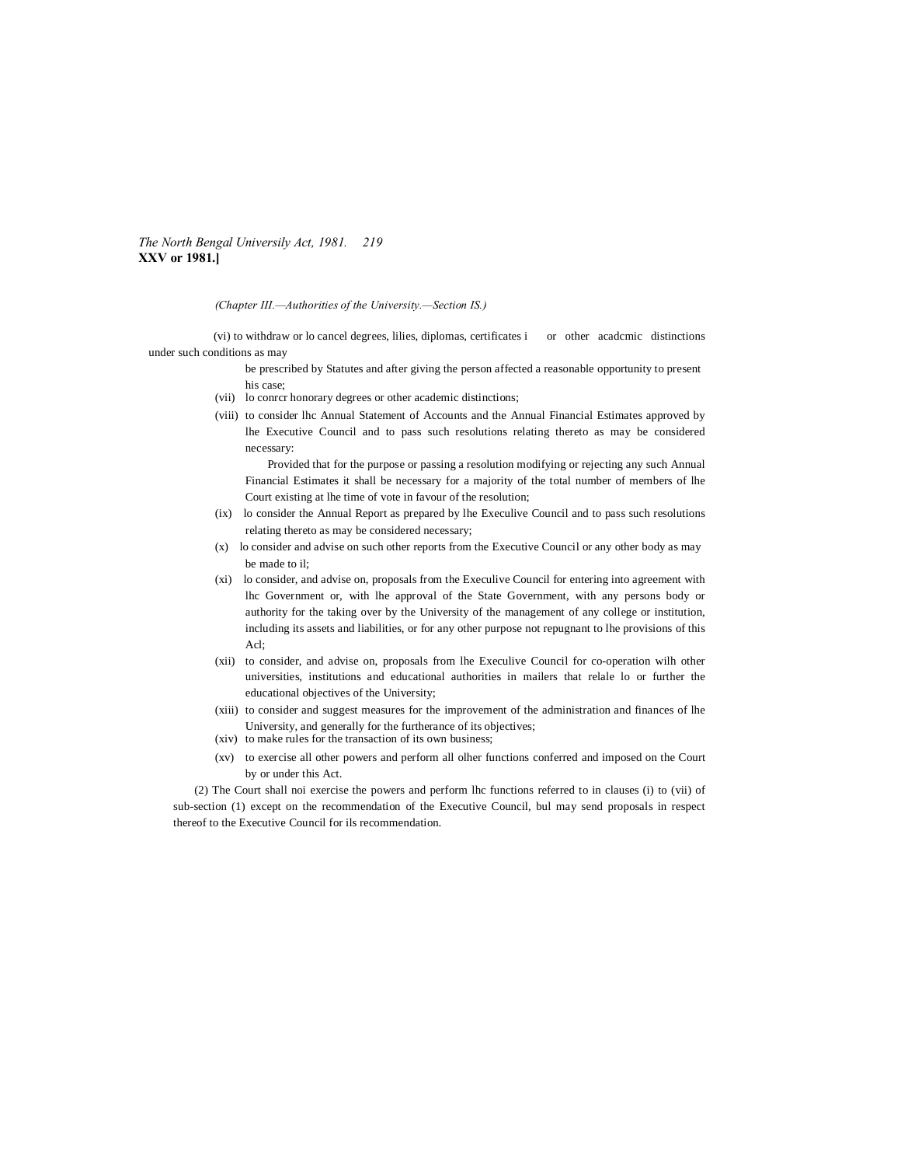*The North Bengal Universily Act, 1981. 219* **XXV or 1981.]**

*(Chapter III.—Authorities of the University.—Section IS.)*

(vi) to withdraw or lo cancel degrees, lilies, diplomas, certificates i or other acadcmic distinctions under such conditions as may

> be prescribed by Statutes and after giving the person affected a reasonable opportunity to present his case;

- (vii) lo conrcr honorary degrees or other academic distinctions;
- (viii) to consider lhc Annual Statement of Accounts and the Annual Financial Estimates approved by lhe Executive Council and to pass such resolutions relating thereto as may be considered necessary:

Provided that for the purpose or passing a resolution modifying or rejecting any such Annual Financial Estimates it shall be necessary for a majority of the total number of members of lhe Court existing at lhe time of vote in favour of the resolution;

- (ix) lo consider the Annual Report as prepared by lhe Execulive Council and to pass such resolutions relating thereto as may be considered necessary;
- (x) lo consider and advise on such other reports from the Executive Council or any other body as may be made to il;
- (xi) lo consider, and advise on, proposals from the Execulive Council for entering into agreement with lhc Government or, with lhe approval of the State Government, with any persons body or authority for the taking over by the University of the management of any college or institution, including its assets and liabilities, or for any other purpose not repugnant to lhe provisions of this Acl;
- (xii) to consider, and advise on, proposals from lhe Execulive Council for co-operation wilh other universities, institutions and educational authorities in mailers that relale lo or further the educational objectives of the University;
- (xiii) to consider and suggest measures for the improvement of the administration and finances of lhe University, and generally for the furtherance of its objectives;
- (xiv) to make rules for the transaction of its own business;
- (xv) to exercise all other powers and perform all olher functions conferred and imposed on the Court by or under this Act.

(2) The Court shall noi exercise the powers and perform lhc functions referred to in clauses (i) to (vii) of sub-section (1) except on the recommendation of the Executive Council, bul may send proposals in respect thereof to the Executive Council for ils recommendation.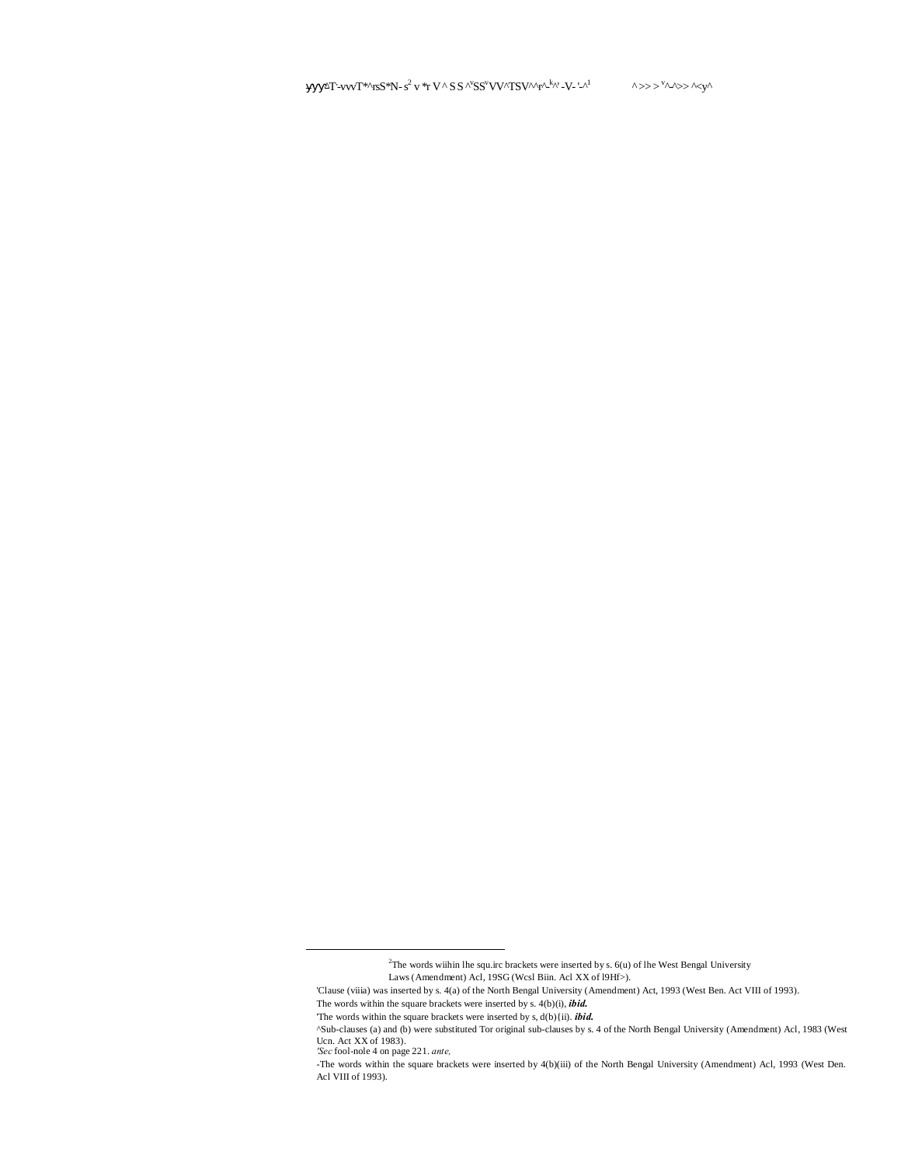$\Delta T$ '-vvv $T^{*\wedge}$ rsS\*N-s<sup>2</sup> v \*r V ^ S S ^ $\rm^\vee SS^vVV^\wedge TSV^\wedge\gamma^k$ ^' -V- '-^  $\lambda^1$   $\wedge \gg \gg \lambda^0$ 

 <sup>2</sup> <sup>2</sup>The words wiihin lhe squ.irc brackets were inserted by s.  $6(u)$  of lhe West Bengal University

Laws (Amendment) Acl, 19SG (Wcsl Biin. Acl XX of l9Hf>).

<sup>&#</sup>x27;Clause (viiia) was inserted by s. 4(a) of the North Bengal University (Amendment) Act, 1993 (West Ben. Act VIII of 1993).

The words within the square brackets were inserted by s. 4(b)(i), *ibid.*

<sup>&#</sup>x27;The words within the square brackets were inserted by s, d(b){ii). *ibid.*

<sup>^</sup>Sub-clauses (a) and (b) were substituted Tor original sub-clauses by s. 4 of the North Bengal University (Amendment) Acl, 1983 (West Ucn. Act XX of 1983).

*<sup>&#</sup>x27;Sec* fool-nole 4 on page 221. *ante,*

<sup>-</sup>The words within the square brackets were inserted by 4(b)(iii) of the North Bengal University (Amendment) Acl, 1993 (West Den. Acl VIII of 1993).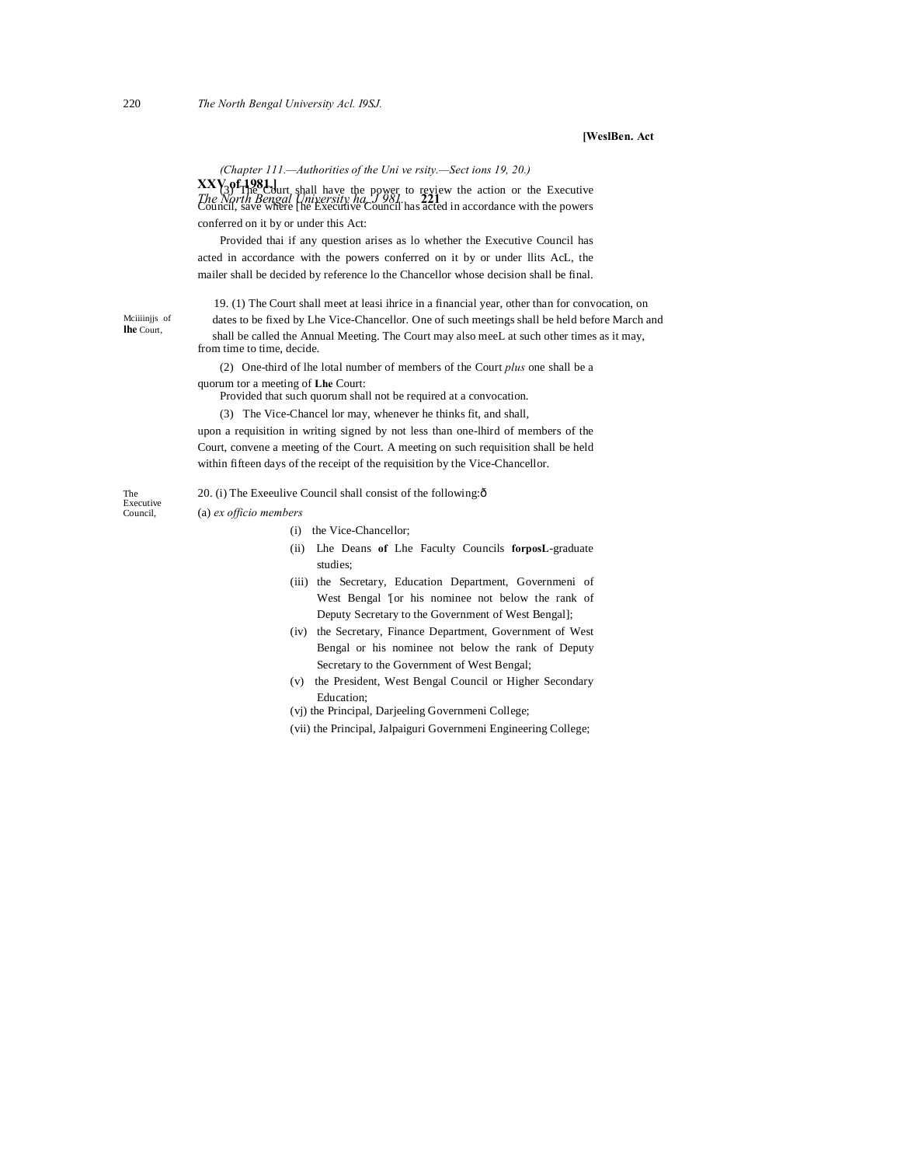## **[WeslBen. Act**

*(Chapter 111.—Authorities of the Uni ve rsity.—Sect ions 19, 20.)*

**XXV of 1981.] The North Bengal University ha, J 981. <b>221** is according to the Executive The North Bengal University ha, J 981. **221** is according with the action Council, save where [he Executive Council has acted in accordance with the powers conferred on it by or under this Act:

Provided thai if any question arises as lo whether the Executive Council has acted in accordance with the powers conferred on it by or under llits AcL, the mailer shall be decided by reference lo the Chancellor whose decision shall be final.

19. (1) The Court shall meet at leasi ihrice in a financial year, other than for convocation, on dates to be fixed by Lhe Vice-Chancellor. One of such meetings shall be held before March and shall be called the Annual Meeting. The Court may also meeL at such other times as it may, from time to time, decide.

(2) One-third of lhe lotal number of members of the Court *plus* one shall be a quorum tor a meeting of **Lhe** Court:

Provided that such quorum shall not be required at a convocation.

(3) The Vice-Chancel lor may, whenever he thinks fit, and shall,

upon a requisition in writing signed by not less than one-lhird of members of the Court, convene a meeting of the Court. A meeting on such requisition shall be held within fifteen days of the receipt of the requisition by the Vice-Chancellor.

The 20. (i) The Exeeulive Council shall consist of the following: $\delta$ 

Executive Council, (a) *ex officio members*

Mciiiinjjs of **lhe** Court,

- (i) the Vice-Chancellor;
- (ii) Lhe Deans **of** Lhe Faculty Councils **forposL**-graduate studies;
- (iii) the Secretary, Education Department, Governmeni of West Bengal '[or his nominee not below the rank of Deputy Secretary to the Government of West Bengal];
- (iv) the Secretary, Finance Department, Government of West Bengal or his nominee not below the rank of Deputy Secretary to the Government of West Bengal;
- (v) the President, West Bengal Council or Higher Secondary Education;
- (vj) the Principal, Darjeeling Governmeni College;
- (vii) the Principal, Jalpaiguri Governmeni Engineering College;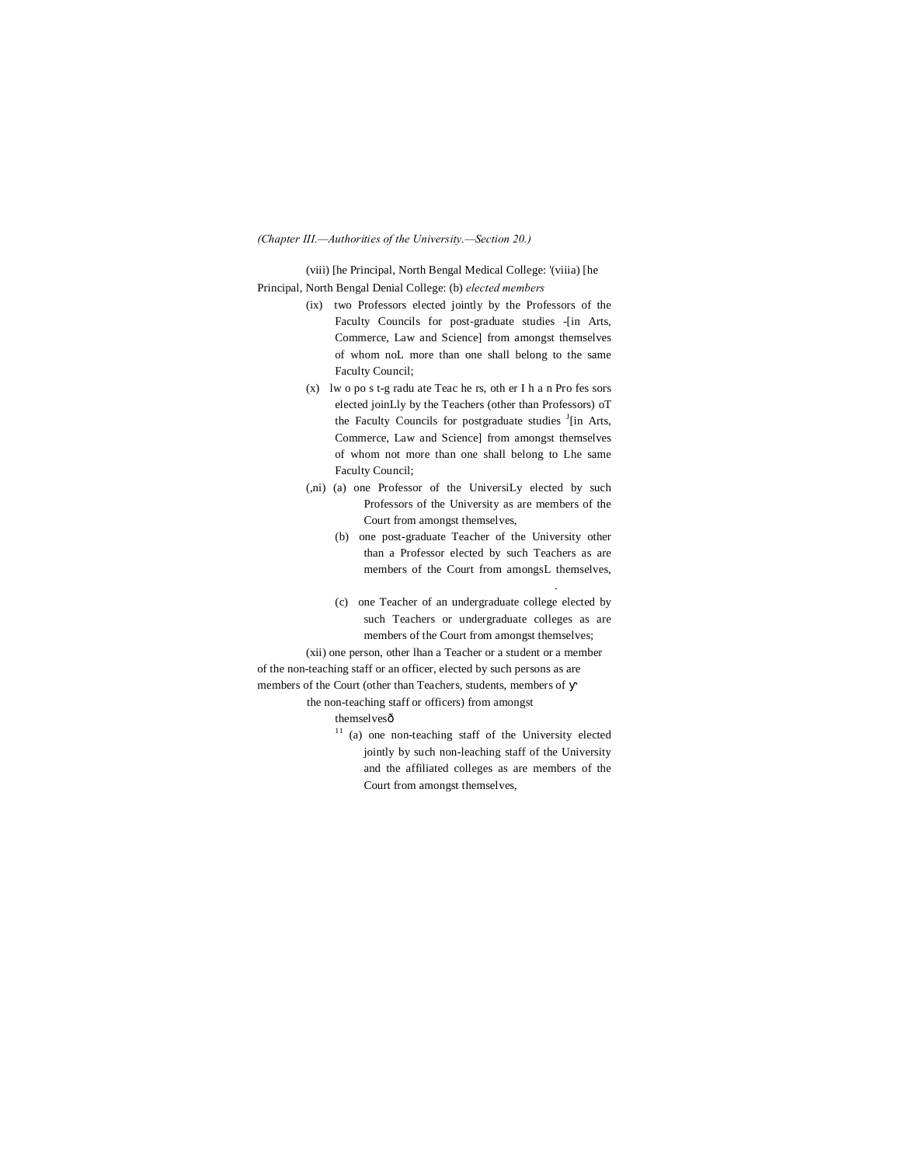#### *(Chapter III.—Authorities of the University.—Section 20.)*

(viii) [he Principal, North Bengal Medical College: '(viiia) [he Principal, North Bengal Denial College: (b) *elected members*

- (ix) two Professors elected jointly by the Professors of the Faculty Councils for post-graduate studies -[in Arts, Commerce, Law and Science] from amongst themselves of whom noL more than one shall belong to the same Faculty Council;
- (x) lw o po s t-g radu ate Teac he rs, oth er I h a n Pro fes sors elected joinLly by the Teachers (other than Professors) oT the Faculty Councils for postgraduate studies <sup>J</sup>[in Arts, Commerce, Law and Science] from amongst themselves of whom not more than one shall belong to Lhe same Faculty Council;
- (,ni) (a) one Professor of the UniversiLy elected by such Professors of the University as are members of the Court from amongst themselves,
	- (b) one post-graduate Teacher of the University other than a Professor elected by such Teachers as are members of the Court from amongsL themselves,
	- (c) one Teacher of an undergraduate college elected by such Teachers or undergraduate colleges as are members of the Court from amongst themselves;

.

(xii) one person, other lhan a Teacher or a student or a member of the non-teaching staff or an officer, elected by such persons as are members of the Court (other than Teachers, students, members of

the non-teaching staff or officers) from amongst themselvesô

<sup>11</sup> (a) one non-teaching staff of the University elected jointly by such non-leaching staff of the University and the affiliated colleges as are members of the Court from amongst themselves,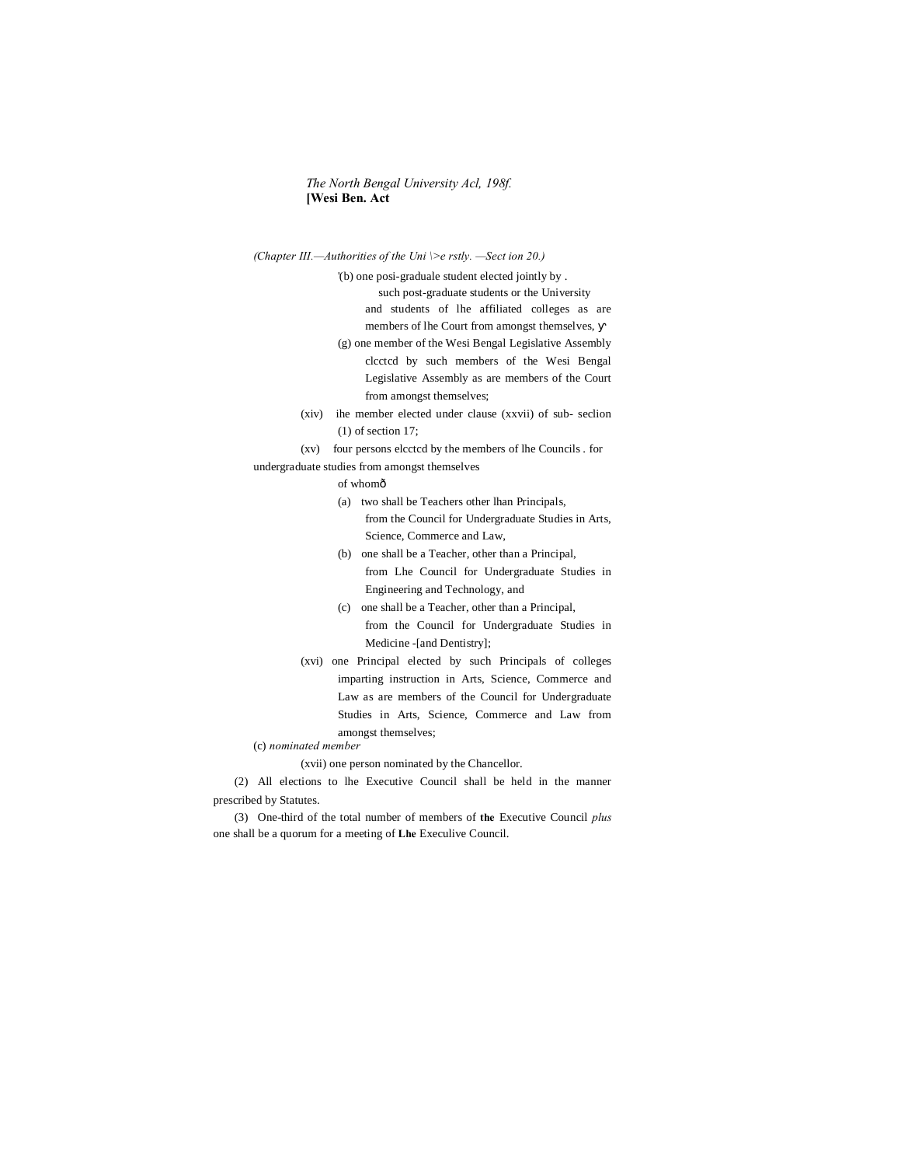# *The North Bengal University Acl, 198f.* **[Wesi Ben. Act**

*(Chapter III.—Authorities of the Uni \>e rstly. —Sect ion 20.)*

'(b) one posi-graduale student elected jointly by . such post-graduate students or the University and students of lhe affiliated colleges as are members of lhe Court from amongst themselves,

- (g) one member of the Wesi Bengal Legislative Assembly clcctcd by such members of the Wesi Bengal Legislative Assembly as are members of the Court from amongst themselves;
- (xiv) ihe member elected under clause (xxvii) of sub- seclion (1) of section 17;

(xv) four persons elcctcd by the members of lhe Councils . for undergraduate studies from amongst themselves

- of whomô
- (a) two shall be Teachers other lhan Principals, from the Council for Undergraduate Studies in Arts, Science, Commerce and Law,
- (b) one shall be a Teacher, other than a Principal, from Lhe Council for Undergraduate Studies in Engineering and Technology, and
- (c) one shall be a Teacher, other than a Principal, from the Council for Undergraduate Studies in Medicine -[and Dentistry];
- (xvi) one Principal elected by such Principals of colleges imparting instruction in Arts, Science, Commerce and Law as are members of the Council for Undergraduate Studies in Arts, Science, Commerce and Law from amongst themselves;

(c) *nominated member*

(xvii) one person nominated by the Chancellor.

(2) All elections to lhe Executive Council shall be held in the manner prescribed by Statutes.

(3) One-third of the total number of members of **the** Executive Council *plus* one shall be a quorum for a meeting of **Lhe** Execulive Council.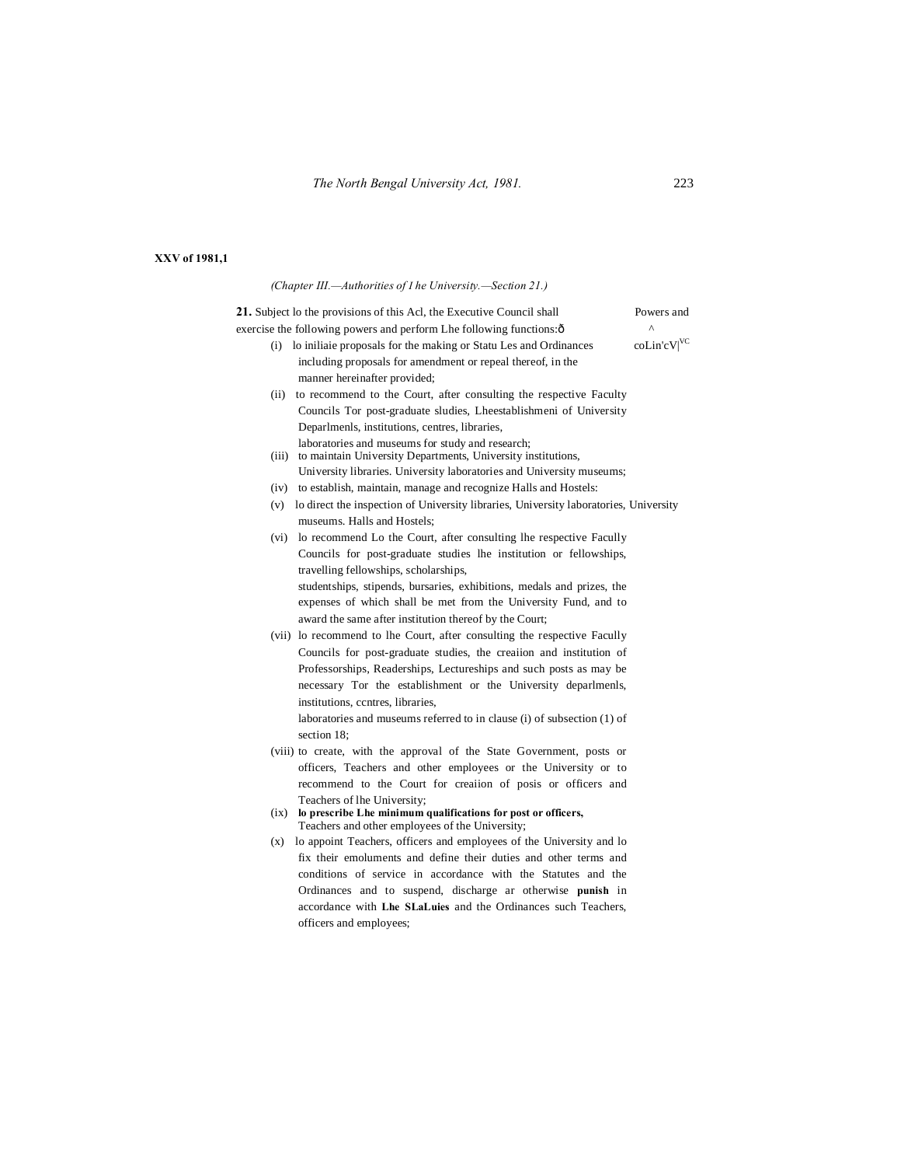|  | XXV of 1981,1 |  |  |  |
|--|---------------|--|--|--|
|--|---------------|--|--|--|

|       | (Chapter III.—Authorities of I he University.—Section 21.)                                   |                       |
|-------|----------------------------------------------------------------------------------------------|-----------------------|
|       | 21. Subject lo the provisions of this Acl, the Executive Council shall                       | Powers and            |
|       | exercise the following powers and perform Lhe following functions: ô                         | $\boldsymbol{\wedge}$ |
|       | (i) lo initiate proposals for the making or Statu Les and Ordinances                         | coLin'cV VC           |
|       | including proposals for amendment or repeal thereof, in the                                  |                       |
|       | manner hereinafter provided;                                                                 |                       |
| (ii)  | to recommend to the Court, after consulting the respective Faculty                           |                       |
|       | Councils Tor post-graduate sludies, Lheestablishmeni of University                           |                       |
|       | Deparlments, institutions, centres, libraries,                                               |                       |
|       | laboratories and museums for study and research;                                             |                       |
| (iii) | to maintain University Departments, University institutions,                                 |                       |
|       | University libraries. University laboratories and University museums;                        |                       |
|       | (iv) to establish, maintain, manage and recognize Halls and Hostels:                         |                       |
|       | (v) lo direct the inspection of University libraries, University laboratories, University    |                       |
|       | museums. Halls and Hostels:                                                                  |                       |
|       | (vi) lo recommend Lo the Court, after consulting the respective Facully                      |                       |
|       | Councils for post-graduate studies lhe institution or fellowships,                           |                       |
|       | travelling fellowships, scholarships,                                                        |                       |
|       | studentships, stipends, bursaries, exhibitions, medals and prizes, the                       |                       |
|       | expenses of which shall be met from the University Fund, and to                              |                       |
|       | award the same after institution thereof by the Court;                                       |                       |
|       | (vii) lo recommend to lhe Court, after consulting the respective Facully                     |                       |
|       | Councils for post-graduate studies, the creaiion and institution of                          |                       |
|       | Professorships, Readerships, Lectureships and such posts as may be                           |                       |
|       | necessary Tor the establishment or the University deparlments,                               |                       |
|       | institutions, centres, libraries,                                                            |                       |
|       | laboratories and museums referred to in clause (i) of subsection (1) of                      |                       |
|       | section 18:                                                                                  |                       |
|       | (viii) to create, with the approval of the State Government, posts or                        |                       |
|       | officers, Teachers and other employees or the University or to                               |                       |
|       | recommend to the Court for creation of posis or officers and                                 |                       |
|       | Teachers of lhe University;<br>lo prescribe Lhe minimum qualifications for post or officers, |                       |
| (ix)  | Teachers and other employees of the University;                                              |                       |
| (X)   | lo appoint Teachers, officers and employees of the University and lo                         |                       |
|       | fix their emoluments and define their duties and other terms and                             |                       |
|       | conditions of service in accordance with the Statutes and the                                |                       |
|       | Ordinances and to suspend, discharge ar otherwise punish in                                  |                       |
|       | accordance with Lhe SLaLuies and the Ordinances such Teachers,                               |                       |
|       |                                                                                              |                       |

officers and employees;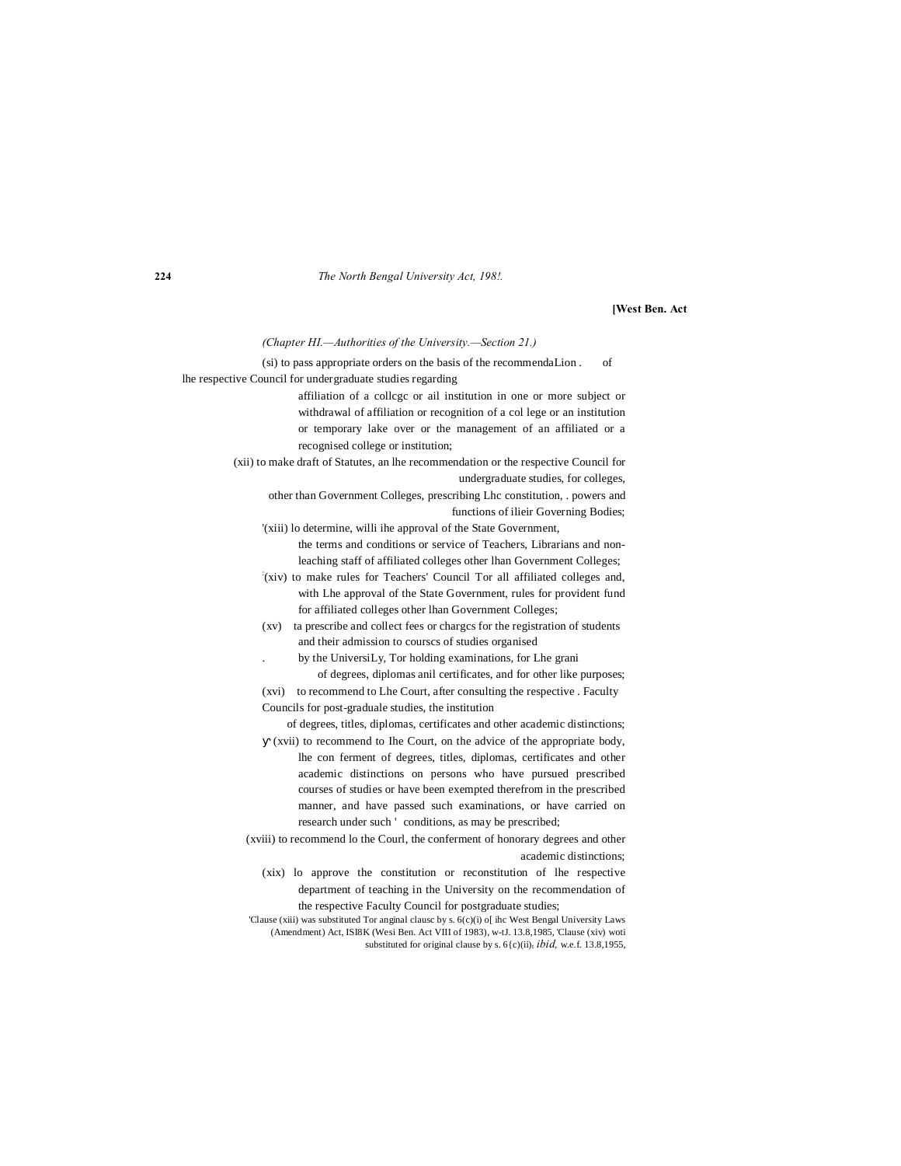**224** *The North Bengal University Act, 198!.*

#### **[West Ben. Act**

*(Chapter HI.—Authorities of the University.—Section 21.)*

(si) to pass appropriate orders on the basis of the recommendaLion . of lhe respective Council for undergraduate studies regarding

> affiliation of a collcgc or ail institution in one or more subject or withdrawal of affiliation or recognition of a col lege or an institution or temporary lake over or the management of an affiliated or a recognised college or institution;

(xii) to make draft of Statutes, an lhe recommendation or the respective Council for undergraduate studies, for colleges,

other than Government Colleges, prescribing Lhc constitution, . powers and functions of ilieir Governing Bodies;

'(xiii) lo determine, willi ihe approval of the State Government, the terms and conditions or service of Teachers, Librarians and non-

leaching staff of affiliated colleges other lhan Government Colleges; : (xiv) to make rules for Teachers' Council Tor all affiliated colleges and, with Lhe approval of the State Government, rules for provident fund

for affiliated colleges other lhan Government Colleges; (xv) ta prescribe and collect fees or chargcs for the registration of students

and their admission to courscs of studies organised

. by the UniversiLy, Tor holding examinations, for Lhe grani of degrees, diplomas anil certificates, and for other like purposes;

(xvi) to recommend to Lhe Court, after consulting the respective . Faculty Councils for post-graduale studies, the institution

of degrees, titles, diplomas, certificates and other academic distinctions;

(xvii) to recommend to Ihe Court, on the advice of the appropriate body, lhe con ferment of degrees, titles, diplomas, certificates and other academic distinctions on persons who have pursued prescribed courses of studies or have been exempted therefrom in the prescribed manner, and have passed such examinations, or have carried on research under such ' conditions, as may be prescribed;

(xviii) to recommend lo the Courl, the conferment of honorary degrees and other academic distinctions;

(xix) lo approve the constitution or reconstitution of lhe respective department of teaching in the University on the recommendation of the respective Faculty Council for postgraduate studies;

'Clause (xiii) was substituted Tor anginal clausc by s. 6(c)(i) o[ ihc West Bengal University Laws (Amendment) Act, ISI8K (Wesi Ben. Act VIII of 1983), w-tJ. 13.8,1985, 'Clause (xiv) woti substituted for original clause by s.  $6(c)(ii)$ <sub>t</sub> *ibid*, w.e.f. 13.8,1955,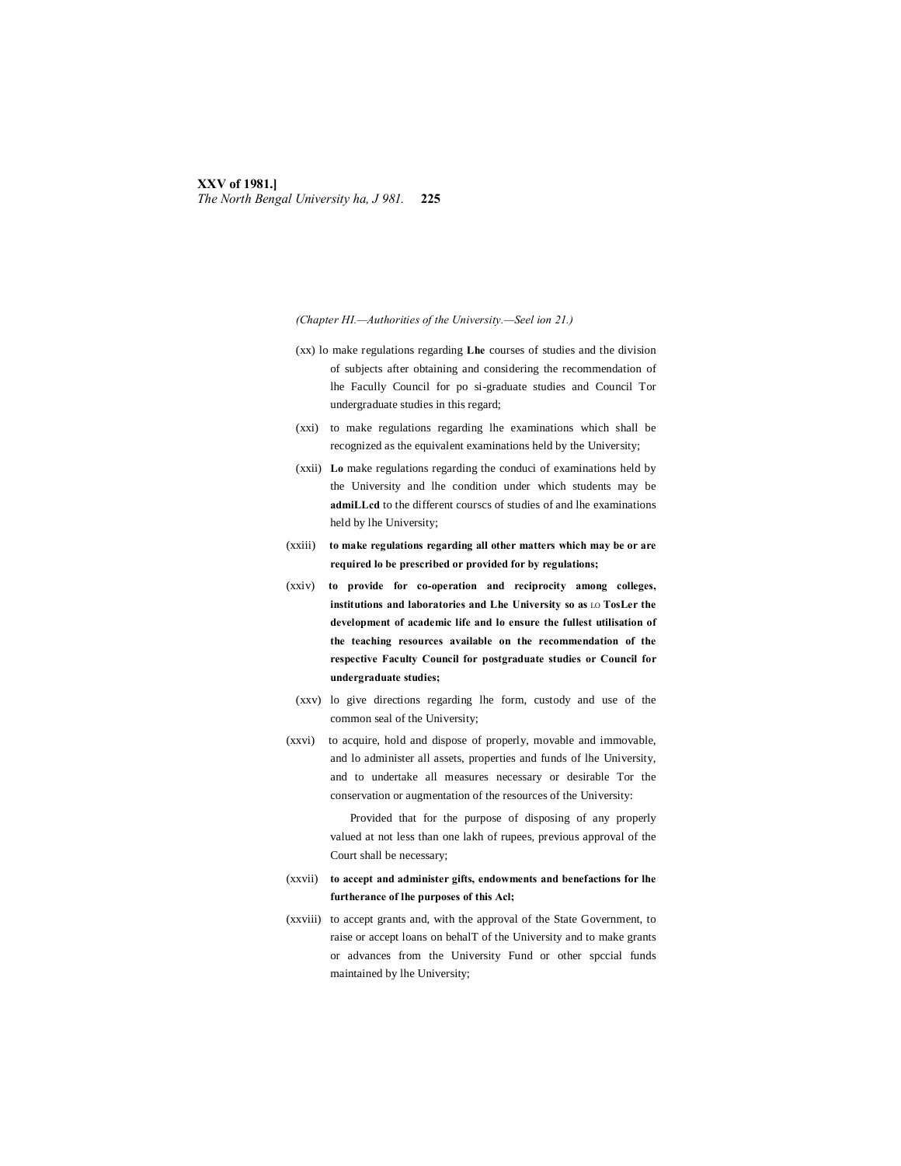# **XXV of 1981.]** *The North Bengal University ha, J 981.* **225**

*(Chapter HI.—Authorities of the University.—Seel ion 21.)*

- (xx) lo make regulations regarding **Lhe** courses of studies and the division of subjects after obtaining and considering the recommendation of lhe Facully Council for po si-graduate studies and Council Tor undergraduate studies in this regard;
- (xxi) to make regulations regarding lhe examinations which shall be recognized as the equivalent examinations held by the University;
- (xxii) **Lo** make regulations regarding the conduci of examinations held by the University and lhe condition under which students may be **admiLLcd** to the different courscs of studies of and lhe examinations held by lhe University;
- (xxiii) **to make regulations regarding all other matters which may be or are required lo be prescribed or provided for by regulations;**
- (xxiv) **to provide for co-operation and reciprocity among colleges, institutions and laboratories and Lhe University so as** LO **TosLer the development of academic life and lo ensure the fullest utilisation of the teaching resources available on the recommendation of the respective Faculty Council for postgraduate studies or Council for undergraduate studies;**
- (xxv) lo give directions regarding lhe form, custody and use of the common seal of the University;
- (xxvi) to acquire, hold and dispose of properly, movable and immovable, and lo administer all assets, properties and funds of lhe University, and to undertake all measures necessary or desirable Tor the conservation or augmentation of the resources of the University:

Provided that for the purpose of disposing of any properly valued at not less than one lakh of rupees, previous approval of the Court shall be necessary;

- (xxvii) **to accept and administer gifts, endowments and benefactions for lhe furtherance of lhe purposes of this Acl;**
- (xxviii) to accept grants and, with the approval of the State Government, to raise or accept loans on behalT of the University and to make grants or advances from the University Fund or other spccial funds maintained by lhe University;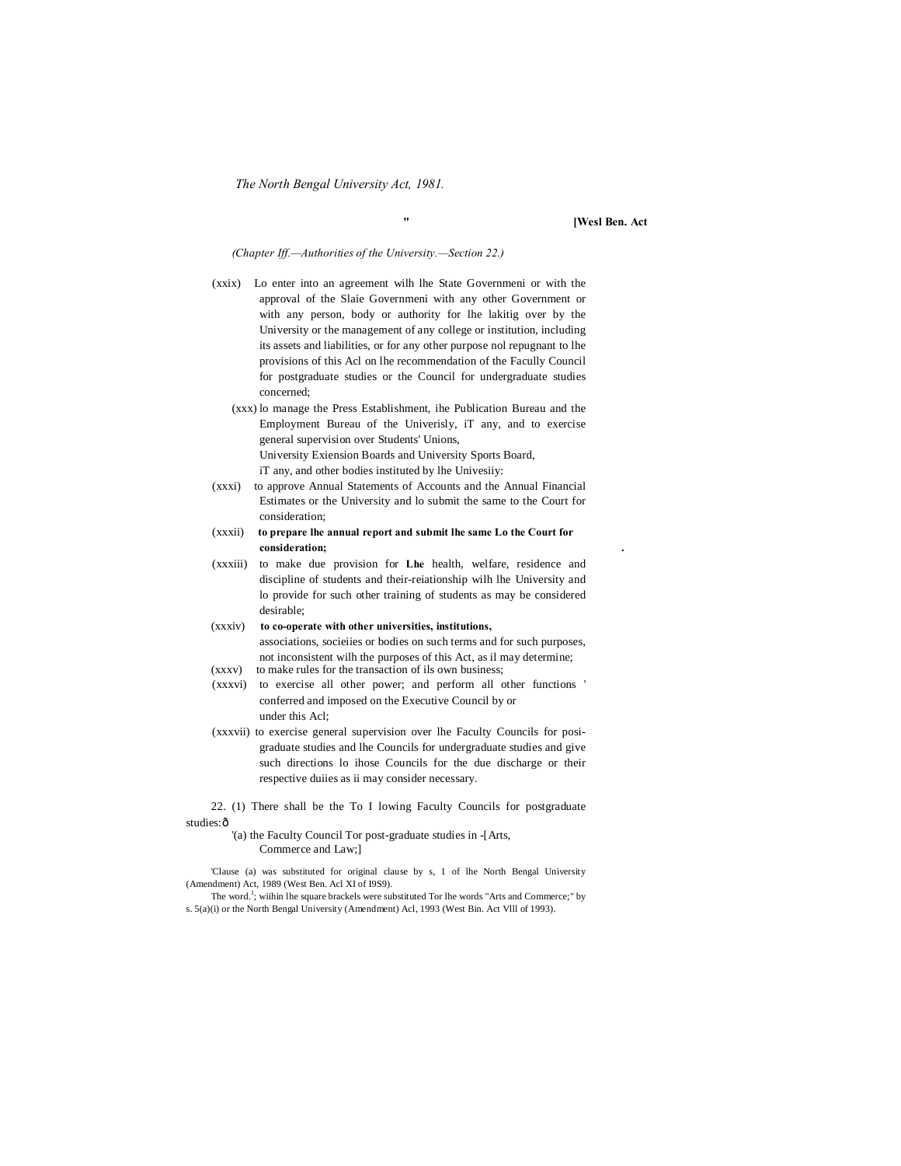*The North Bengal University Act, 1981.*

**" [Wesl Ben. Act**

*(Chapter Iff.—Authorities of the University.—Section 22.)*

- (xxix) Lo enter into an agreement wilh lhe State Governmeni or with the approval of the Slaie Governmeni with any other Government or with any person, body or authority for lhe lakitig over by the University or the management of any college or institution, including its assets and liabilities, or for any other purpose nol repugnant to lhe provisions of this Acl on lhe recommendation of the Facully Council for postgraduate studies or the Council for undergraduate studies concerned;
	- (xxx) lo manage the Press Establishment, ihe Publication Bureau and the Employment Bureau of the Univerisly, iT any, and to exercise general supervision over Students' Unions, University Exiension Boards and University Sports Board, iT any, and other bodies instituted by lhe Univesiiy:
- (xxxi) to approve Annual Statements of Accounts and the Annual Financial Estimates or the University and lo submit the same to the Court for consideration;
- (xxxii) **to prepare lhe annual report and submit lhe same Lo the Court for consideration; .**
- (xxxiii) to make due provision for **Lhe** health, welfare, residence and discipline of students and their-reiationship wilh lhe University and lo provide for such other training of students as may be considered desirable;
- (xxxiv) **to co-operate with other universities, institutions,** associations, socieiies or bodies on such terms and for such purposes, not inconsistent wilh the purposes of this Act, as il may determine;
- (xxxv) to make rules for the transaction of ils own business;
- (xxxvi) to exercise all other power; and perform all other functions ' conferred and imposed on the Executive Council by or under this Acl;
- (xxxvii) to exercise general supervision over lhe Faculty Councils for posigraduate studies and lhe Councils for undergraduate studies and give such directions lo ihose Councils for the due discharge or their respective duiies as ii may consider necessary.

22. (1) There shall be the To I lowing Faculty Councils for postgraduate studies: ô

> '(a) the Faculty Council Tor post-graduate studies in -[Arts, Commerce and Law;]

'Clause (a) was substituted for original clause by s, 1 of lhe North Bengal University (Amendment) Act, 1989 (West Ben. Acl XI of I9S9).

The word.<sup>1</sup>; wiihin lhe square brackels were substituted Tor lhe words "Arts and Commerce;" by s. 5(a)(i) or the North Bengal University (Amendment) Acl, 1993 (West Bin. Act Vlll of 1993).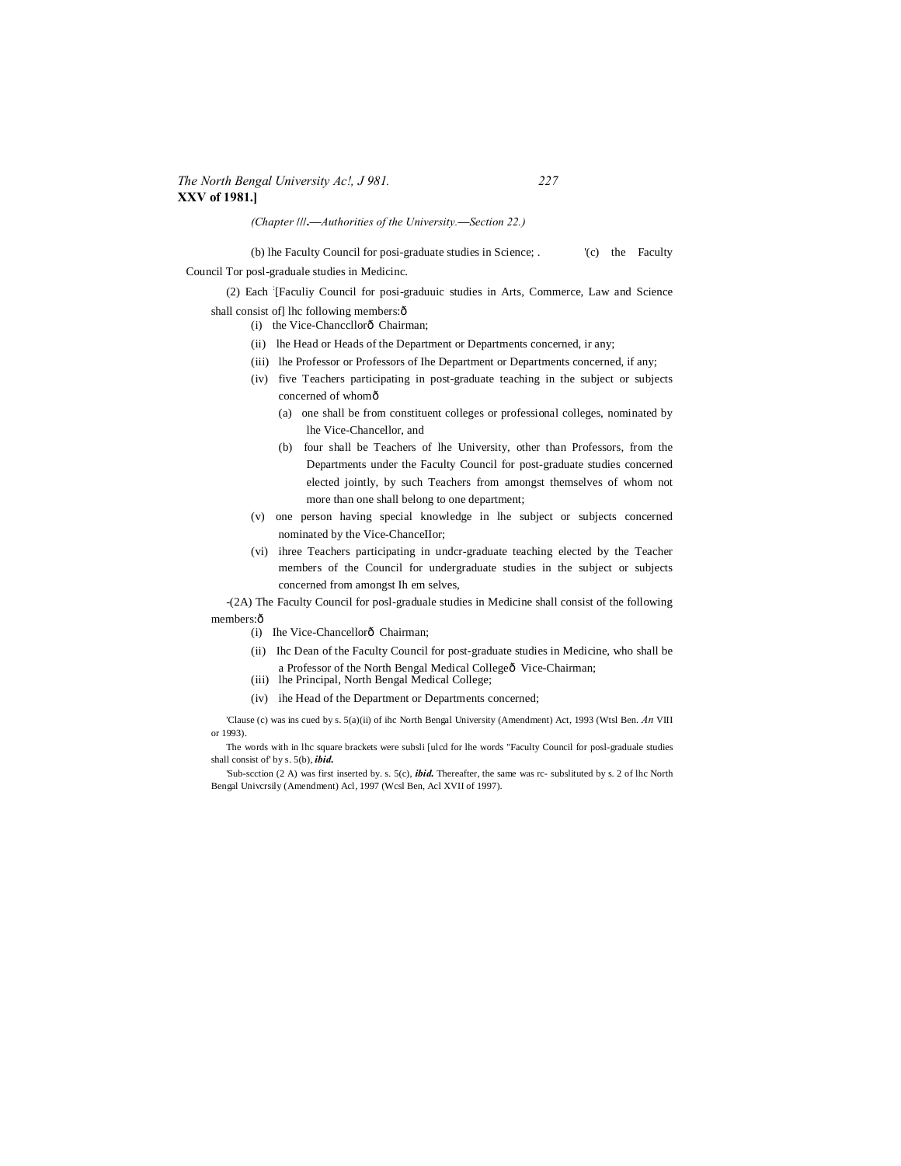# *The North Bengal University Ac!, J 981. 227* **XXV of 1981.]**

*(Chapter* **///.—***Authorities of the University.***—***Section 22.)*

(b) lhe Faculty Council for posi-graduate studies in Science; . '(c) the Faculty Council Tor posl-graduale studies in Medicinc.

(2) Each : [Faculiy Council for posi-graduuic studies in Arts, Commerce, Law and Science shall consist ofl lhc following members: $\hat{o}$ 

- (i) the Vice-Chancellorô Chairman;
- (ii) lhe Head or Heads of the Department or Departments concerned, ir any;
- (iii) lhe Professor or Professors of Ihe Department or Departments concerned, if any;
- (iv) five Teachers participating in post-graduate teaching in the subject or subjects concerned of whomô
	- (a) one shall be from constituent colleges or professional colleges, nominated by lhe Vice-Chancellor, and
	- (b) four shall be Teachers of lhe University, other than Professors, from the Departments under the Faculty Council for post-graduate studies concerned elected jointly, by such Teachers from amongst themselves of whom not more than one shall belong to one department;
- (v) one person having special knowledge in lhe subject or subjects concerned nominated by the Vice-ChanceIIor;
- (vi) ihree Teachers participating in undcr-graduate teaching elected by the Teacher members of the Council for undergraduate studies in the subject or subjects concerned from amongst Ih em selves,

-(2A) The Faculty Council for posl-graduale studies in Medicine shall consist of the following members: ô

- (i) Ihe Vice-Chancellorô Chairman;
- (ii) Ihc Dean of the Faculty Council for post-graduate studies in Medicine, who shall be a Professor of the North Bengal Medical Collegeô Vice-Chairman;
- (iii) lhe Principal, North Bengal Medical College;
- (iv) ihe Head of the Department or Departments concerned;

'Clause (c) was ins cued by s. 5(a)(ii) of ihc North Bengal University (Amendment) Act, 1993 (Wtsl Ben. *An* VIII or 1993).

The words with in lhc square brackets were subsli [ulcd for lhe words "Faculty Council for posl-graduale studies shall consist of' by s. 5(b), *ibid.*

'Sub-scction (2 A) was first inserted by. s. 5(c), *ibid.* Thereafter, the same was rc- subslituted by s. 2 of lhc North Bengal Univcrsily (Amendment) Acl, 1997 (Wcsl Ben, Acl XVII of 1997).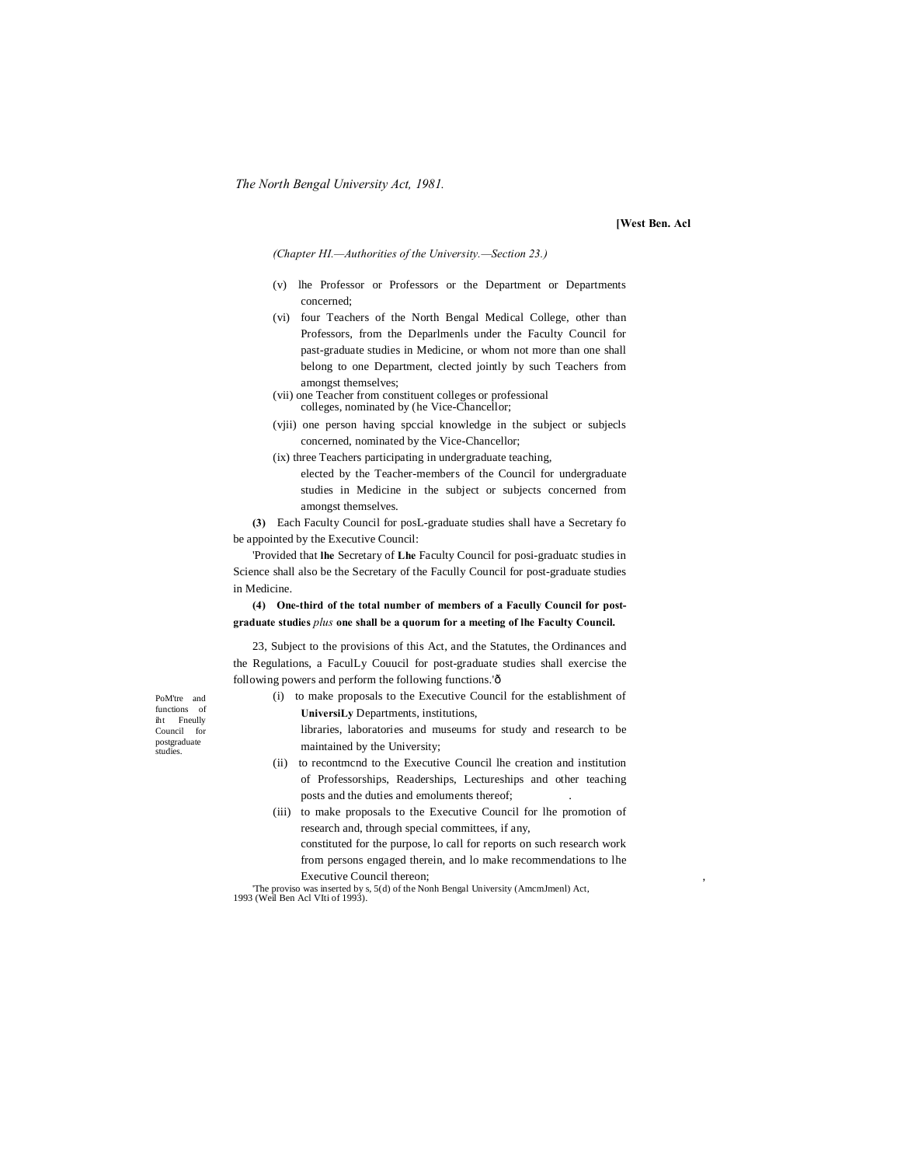#### **[West Ben. Acl**

*(Chapter HI.—Authorities of the University.—Section 23.)*

- (v) lhe Professor or Professors or the Department or Departments concerned;
- (vi) four Teachers of the North Bengal Medical College, other than Professors, from the Deparlmenls under the Faculty Council for past-graduate studies in Medicine, or whom not more than one shall belong to one Department, clected jointly by such Teachers from amongst themselves;
- (vii) one Teacher from constituent colleges or professional colleges, nominated by (he Vice-Chancellor;
- (vjii) one person having spccial knowledge in the subject or subjecls concerned, nominated by the Vice-Chancellor;
- (ix) three Teachers participating in undergraduate teaching,
	- elected by the Teacher-members of the Council for undergraduate studies in Medicine in the subject or subjects concerned from amongst themselves.

**(3)** Each Faculty Council for posL-graduate studies shall have a Secretary fo be appointed by the Executive Council:

'Provided that **lhe** Secretary of **Lhe** Faculty Council for posi-graduatc studies in Science shall also be the Secretary of the Facully Council for post-graduate studies in Medicine.

**(4) One-third of the total number of members of a Facully Council for postgraduate studies** *plus* **one shall be a quorum for a meeting of lhe Faculty Council.**

23, Subject to the provisions of this Act, and the Statutes, the Ordinances and the Regulations, a FaculLy Couucil for post-graduate studies shall exercise the following powers and perform the following functions.'ô

(i) to make proposals to the Executive Council for the establishment of **UniversiLy** Departments, institutions,

> libraries, laboratories and museums for study and research to be maintained by the University;

- (ii) to recontmcnd to the Executive Council lhe creation and institution of Professorships, Readerships, Lectureships and other teaching posts and the duties and emoluments thereof;
- (iii) to make proposals to the Executive Council for lhe promotion of research and, through special committees, if any,

constituted for the purpose, lo call for reports on such research work from persons engaged therein, and lo make recommendations to lhe Executive Council thereon;

'The proviso was inserted by s, 5(d) of the Nonh Bengal University (AmcmJmenl) Act, 1993 (Weil Ben Acl VIti of 1993).

PoM'tre and functions of iht Fneully Council for postgraduate studies.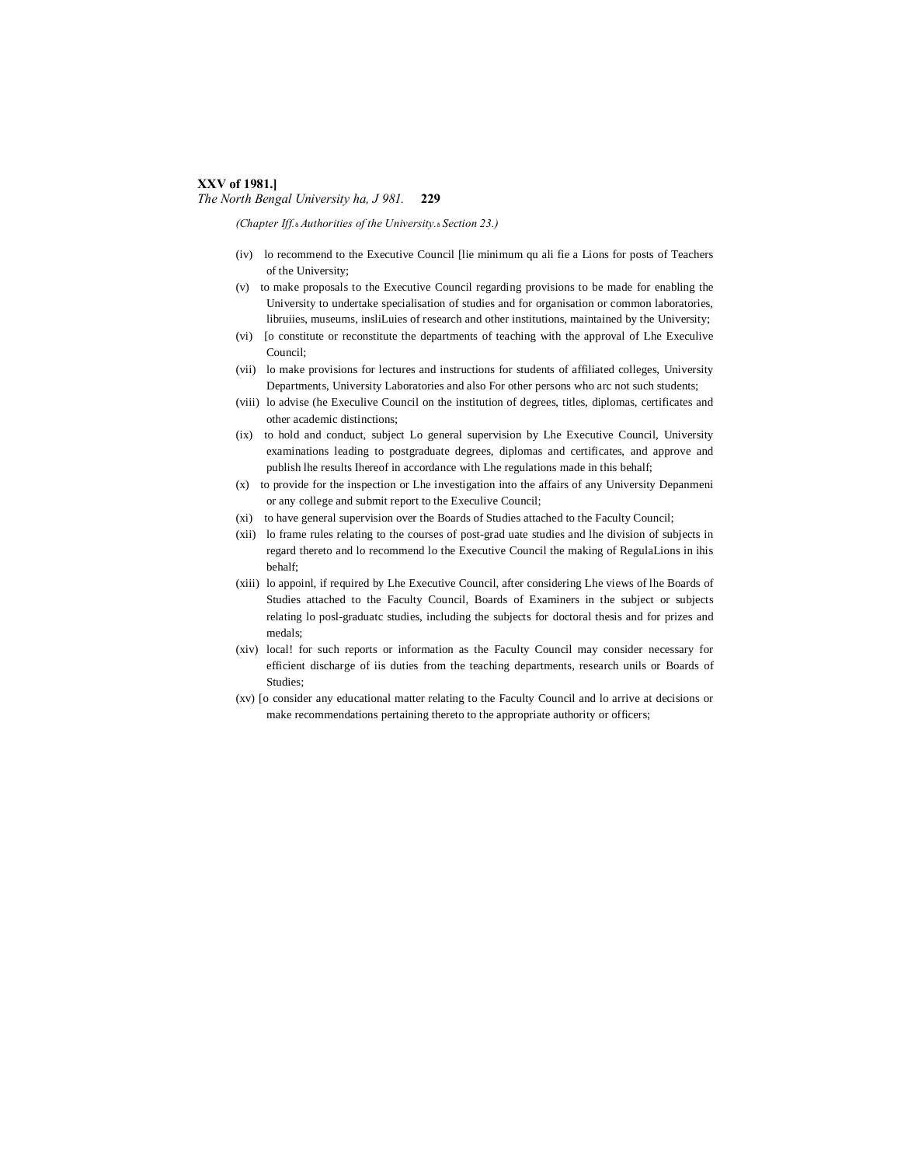# **XXV of 1981.]**

*The North Bengal University ha, J 981.* **229**

*(Chapter Iff.*—*Authorities of the University.*—*Section 23.)*

- (iv) lo recommend to the Executive Council [lie minimum qu ali fie a Lions for posts of Teachers of the University;
- (v) to make proposals to the Executive Council regarding provisions to be made for enabling the University to undertake specialisation of studies and for organisation or common laboratories, libruiies, museums, insliLuies of research and other institutions, maintained by the University;
- (vi) [o constitute or reconstitute the departments of teaching with the approval of Lhe Execulive Council;
- (vii) lo make provisions for lectures and instructions for students of affiliated colleges, University Departments, University Laboratories and also For other persons who arc not such students;
- (viii) lo advise (he Execulive Council on the institution of degrees, titles, diplomas, certificates and other academic distinctions;
- (ix) to hold and conduct, subject Lo general supervision by Lhe Executive Council, University examinations leading to postgraduate degrees, diplomas and certificates, and approve and publish lhe results Ihereof in accordance with Lhe regulations made in this behalf;
- (x) to provide for the inspection or Lhe investigation into the affairs of any University Depanmeni or any college and submit report to the Execulive Council;
- (xi) to have general supervision over the Boards of Studies attached to the Faculty Council;
- (xii) lo frame rules relating to the courses of post-grad uate studies and lhe division of subjects in regard thereto and lo recommend lo the Executive Council the making of RegulaLions in ihis behalf;
- (xiii) lo appoinl, if required by Lhe Executive Council, after considering Lhe views of lhe Boards of Studies attached to the Faculty Council, Boards of Examiners in the subject or subjects relating lo posl-graduatc studies, including the subjects for doctoral thesis and for prizes and medals;
- (xiv) local! for such reports or information as the Faculty Council may consider necessary for efficient discharge of iis duties from the teaching departments, research unils or Boards of Studies;
- (xv) [o consider any educational matter relating to the Faculty Council and lo arrive at decisions or make recommendations pertaining thereto to the appropriate authority or officers;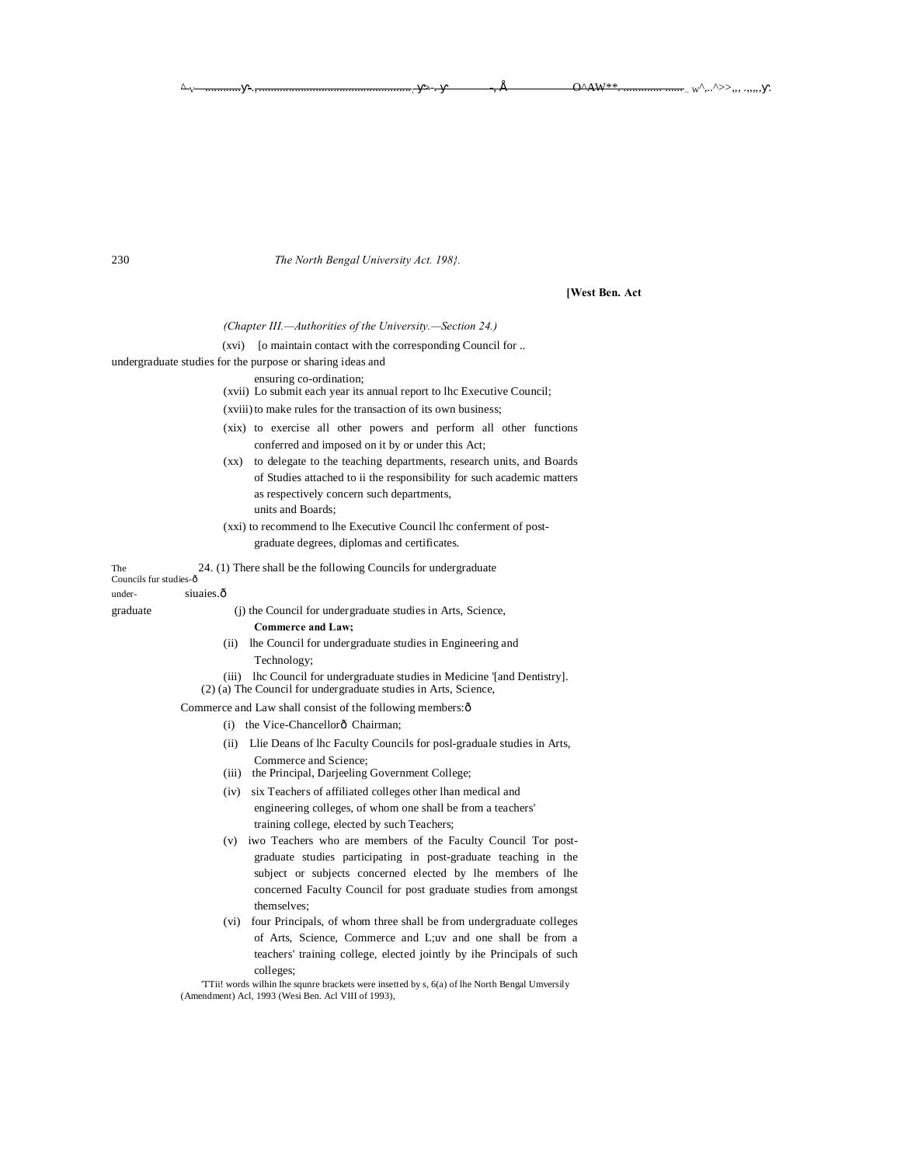#### 230 *The North Bengal University Act. 198}.*

**[West Ben. Act**

 $\text{w}^{\wedge},\ldots^{\wedge}>>_{\wedge}, \ldots,_{\wedge},\ldots$ 

*(Chapter III.—Authorities of the University.—Section 24.)*

(xvi) [o maintain contact with the corresponding Council for ..

undergraduate studies for the purpose or sharing ideas and

ensuring co-ordination;

(xvii) Lo submit each year its annual report to lhc Executive Council;

(xviii) to make rules for the transaction of its own business;

- (xix) to exercise all other powers and perform all other functions conferred and imposed on it by or under this Act;
- (xx) to delegate to the teaching departments, research units, and Boards of Studies attached to ii the responsibility for such academic matters as respectively concern such departments, units and Boards;
- (xxi) to recommend to lhe Executive Council lhc conferment of postgraduate degrees, diplomas and certificates.

The 24. (1) There shall be the following Councils for undergraduate Councils fur studies-ô

# under- siuaies.ô

- graduate (j) the Council for undergraduate studies in Arts, Science, **Commerce and Law;**
	- (ii) lhe Council for undergraduate studies in Engineering and Technology;

(iii) lhc Council for undergraduate studies in Medicine '[and Dentistry].

(2) (a) The Council for undergraduate studies in Arts, Science,

Commerce and Law shall consist of the following members: $\delta$ 

- (i) the Vice-Chancellorô Chairman;
- (ii) Llie Deans of lhc Faculty Councils for posl-graduale studies in Arts, Commerce and Science;
- (iii) the Principal, Darjeeling Government College;
- (iv) six Teachers of affiliated colleges other lhan medical and engineering colleges, of whom one shall be from a teachers' training college, elected by such Teachers;
- (v) iwo Teachers who are members of the Faculty Council Tor postgraduate studies participating in post-graduate teaching in the subject or subjects concerned elected by lhe members of lhe concerned Faculty Council for post graduate studies from amongst themselves;
- (vi) four Principals, of whom three shall be from undergraduate colleges of Arts, Science, Commerce and L;uv and one shall be from a teachers' training college, elected jointly by ihe Principals of such colleges;

'TTii! words wilhin Ihe squnre brackets were insetted by s, 6(a) of lhe North Bengal Umversily (Amendment) Acl, 1993 (Wesi Ben. Acl VIII of 1993),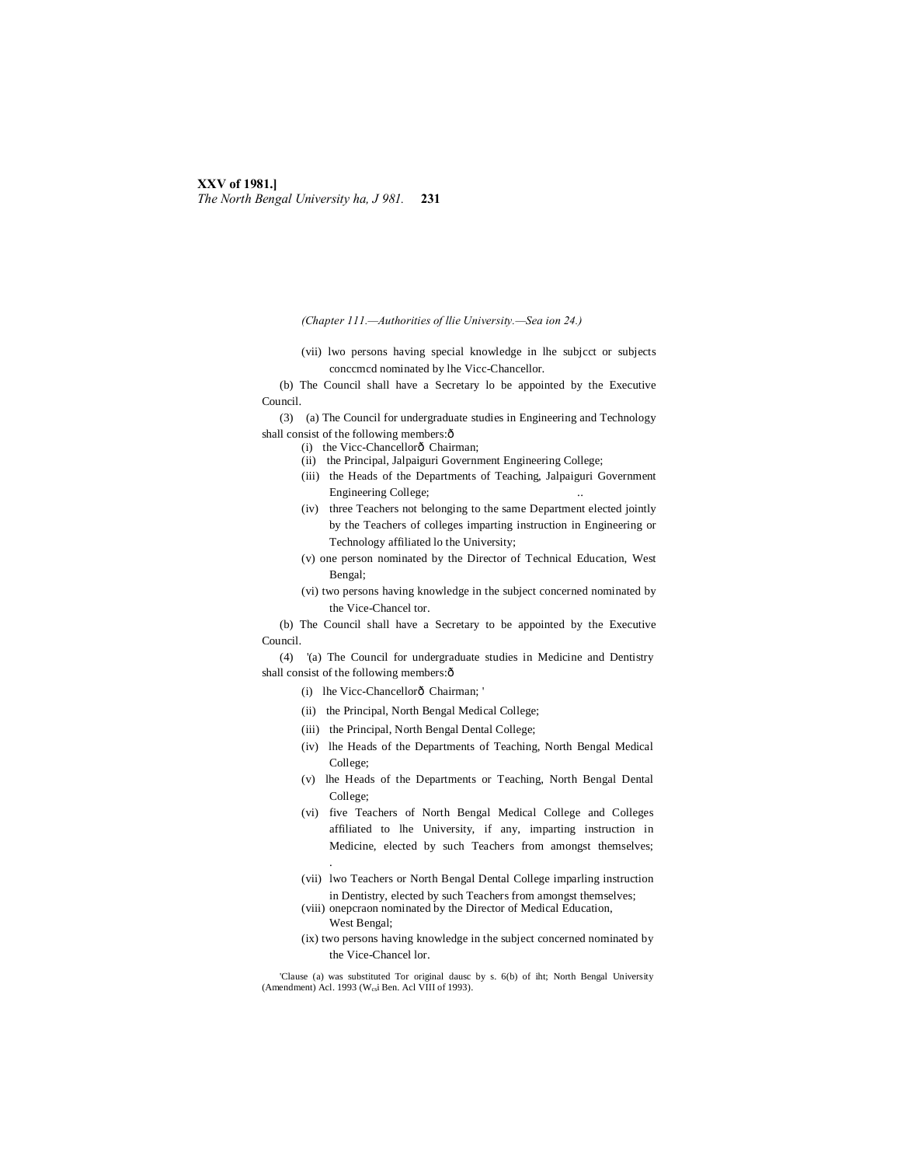#### **XXV of 1981.]** *The North Bengal University ha, J 981.* **231**

*(Chapter 111.—Authorities of llie University.—Sea ion 24.)*

(vii) lwo persons having special knowledge in lhe subjcct or subjects conccmcd nominated by lhe Vicc-Chancellor.

(b) The Council shall have a Secretary lo be appointed by the Executive Council.

(3) (a) The Council for undergraduate studies in Engineering and Technology shall consist of the following members: $\hat{o}$ 

(i) the Vicc-Chancellorô Chairman;

- (ii) the Principal, Jalpaiguri Government Engineering College;
- (iii) the Heads of the Departments of Teaching, Jalpaiguri Government Engineering College;
- (iv) three Teachers not belonging to the same Department elected jointly by the Teachers of colleges imparting instruction in Engineering or Technology affiliated lo the University;
- (v) one person nominated by the Director of Technical Education, West Bengal;
- (vi) two persons having knowledge in the subject concerned nominated by the Vice-Chancel tor.

(b) The Council shall have a Secretary to be appointed by the Executive Council.

(4) '(a) The Council for undergraduate studies in Medicine and Dentistry shall consist of the following members: $\hat{o}$ 

- (i) lhe Vicc-Chancellorô Chairman; '
- (ii) the Principal, North Bengal Medical College;
- (iii) the Principal, North Bengal Dental College;
- (iv) lhe Heads of the Departments of Teaching, North Bengal Medical College;
- (v) lhe Heads of the Departments or Teaching, North Bengal Dental College;
- (vi) five Teachers of North Bengal Medical College and Colleges affiliated to lhe University, if any, imparting instruction in Medicine, elected by such Teachers from amongst themselves; .
- (vii) lwo Teachers or North Bengal Dental College imparling instruction in Dentistry, elected by such Teachers from amongst themselves;
- (viii) onepcraon nominated by the Director of Medical Education, West Bengal;
- (ix) two persons having knowledge in the subject concerned nominated by the Vice-Chancel lor.

'Clause (a) was substituted Tor original dausc by s. 6(b) of iht; North Bengal University (Amendment) Acl. 1993 (W<sub>cs</sub>i Ben. Acl VIII of 1993).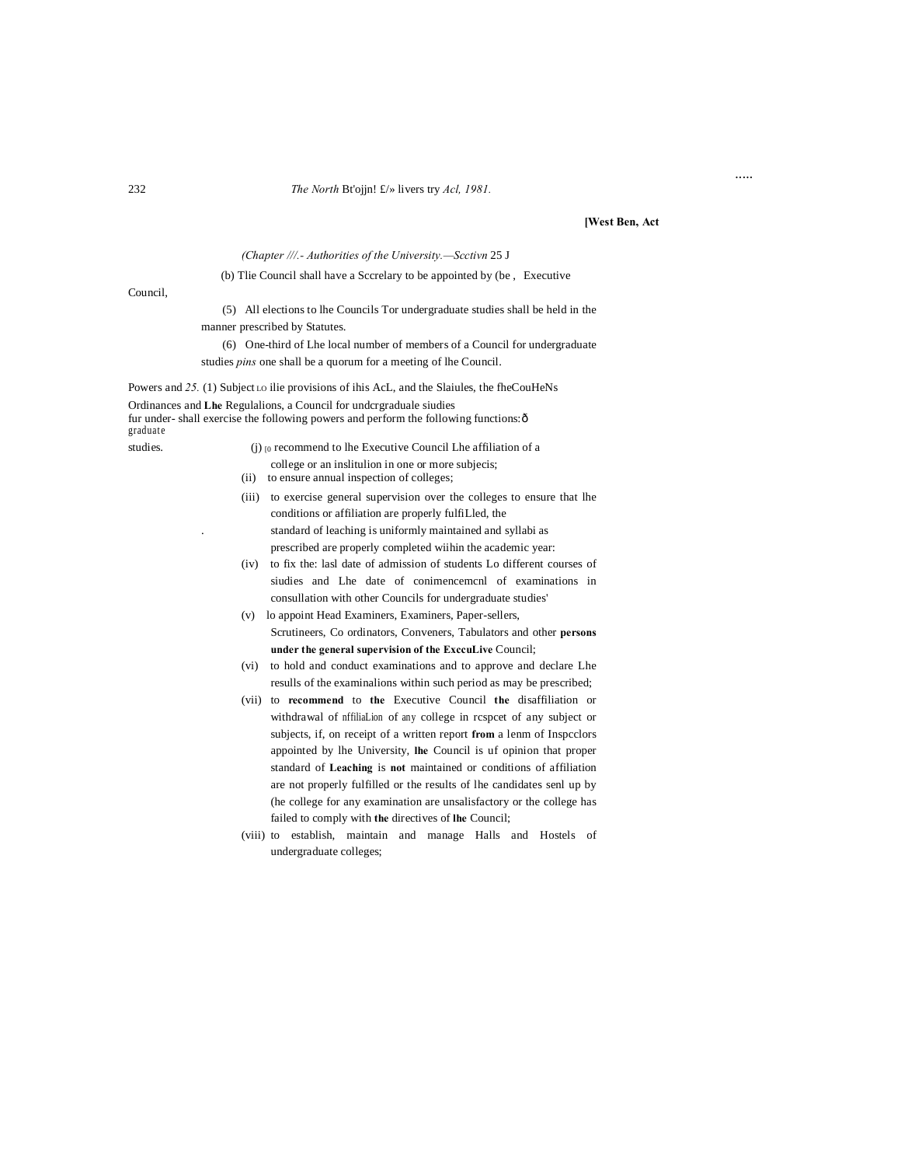#### The North Bt'ojjn!  $f\gg$  livers try Acl, 1981.

#### [West Ben, Act

 $\cdots$ 

#### (Chapter ///.- Authorities of the University.-Scctivn 25 J

#### (b) Tlie Council shall have a Sccrelary to be appointed by (be, Executive

Council,

(5) All elections to lhe Councils Tor undergraduate studies shall be held in the manner prescribed by Statutes.

(6) One-third of Lhe local number of members of a Council for undergraduate studies *pins* one shall be a quorum for a meeting of lhe Council.

Powers and 25. (1) Subject Lo ilie provisions of ihis AcL, and the Slaiules, the fheCouHeNs

Ordinances and Lhe Regulalions, a Council for undergraduale siudies fur under-shall exercise the following powers and perform the following functions: ô graduate

studies.

- (j)  $_{[0]}$  recommend to lhe Executive Council Lhe affiliation of a
- college or an inslitulion in one or more subjecis; (ii) to ensure annual inspection of colleges;
- (iii) to exercise general supervision over the colleges to ensure that lhe conditions or affiliation are properly fulfiLled, the standard of leaching is uniformly maintained and syllabi as prescribed are properly completed wiihin the academic year:
- (iv) to fix the: lasl date of admission of students Lo different courses of siudies and Lhe date of conimencemenl of examinations in consullation with other Councils for undergraduate studies'
- (v) lo appoint Head Examiners, Examiners, Paper-sellers, Scrutineers, Co ordinators, Conveners, Tabulators and other persons under the general supervision of the ExccuLive Council;
- (vi) to hold and conduct examinations and to approve and declare Lhe resulls of the examinalions within such period as may be prescribed;
- (vii) to recommend to the Executive Council the disaffiliation or withdrawal of nffiliaLion of any college in rcspcet of any subject or subjects, if, on receipt of a written report from a lenm of Inspeclors appointed by lhe University, lhe Council is uf opinion that proper standard of Leaching is not maintained or conditions of affiliation are not properly fulfilled or the results of lhe candidates senl up by (he college for any examination are unsalisfactory or the college has failed to comply with the directives of lhe Council;
- (viii) to establish, maintain and manage Halls and Hostels of undergraduate colleges;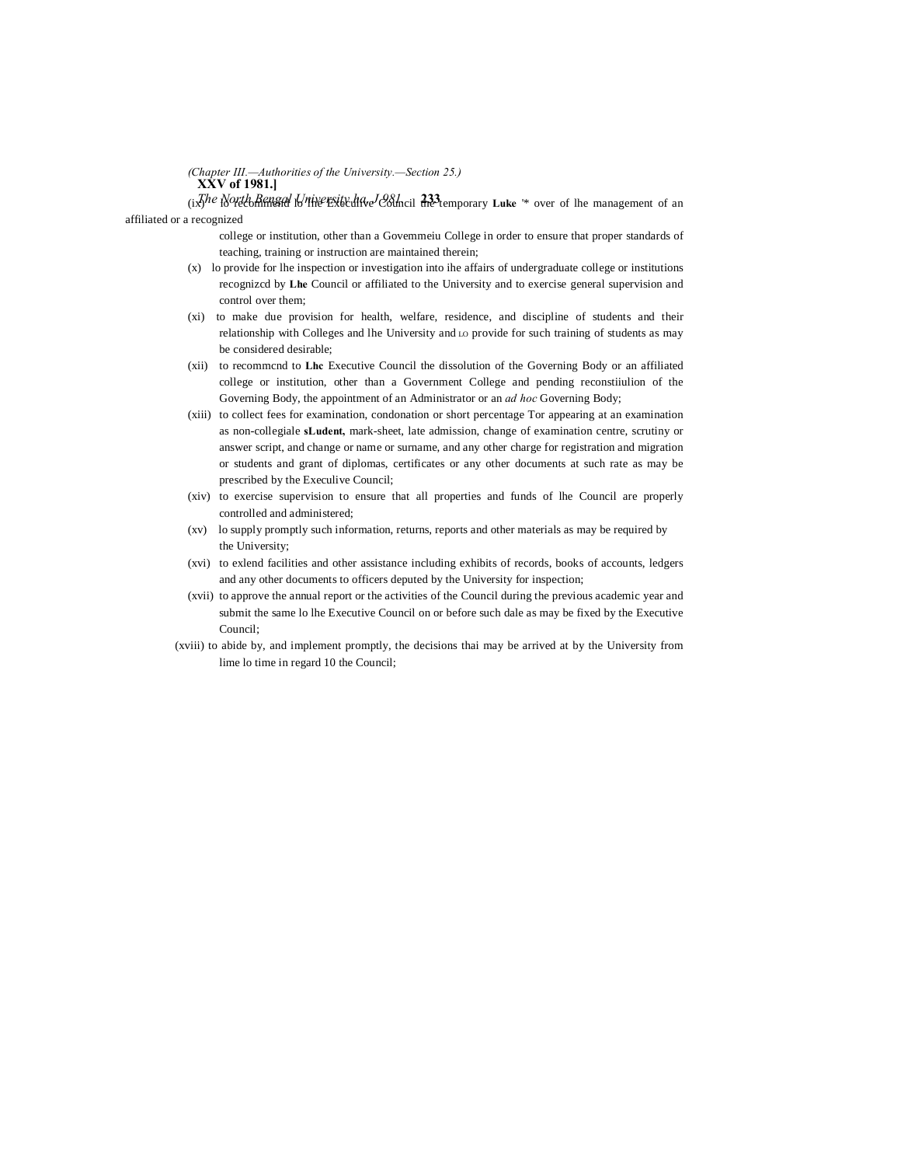**XXV of 1981.]** *(Chapter III.—Authorities of the University.—Section 25.)*

(ixThe North Bengal University ha<sub>c</sub>e Colncil  $\frac{333}{100}$  temporary **Luke** <sup>'\*</sup> over of lhe management of an affiliated or a recognized

> college or institution, other than a Govemmeiu College in order to ensure that proper standards of teaching, training or instruction are maintained therein;

- (x) lo provide for lhe inspection or investigation into ihe affairs of undergraduate college or institutions recognizcd by **Lhe** Council or affiliated to the University and to exercise general supervision and control over them;
- (xi) to make due provision for health, welfare, residence, and discipline of students and their relationship with Colleges and lhe University and LO provide for such training of students as may be considered desirable;
- (xii) to recommcnd to **Lhc** Executive Council the dissolution of the Governing Body or an affiliated college or institution, other than a Government College and pending reconstiiulion of the Governing Body, the appointment of an Administrator or an *ad hoc* Governing Body;
- (xiii) to collect fees for examination, condonation or short percentage Tor appearing at an examination as non-collegiale **sLudent,** mark-sheet, late admission, change of examination centre, scrutiny or answer script, and change or name or surname, and any other charge for registration and migration or students and grant of diplomas, certificates or any other documents at such rate as may be prescribed by the Execulive Council;
- (xiv) to exercise supervision to ensure that all properties and funds of lhe Council are properly controlled and administered;
- (xv) lo supply promptly such information, returns, reports and other materials as may be required by the University;
- (xvi) to exlend facilities and other assistance including exhibits of records, books of accounts, ledgers and any other documents to officers deputed by the University for inspection;
- (xvii) to approve the annual report or the activities of the Council during the previous academic year and submit the same lo lhe Executive Council on or before such dale as may be fixed by the Executive Council;
- (xviii) to abide by, and implement promptly, the decisions thai may be arrived at by the University from lime lo time in regard 10 the Council;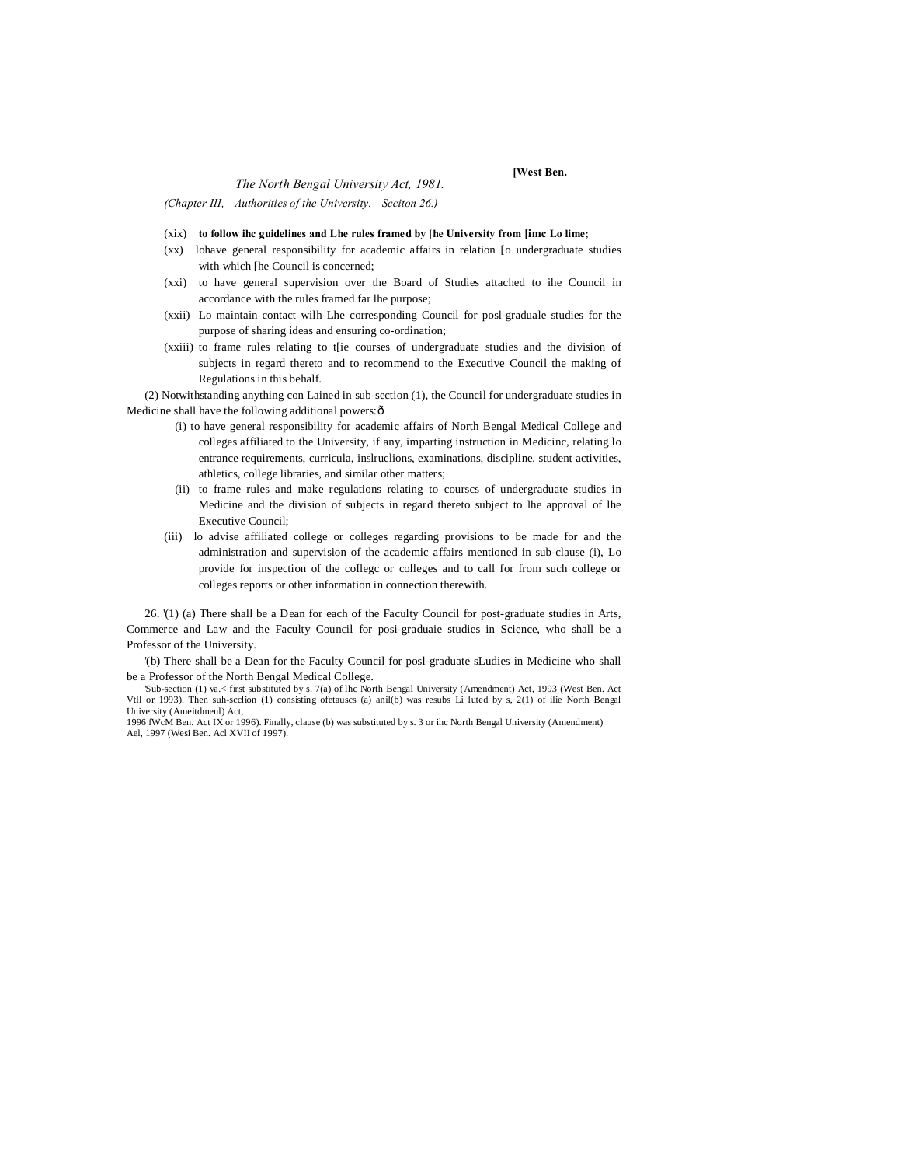#### *The North Bengal University Act, 1981.*

*(Chapter III,—Authorities of the University.—Scciton 26.)*

- (xix) **to follow ihc guidelines and Lhe rules framed by [he University from [imc Lo lime;**
- (xx) lohave general responsibility for academic affairs in relation [o undergraduate studies with which [he Council is concerned;

**[West Ben.**

- (xxi) to have general supervision over the Board of Studies attached to ihe Council in accordance with the rules framed far lhe purpose;
- (xxii) Lo maintain contact wilh Lhe corresponding Council for posl-graduale studies for the purpose of sharing ideas and ensuring co-ordination;
- (xxiii) to frame rules relating to t[ie courses of undergraduate studies and the division of subjects in regard thereto and to recommend to the Executive Council the making of Regulations in this behalf.

(2) Notwithstanding anything con Lained in sub-section (1), the Council for undergraduate studies in Medicine shall have the following additional powers: ô

- (i) to have general responsibility for academic affairs of North Bengal Medical College and colleges affiliated to the University, if any, imparting instruction in Medicinc, relating lo entrance requirements, curricula, inslruclions, examinations, discipline, student activities, athletics, college libraries, and similar other matters;
- (ii) to frame rules and make regulations relating to courscs of undergraduate studies in Medicine and the division of subjects in regard thereto subject to lhe approval of lhe Executive Council;
- (iii) lo advise affiliated college or colleges regarding provisions to be made for and the administration and supervision of the academic affairs mentioned in sub-clause (i), Lo provide for inspection of the coIlegc or colleges and to call for from such college or colleges reports or other information in connection therewith.

26. '(1) (a) There shall be a Dean for each of the Faculty Council for post-graduate studies in Arts, Commerce and Law and the Faculty Council for posi-graduaie studies in Science, who shall be a Professor of the University.

'(b) There shall be a Dean for the Faculty Council for posl-graduate sLudies in Medicine who shall be a Professor of the North Bengal Medical College.

'Sub-section (1) va.< first substituted by s. 7(a) of lhc North Bengal University (Amendment) Act, 1993 (West Ben. Act Vtll or 1993). Then suh-scclion (1) consisting ofetauscs (a) anil(b) was resubs Li luted by s, 2(1) of ilie North Bengal University (Ameitdmenl) Act,

1996 fWcM Ben. Act IX or 1996). Finally, clause (b) was substituted by s. 3 or ihc North Bengal University (Amendment) Ael, 1997 (Wesi Ben. Acl XVII of 1997).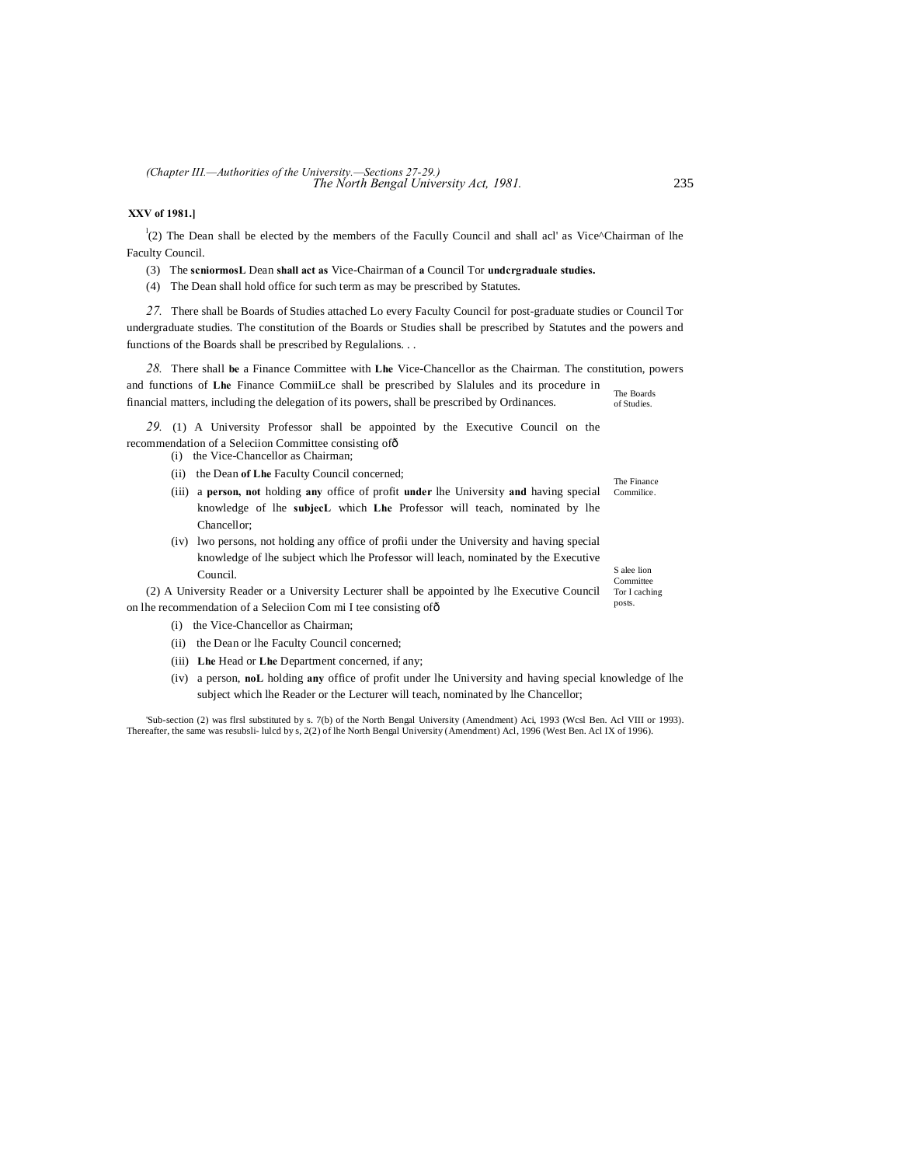*The North Bengal University Act, 1981.* 235 *(Chapter III.—Authorities of the University.—Sections 27-29.)*

### **XXV of 1981.]**

 $\binom{1}{2}$  The Dean shall be elected by the members of the Facully Council and shall acl' as Vice^Chairman of lhe Faculty Council.

- (3) The **scniormosL** Dean **shall act as** Vice-Chairman of **a** Council Tor **undcrgraduale studies.**
- (4) The Dean shall hold office for such term as may be prescribed by Statutes.

*27.* There shall be Boards of Studies attached Lo every Faculty Council for post-graduate studies or Council Tor undergraduate studies. The constitution of the Boards or Studies shall be prescribed by Statutes and the powers and functions of the Boards shall be prescribed by Regulalions. . .

The Boards of Studies. *28.* There shall **be** a Finance Committee with **Lhe** Vice-Chancellor as the Chairman. The constitution, powers and functions of **Lhe** Finance CommiiLce shall be prescribed by Slalules and its procedure in financial matters, including the delegation of its powers, shall be prescribed by Ordinances.

*29.* (1) A University Professor shall be appointed by the Executive Council on the recommendation of a Seleciion Committee consisting of  $\delta$ 

(i) the Vice-Chancellor as Chairman;

- (ii) the Dean **of Lhe** Faculty Council concerned;
- Commilice. (iii) a **person, not** holding **any** office of profit **under** lhe University **and** having special knowledge of lhe **subjecL** which **Lhe** Professor will teach, nominated by lhe Chancellor;
- (iv) lwo persons, not holding any office of profii under the University and having special knowledge of lhe subject which lhe Professor will leach, nominated by the Executive Council.

Tor I caching posts. (2) A University Reader or a University Lecturer shall be appointed by lhe Executive Council on lhe recommendation of a Seleciion Com mi I tee consisting of—

- (i) the Vice-Chancellor as Chairman;
- (ii) the Dean or lhe Faculty Council concerned;
- (iii) **Lhe** Head or **Lhe** Department concerned, if any;
- (iv) a person, **noL** holding **any** office of profit under lhe University and having special knowledge of lhe subject which lhe Reader or the Lecturer will teach, nominated by lhe Chancellor;

'Sub-section (2) was flrsl substituted by s. 7(b) of the North Bengal University (Amendment) Aci, 1993 (Wcsl Ben. Acl VIII or 1993). Thereafter, the same was resubsli- lulcd by s, 2(2) of lhe North Bengal University (Amendment) Acl, 1996 (West Ben. Acl IX of 1996).

The Finance

S alee lion Committee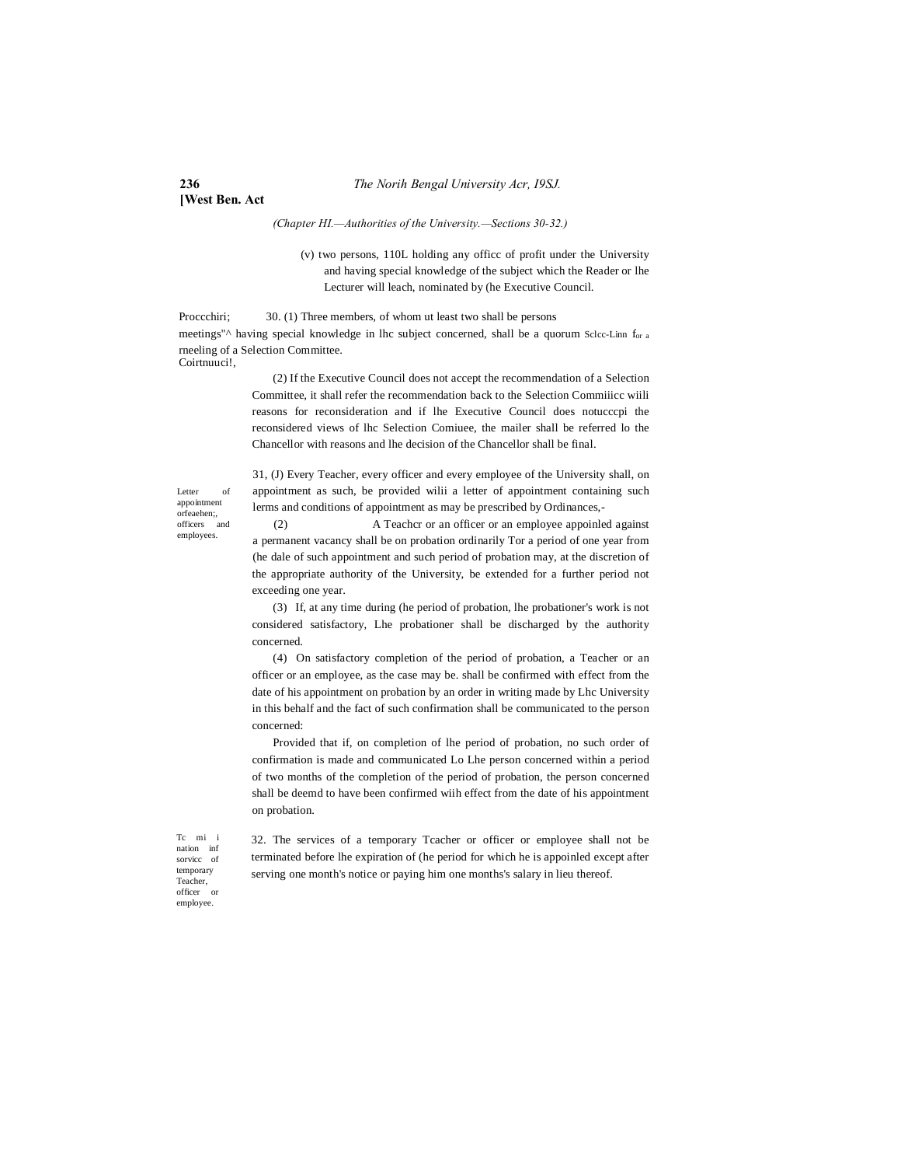# **[West Ben. Act**

#### *(Chapter HI.—Authorities of the University.—Sections 30-32.)*

(v) two persons, 110L holding any officc of profit under the University and having special knowledge of the subject which the Reader or lhe Lecturer will leach, nominated by (he Executive Council.

Proccchiri; 30. (1) Three members, of whom ut least two shall be persons meetings" $\wedge$  having special knowledge in lhc subject concerned, shall be a quorum Sclcc-Linn f<sub>or a</sub> rneeling of a Selection Committee. Coirtnuuci!,

> (2) If the Executive Council does not accept the recommendation of a Selection Committee, it shall refer the recommendation back to the Selection Commiiicc wiili reasons for reconsideration and if lhe Executive Council does notucccpi the reconsidered views of lhc Selection Comiuee, the mailer shall be referred lo the Chancellor with reasons and lhe decision of the Chancellor shall be final.

Letter of appointment orfeaehen;, officers and employees.

31, (J) Every Teacher, every officer and every employee of the University shall, on appointment as such, be provided wilii a letter of appointment containing such lerms and conditions of appointment as may be prescribed by Ordinances,-

(2) A Teachcr or an officer or an employee appoinled against a permanent vacancy shall be on probation ordinarily Tor a period of one year from (he dale of such appointment and such period of probation may, at the discretion of the appropriate authority of the University, be extended for a further period not exceeding one year.

(3) If, at any time during (he period of probation, lhe probationer's work is not considered satisfactory, Lhe probationer shall be discharged by the authority concerned.

(4) On satisfactory completion of the period of probation, a Teacher or an officer or an employee, as the case may be. shall be confirmed with effect from the date of his appointment on probation by an order in writing made by Lhc University in this behalf and the fact of such confirmation shall be communicated to the person concerned:

Provided that if, on completion of lhe period of probation, no such order of confirmation is made and communicated Lo Lhe person concerned within a period of two months of the completion of the period of probation, the person concerned shall be deemd to have been confirmed wiih effect from the date of his appointment on probation.

Tc mi i nation inf sorvicc of temporary Teacher, officer or employee.

32. The services of a temporary Tcacher or officer or employee shall not be terminated before lhe expiration of (he period for which he is appoinled except after serving one month's notice or paying him one months's salary in lieu thereof.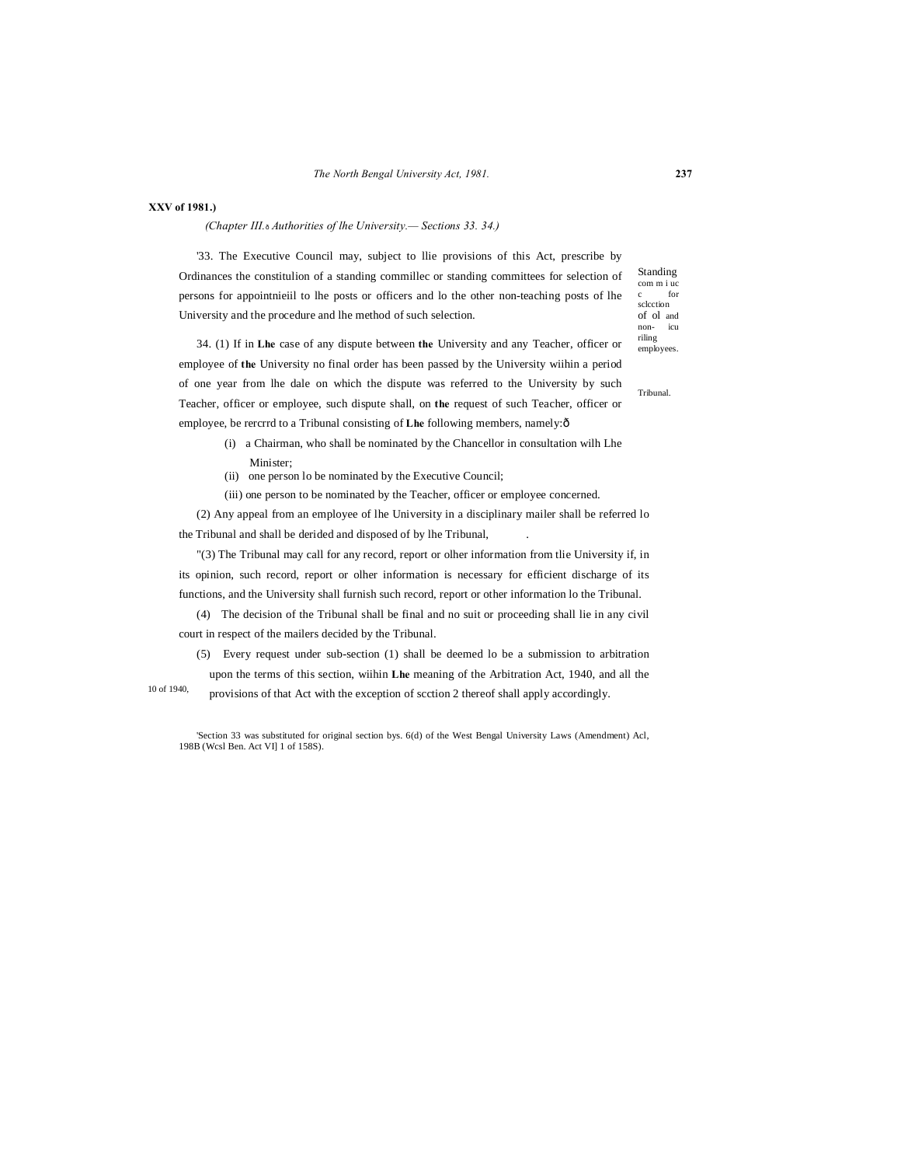#### **XXV of 1981.)**

*(Chapter III.*—*Authorities of lhe University.— Sections 33. 34.)*

'33. The Executive Council may, subject to llie provisions of this Act, prescribe by Ordinances the constitulion of a standing commillec or standing committees for selection of persons for appointnieiil to lhe posts or officers and lo the other non-teaching posts of lhe University and the procedure and lhe method of such selection.

34. (1) If in **Lhe** case of any dispute between **the** University and any Teacher, officer or employee of **the** University no final order has been passed by the University wiihin a period of one year from lhe dale on which the dispute was referred to the University by such Teacher, officer or employee, such dispute shall, on **the** request of such Teacher, officer or employee, be rercrrd to a Tribunal consisting of Lhe following members, namely: $\delta$ 

- (i) a Chairman, who shall be nominated by the Chancellor in consultation wilh Lhe Minister;
- (ii) one person lo be nominated by the Executive Council;
- (iii) one person to be nominated by the Teacher, officer or employee concerned.

(2) Any appeal from an employee of lhe University in a disciplinary mailer shall be referred lo the Tribunal and shall be derided and disposed of by lhe Tribunal,

"(3) The Tribunal may call for any record, report or olher information from tlie University if, in its opinion, such record, report or olher information is necessary for efficient discharge of its functions, and the University shall furnish such record, report or other information lo the Tribunal.

(4) The decision of the Tribunal shall be final and no suit or proceeding shall lie in any civil court in respect of the mailers decided by the Tribunal.

(5) Every request under sub-section (1) shall be deemed lo be a submission to arbitration upon the terms of this section, wiihin **Lhe** meaning of the Arbitration Act, 1940, and all the

10 of 1940, provisions of that Act with the exception of scction 2 thereof shall apply accordingly.

'Section 33 was substituted for original section bys. 6(d) of the West Bengal University Laws (Amendment) Acl, 198B (Wcsl Ben. Act VI] 1 of 158S).

riling employees.

Tribunal.

Standing com m i uc for sclection of ol and non- icu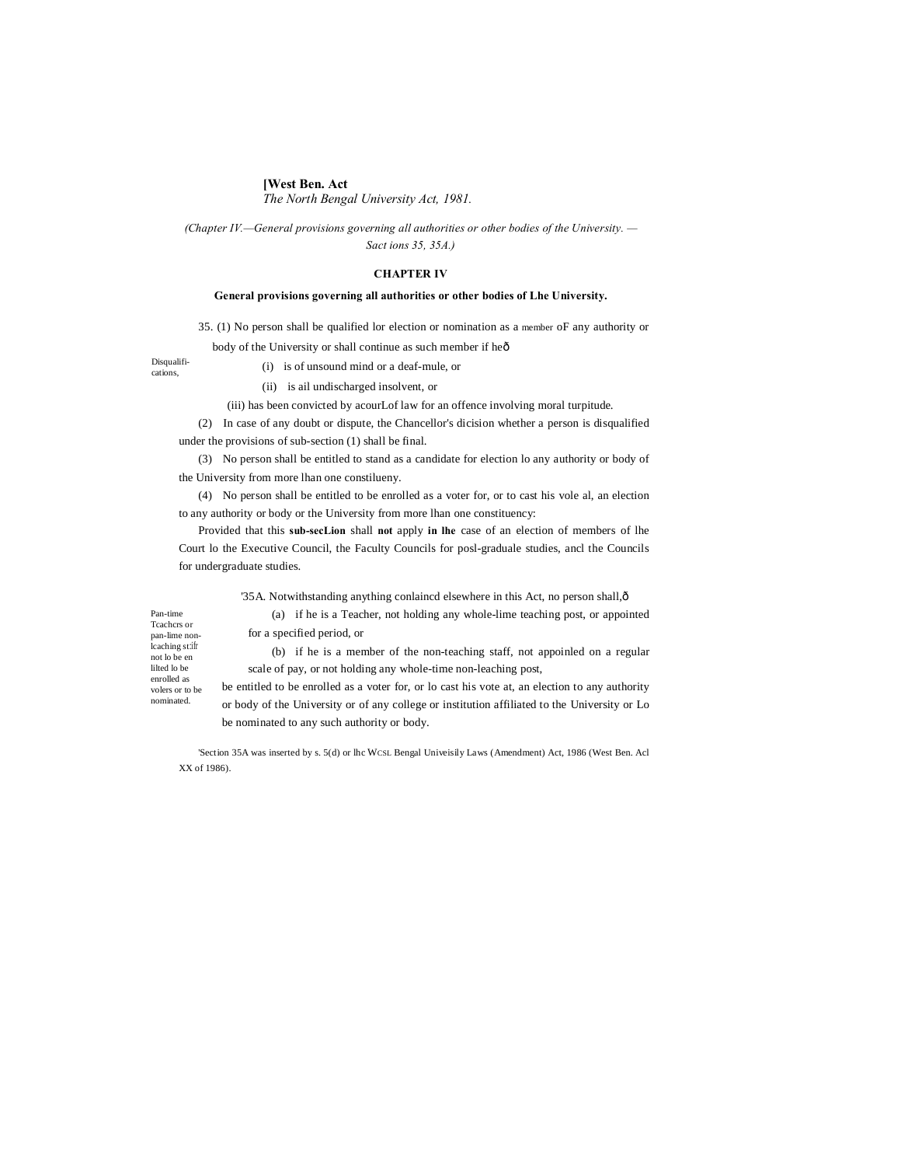# **[West Ben. Act**

for a specified period, or

*The North Bengal University Act, 1981.*

*(Chapter IV.—General provisions governing all authorities or other bodies of the University. — Sact ions 35, 35A.)*

#### **CHAPTER IV**

#### **General provisions governing all authorities or other bodies of Lhe University.**

35. (1) No person shall be qualified lor election or nomination as a member oF any authority or

body of the University or shall continue as such member if heô

Disqualifications,

- (i) is of unsound mind or a deaf-mule, or
- (ii) is ail undischarged insolvent, or

(iii) has been convicted by acourLof law for an offence involving moral turpitude.

(2) In case of any doubt or dispute, the Chancellor's dicision whether a person is disqualified under the provisions of sub-section (1) shall be final.

(3) No person shall be entitled to stand as a candidate for election lo any authority or body of the University from more lhan one constilueny.

(4) No person shall be entitled to be enrolled as a voter for, or to cast his vole al, an election to any authority or body or the University from more lhan one constituency:

Provided that this **sub-secLion** shall **not** apply **in lhe** case of an election of members of lhe Court lo the Executive Council, the Faculty Councils for posl-graduale studies, ancl the Councils for undergraduate studies.

'35A. Notwithstanding anything conlaincd elsewhere in this Act, no person shall, $\hat{o}$ 

| Pan-time           |
|--------------------|
| <b>Teachers</b> or |
| pan-lime non-      |
| lcaching st:ifr    |
| not lo be en       |
| lilted lo be       |
| enrolled as        |
| volers or to be    |
| nominated.         |
|                    |

(b) if he is a member of the non-teaching staff, not appoinled on a regular scale of pay, or not holding any whole-time non-leaching post,

(a) if he is a Teacher, not holding any whole-lime teaching post, or appointed

be entitled to be enrolled as a voter for, or lo cast his vote at, an election to any authority or body of the University or of any college or institution affiliated to the University or Lo be nominated to any such authority or body.

'Section 35A was inserted by s. 5(d) or lhc WCSL Bengal Univeisily Laws (Amendment) Act, 1986 (West Ben. Acl XX of 1986).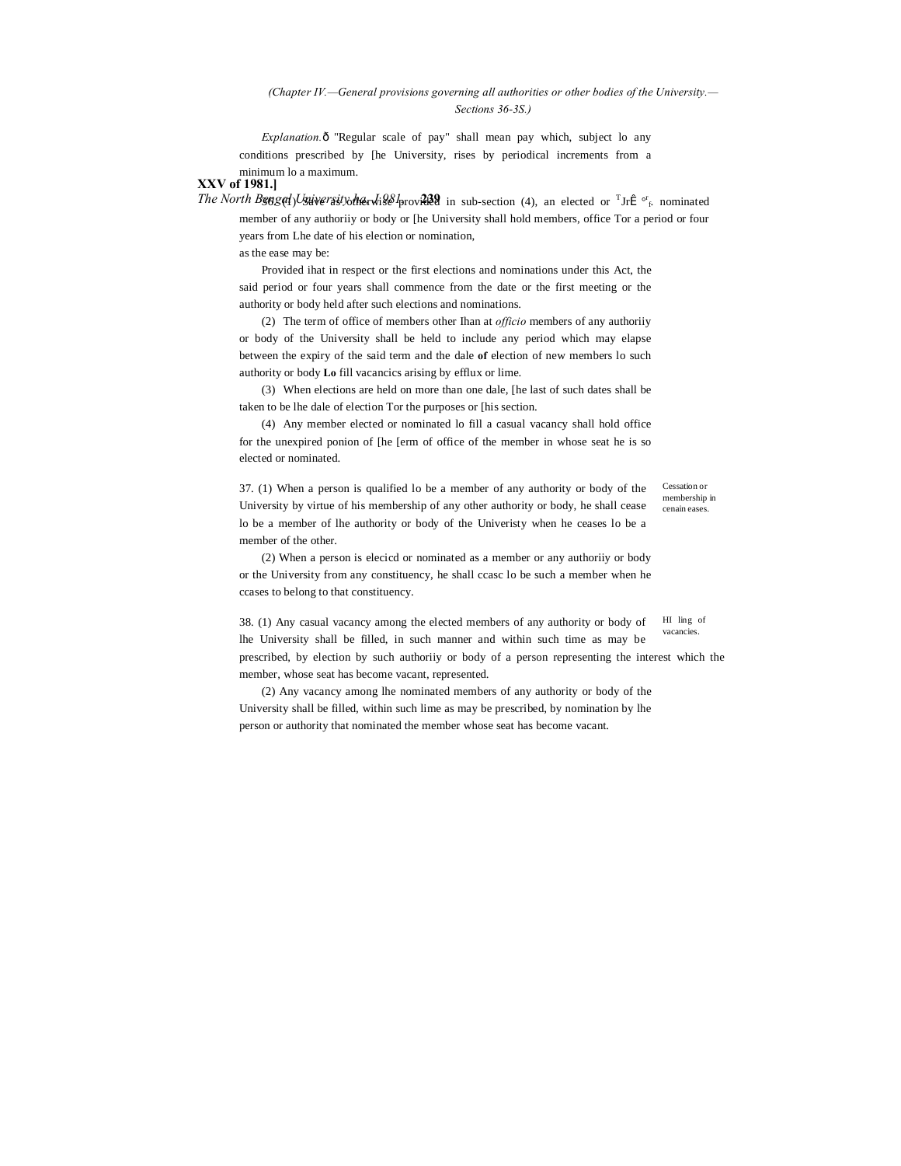### *(Chapter IV.—General provisions governing all authorities or other bodies of the University.— Sections 36-3S.)*

*Explanation.* ô "Regular scale of pay" shall mean pay which, subject lo any conditions prescribed by [he University, rises by periodical increments from a minimum lo a maximum.

**XXV of 1981.]**

*The North Bengal University the will seperimed in sub-section (4), an elected or* <sup>T</sup>Jri<sup>2</sup>  $\sigma_f$  nominated member of any authoriiy or body or [he University shall hold members, office Tor a period or four years from Lhe date of his election or nomination,

as the ease may be:

Provided ihat in respect or the first elections and nominations under this Act, the said period or four years shall commence from the date or the first meeting or the authority or body held after such elections and nominations.

(2) The term of office of members other Ihan at *officio* members of any authoriiy or body of the University shall be held to include any period which may elapse between the expiry of the said term and the dale **of** election of new members lo such authority or body **Lo** fill vacancics arising by efflux or lime.

(3) When elections are held on more than one dale, [he last of such dates shall be taken to be lhe dale of election Tor the purposes or [his section.

(4) Any member elected or nominated lo fill a casual vacancy shall hold office for the unexpired ponion of [he [erm of office of the member in whose seat he is so elected or nominated.

37. (1) When a person is qualified lo be a member of any authority or body of the University by virtue of his membership of any other authority or body, he shall cease lo be a member of lhe authority or body of the Univeristy when he ceases lo be a member of the other.

Cessation or membership in cenain eases.

(2) When a person is elecicd or nominated as a member or any authoriiy or body or the University from any constituency, he shall ccasc lo be such a member when he ccases to belong to that constituency.

HI ling of vacancies. 38. (1) Any casual vacancy among the elected members of any authority or body of lhe University shall be filled, in such manner and within such time as may be

prescribed, by election by such authoriiy or body of a person representing the interest which the member, whose seat has become vacant, represented.

(2) Any vacancy among lhe nominated members of any authority or body of the University shall be filled, within such lime as may be prescribed, by nomination by lhe person or authority that nominated the member whose seat has become vacant.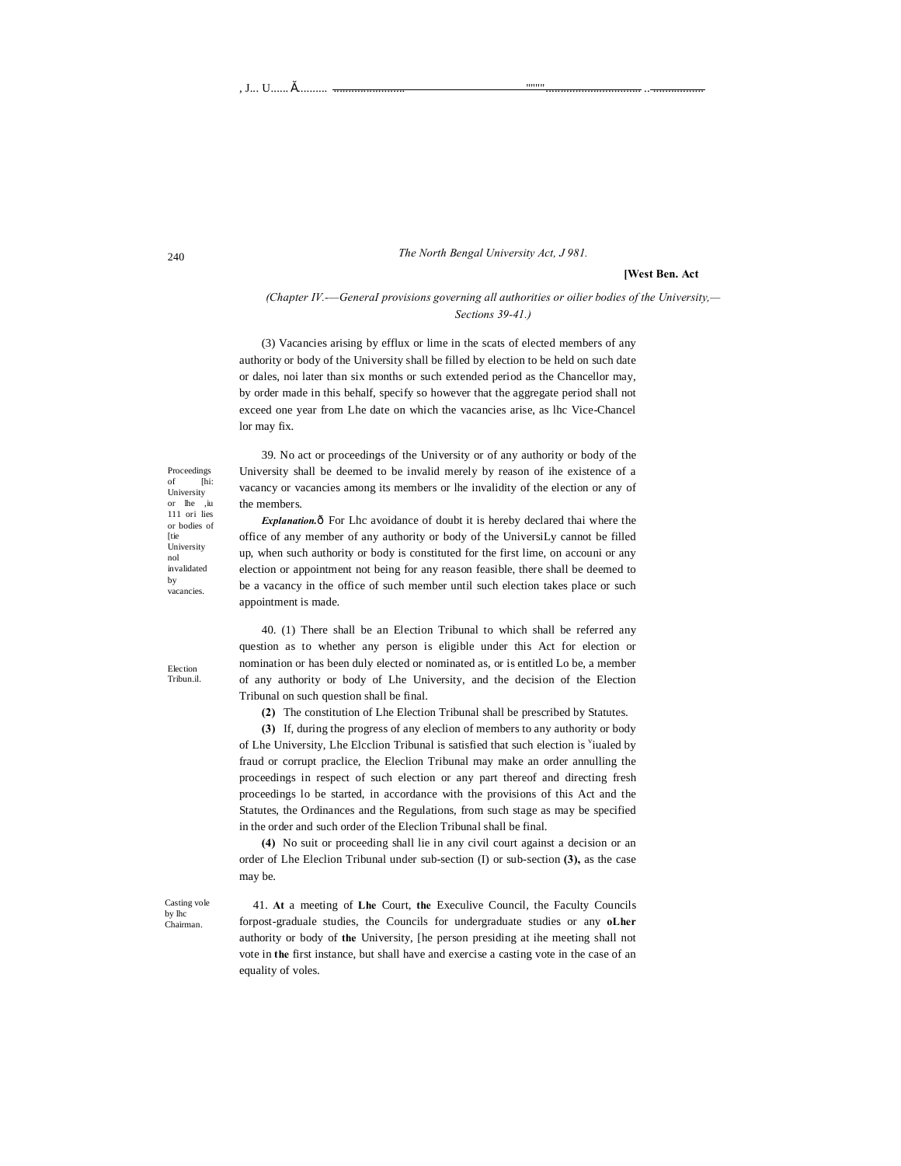#### *The North Bengal University Act, J 981.*

# **[West Ben. Act**

*(Chapter IV.-—GeneraI provisions governing all authorities or oilier bodies of the University,— Sections 39-41.)*

(3) Vacancies arising by efflux or lime in the scats of elected members of any authority or body of the University shall be filled by election to be held on such date or dales, noi later than six months or such extended period as the Chancellor may, by order made in this behalf, specify so however that the aggregate period shall not exceed one year from Lhe date on which the vacancies arise, as lhc Vice-Chancel lor may fix.

39. No act or proceedings of the University or of any authority or body of the University shall be deemed to be invalid merely by reason of ihe existence of a vacancy or vacancies among its members or lhe invalidity of the election or any of the members.

**Explanation.** $\hat{\text{o}}$  For Lhc avoidance of doubt it is hereby declared thai where the office of any member of any authority or body of the UniversiLy cannot be filled up, when such authority or body is constituted for the first lime, on accouni or any election or appointment not being for any reason feasible, there shall be deemed to be a vacancy in the office of such member until such election takes place or such appointment is made.

40. (1) There shall be an Election Tribunal to which shall be referred any question as to whether any person is eligible under this Act for election or nomination or has been duly elected or nominated as, or is entitled Lo be, a member of any authority or body of Lhe University, and the decision of the Election Tribunal on such question shall be final.

**(2)** The constitution of Lhe Election Tribunal shall be prescribed by Statutes.

**(3)** If, during the progress of any eleclion of members to any authority or body of Lhe University, Lhe Elcclion Tribunal is satisfied that such election is <sup>v</sup>iualed by fraud or corrupt praclice, the Eleclion Tribunal may make an order annulling the proceedings in respect of such election or any part thereof and directing fresh proceedings lo be started, in accordance with the provisions of this Act and the Statutes, the Ordinances and the Regulations, from such stage as may be specified in the order and such order of the Eleclion Tribunal shall be final.

**(4)** No suit or proceeding shall lie in any civil court against a decision or an order of Lhe Eleclion Tribunal under sub-section (I) or sub-section **(3),** as the case may be.

Casting vole by lhc Chairman.

41. **At** a meeting of **Lhe** Court, **the** Execulive Council, the Faculty Councils forpost-graduale studies, the Councils for undergraduate studies or any **oLher** authority or body of **the** University, [he person presiding at ihe meeting shall not vote in **the** first instance, but shall have and exercise a casting vote in the case of an equality of voles.

Proceedings [hi: University or lhe ,iu 111 ori lies or bodies of [tie University nol invalidated by vacancies.

Election Tribun.il.

240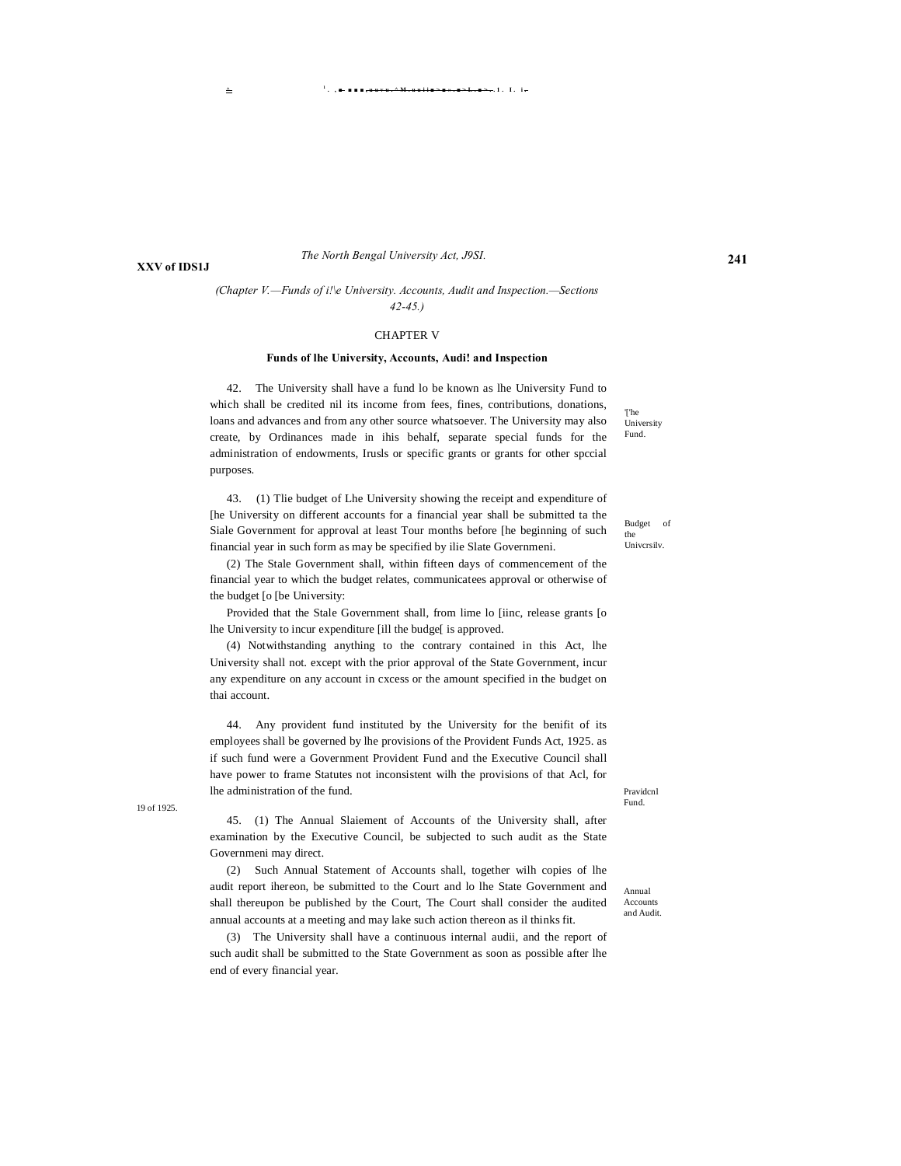**XXV of IDS1J**

#### *The North Bengal University Act, J9SI.*

# *(Chapter V.—Funds of i!\e University. Accounts, Audit and Inspection.—Sections 42-45.)*

#### CHAPTER V

#### **Funds of lhe University, Accounts, Audi! and Inspection**

42. The University shall have a fund lo be known as lhe University Fund to which shall be credited nil its income from fees, fines, contributions, donations, loans and advances and from any other source whatsoever. The University may also create, by Ordinances made in ihis behalf, separate special funds for the administration of endowments, Irusls or specific grants or grants for other spccial purposes.

43. (1) Tlie budget of Lhe University showing the receipt and expenditure of [he University on different accounts for a financial year shall be submitted ta the Siale Government for approval at least Tour months before [he beginning of such financial year in such form as may be specified by ilie Slate Governmeni.

(2) The Stale Government shall, within fifteen days of commencement of the financial year to which the budget relates, communicatees approval or otherwise of the budget [o [be University:

Provided that the Stale Government shall, from lime lo [iinc, release grants [o lhe University to incur expenditure [ill the budge[ is approved.

(4) Notwithstanding anything to the contrary contained in this Act, lhe University shall not. except with the prior approval of the State Government, incur any expenditure on any account in cxcess or the amount specified in the budget on thai account.

44. Any provident fund instituted by the University for the benifit of its employees shall be governed by lhe provisions of the Provident Funds Act, 1925. as if such fund were a Government Provident Fund and the Executive Council shall have power to frame Statutes not inconsistent wilh the provisions of that Acl, for lhe administration of the fund.

Fund. 19 of 1925.

45. (1) The Annual Slaiement of Accounts of the University shall, after examination by the Executive Council, be subjected to such audit as the State Governmeni may direct.

(2) Such Annual Statement of Accounts shall, together wilh copies of lhe audit report ihereon, be submitted to the Court and lo lhe State Government and shall thereupon be published by the Court, The Court shall consider the audited annual accounts at a meeting and may lake such action thereon as il thinks fit.

(3) The University shall have a continuous internal audii, and the report of such audit shall be submitted to the State Government as soon as possible after lhe end of every financial year.

'['he University Fund.

Budget of the Univcrsilv.

Pravidcnl

Annual Accounts and Audit.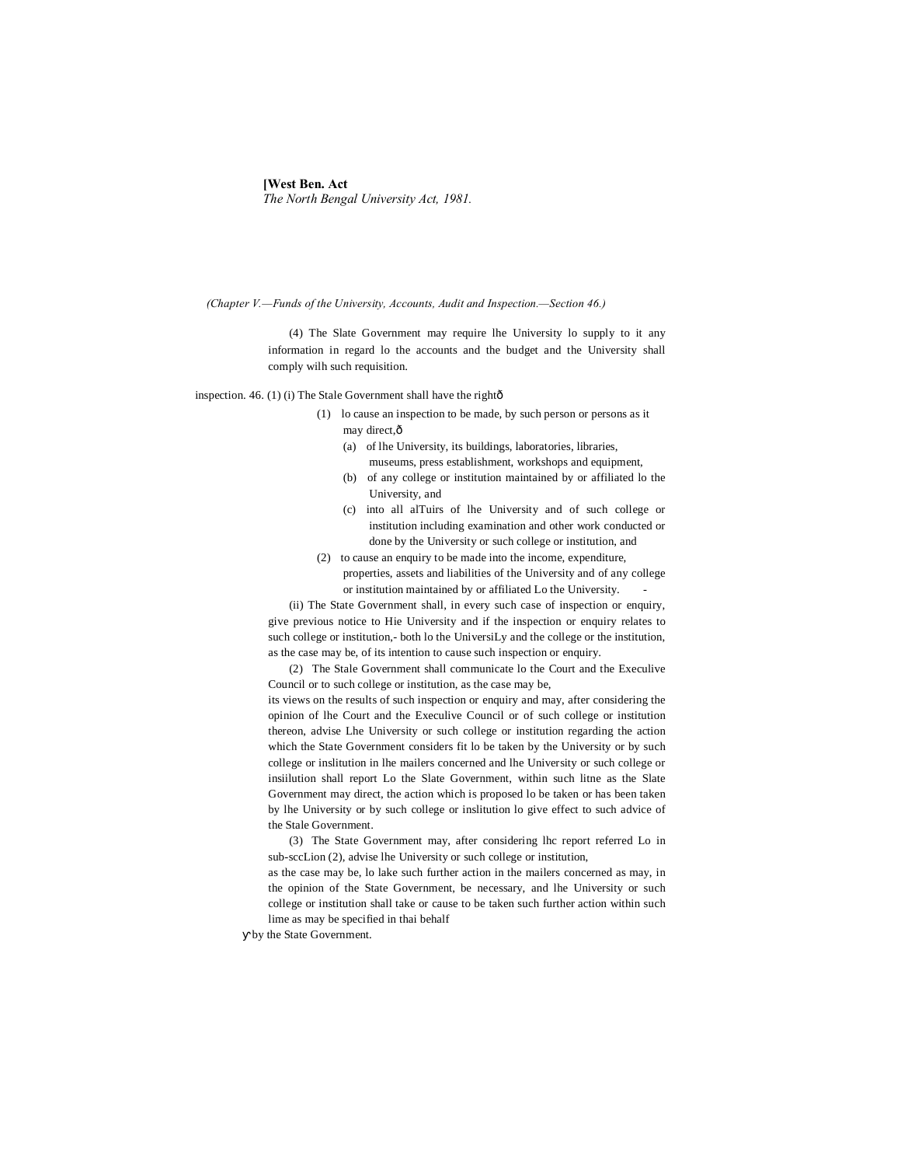# **[West Ben. Act** *The North Bengal University Act, 1981.*

*(Chapter V.—Funds of the University, Accounts, Audit and Inspection.—Section 46.)*

(4) The Slate Government may require lhe University lo supply to it any information in regard lo the accounts and the budget and the University shall comply wilh such requisition.

inspection. 46. (1) (i) The Stale Government shall have the rightô

- (1) lo cause an inspection to be made, by such person or persons as it may direct, $\hat{o}$ 
	- (a) of lhe University, its buildings, laboratories, libraries, museums, press establishment, workshops and equipment,
	- (b) of any college or institution maintained by or affiliated lo the University, and
	- (c) into all alTuirs of lhe University and of such college or institution including examination and other work conducted or done by the University or such college or institution, and
- (2) to cause an enquiry to be made into the income, expenditure, properties, assets and liabilities of the University and of any college or institution maintained by or affiliated Lo the University.

(ii) The State Government shall, in every such case of inspection or enquiry, give previous notice to Hie University and if the inspection or enquiry relates to such college or institution,- both lo the UniversiLy and the college or the institution, as the case may be, of its intention to cause such inspection or enquiry.

(2) The Stale Government shall communicate lo the Court and the Execulive Council or to such college or institution, as the case may be,

its views on the results of such inspection or enquiry and may, after considering the opinion of lhe Court and the Execulive Council or of such college or institution thereon, advise Lhe University or such college or institution regarding the action which the State Government considers fit lo be taken by the University or by such college or inslitution in lhe mailers concerned and lhe University or such college or insiilution shall report Lo the Slate Government, within such litne as the Slate Government may direct, the action which is proposed lo be taken or has been taken by lhe University or by such college or inslitution lo give effect to such advice of the Stale Government.

(3) The State Government may, after considering lhc report referred Lo in sub-sccLion (2), advise lhe University or such college or institution,

as the case may be, lo lake such further action in the mailers concerned as may, in the opinion of the State Government, be necessary, and lhe University or such college or institution shall take or cause to be taken such further action within such lime as may be specified in thai behalf

by the State Government.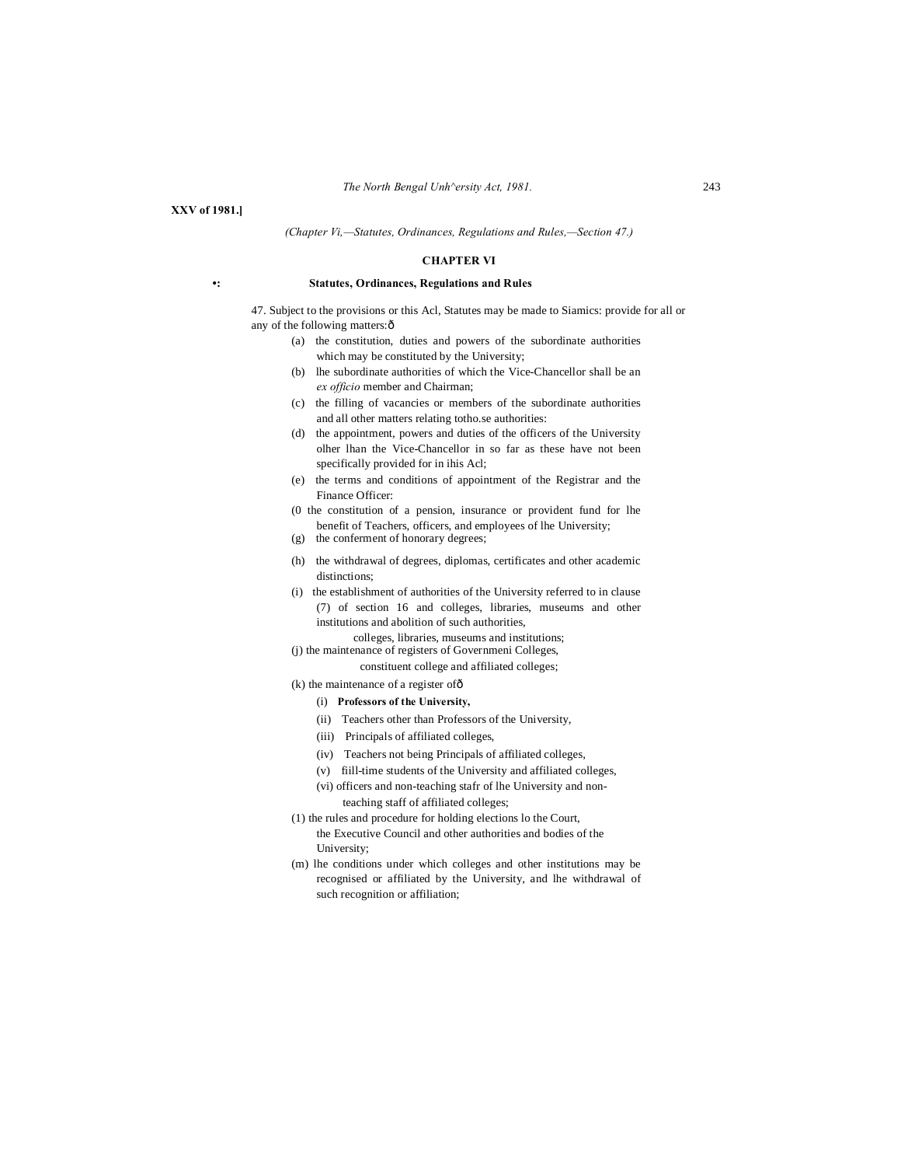**XXV of 1981.]**

#### *(Chapter Vi,—Statutes, Ordinances, Regulations and Rules,—Section 47.)*

#### **CHAPTER VI**

#### **•: Statutes, Ordinances, Regulations and Rules**

47. Subject to the provisions or this Acl, Statutes may be made to Siamics: provide for all or any of the following matters: ô

- (a) the constitution, duties and powers of the subordinate authorities which may be constituted by the University;
- (b) lhe subordinate authorities of which the Vice-Chancellor shall be an *ex officio* member and Chairman;
- (c) the filling of vacancies or members of the subordinate authorities and all other matters relating totho.se authorities:
- (d) the appointment, powers and duties of the officers of the University olher lhan the Vice-Chancellor in so far as these have not been specifically provided for in ihis Acl;
- (e) the terms and conditions of appointment of the Registrar and the Finance Officer:
- (0 the constitution of a pension, insurance or provident fund for lhe benefit of Teachers, officers, and employees of lhe University;
- (g) the conferment of honorary degrees;
- (h) the withdrawal of degrees, diplomas, certificates and other academic distinctions:
- (i) the establishment of authorities of the University referred to in clause (7) of section 16 and colleges, libraries, museums and other institutions and abolition of such authorities,
- colleges, libraries, museums and institutions; (j) the maintenance of registers of Governmeni Colleges,
	- constituent college and affiliated colleges;
- $(k)$  the maintenance of a register of  $\hat{0}$ 
	- (i) **Professors of the University,**
	- (ii) Teachers other than Professors of the University,
	- (iii) Principals of affiliated colleges,
	- (iv) Teachers not being Principals of affiliated colleges,
	- (v) fiill-time students of the University and affiliated colleges,
	- (vi) officers and non-teaching stafr of lhe University and nonteaching staff of affiliated colleges;
- (1) the rules and procedure for holding elections lo the Court, the Executive Council and other authorities and bodies of the University;
- (m) lhe conditions under which colleges and other institutions may be recognised or affiliated by the University, and lhe withdrawal of such recognition or affiliation;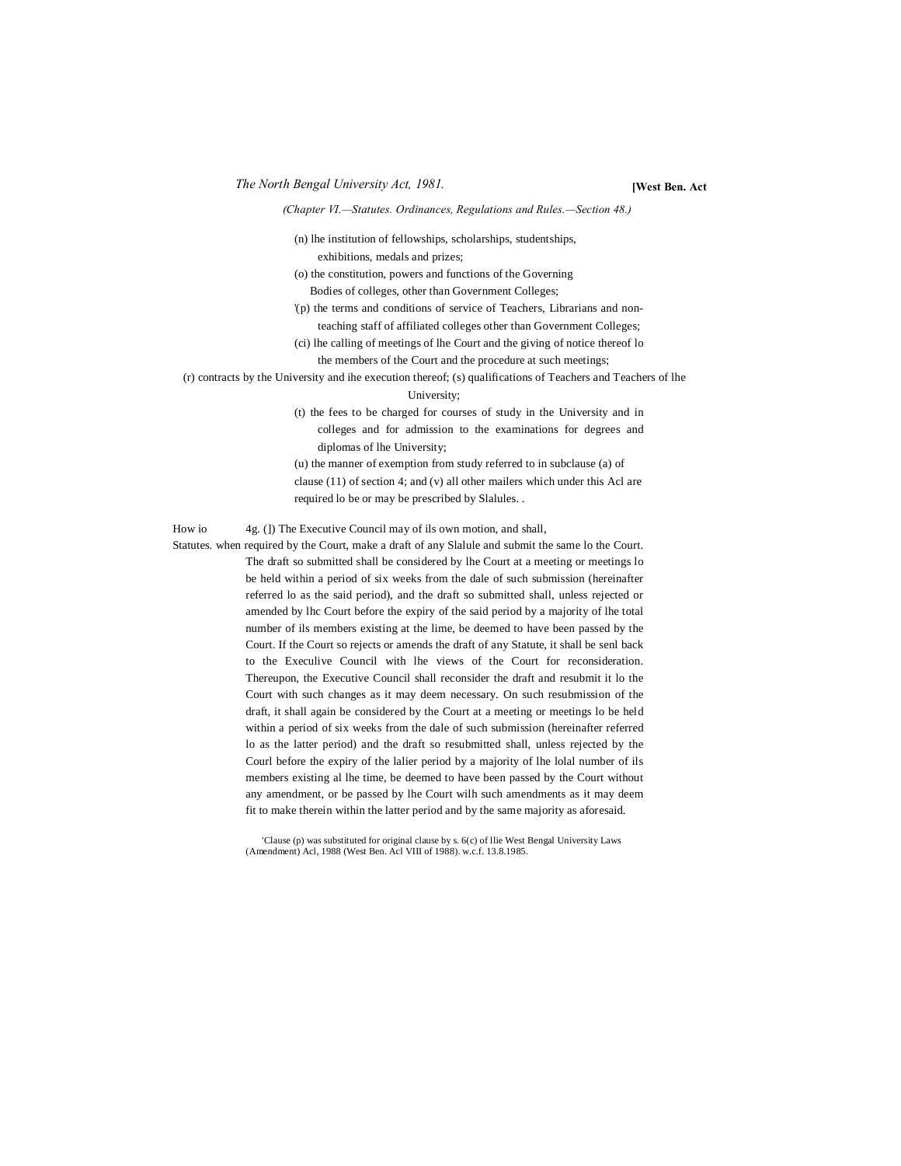*The North Bengal University Act, 1981.* **[West Ben. Act**

*(Chapter VI.—Statutes. Ordinances, Regulations and Rules.—Section 48.)*

(n) lhe institution of fellowships, scholarships, studentships, exhibitions, medals and prizes;

(o) the constitution, powers and functions of the Governing Bodies of colleges, other than Government Colleges;

'(p) the terms and conditions of service of Teachers, Librarians and nonteaching staff of affiliated colleges other than Government Colleges;

(ci) lhe calling of meetings of lhe Court and the giving of notice thereof lo the members of the Court and the procedure at such meetings;

(r) contracts by the University and ihe execution thereof; (s) qualifications of Teachers and Teachers of lhe University;

> (t) the fees to be charged for courses of study in the University and in colleges and for admission to the examinations for degrees and diplomas of lhe University;

> (u) the manner of exemption from study referred to in subclause (a) of clause (11) of section 4; and (v) all other mailers which under this Acl are required lo be or may be prescribed by Slalules. .

How io 4g. (1) The Executive Council may of ils own motion, and shall,

Statutes. when required by the Court, make a draft of any Slalule and submit the same lo the Court. The draft so submitted shall be considered by lhe Court at a meeting or meetings lo be held within a period of six weeks from the dale of such submission (hereinafter referred lo as the said period), and the draft so submitted shall, unless rejected or amended by lhc Court before the expiry of the said period by a majority of lhe total number of ils members existing at the lime, be deemed to have been passed by the Court. If the Court so rejects or amends the draft of any Statute, it shall be senl back to the Execulive Council with lhe views of the Court for reconsideration. Thereupon, the Executive Council shall reconsider the draft and resubmit it lo the Court with such changes as it may deem necessary. On such resubmission of the draft, it shall again be considered by the Court at a meeting or meetings lo be held within a period of six weeks from the dale of such submission (hereinafter referred lo as the latter period) and the draft so resubmitted shall, unless rejected by the Courl before the expiry of the lalier period by a majority of lhe lolal number of ils members existing al lhe time, be deemed to have been passed by the Court without any amendment, or be passed by lhe Court wilh such amendments as it may deem fit to make therein within the latter period and by the same majority as aforesaid.

> 'Clause (p) was substituted for original clause by s. 6(c) of llie West Bengal University Laws (Amendment) Acl, 1988 (West Ben. Acl VIII of 1988). w.c.f. 13.8.1985.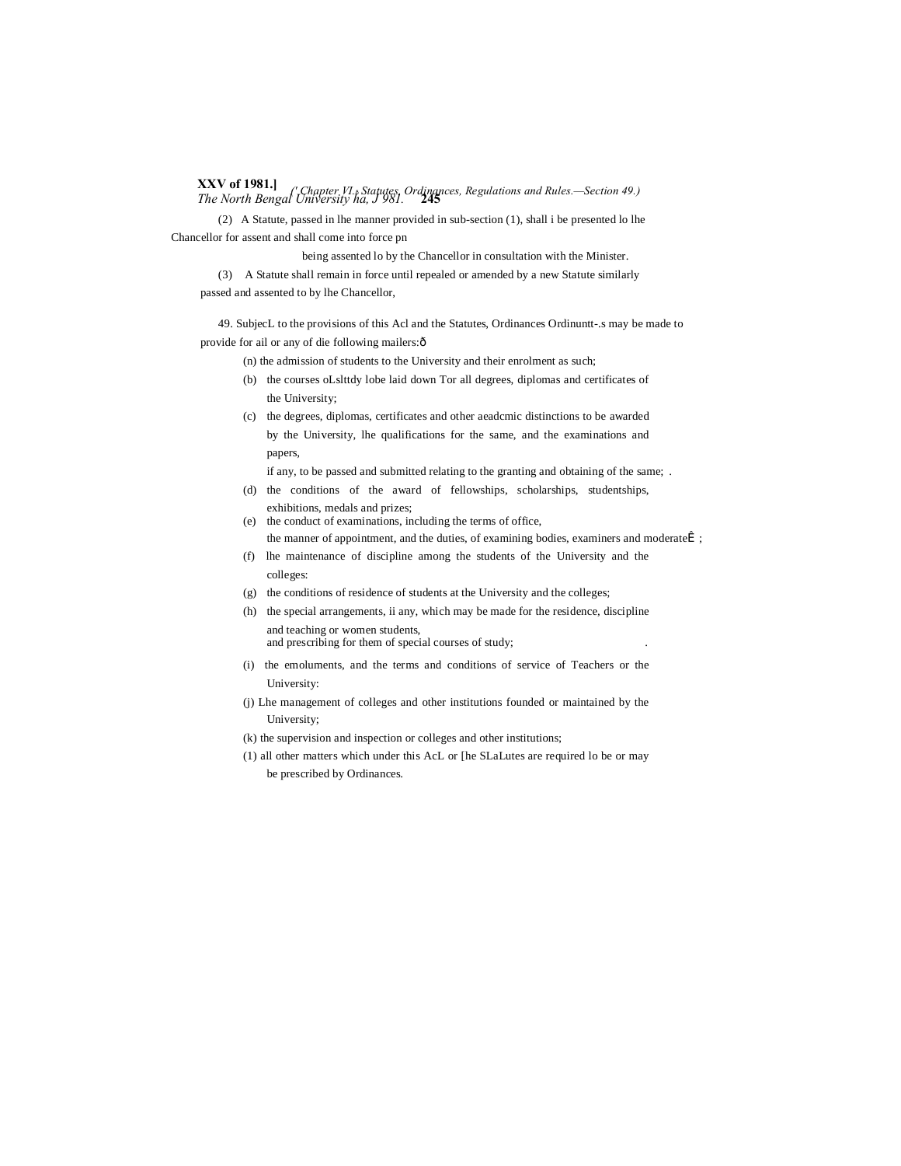**XXV of 1981.]** *The North Bengal University ha, J 981.* **<sup>245</sup>** *(' Chapter VI.*—*Statutes, Ordinances, Regulations and Rules.—Section 49.)*

(2) A Statute, passed in lhe manner provided in sub-section (1), shall i be presented lo lhe Chancellor for assent and shall come into force pn

being assented lo by the Chancellor in consultation with the Minister.

(3) A Statute shall remain in force until repealed or amended by a new Statute similarly passed and assented to by lhe Chancellor,

49. SubjecL to the provisions of this Acl and the Statutes, Ordinances Ordinuntt-.s may be made to provide for ail or any of die following mailers: ô

- (n) the admission of students to the University and their enrolment as such;
- (b) the courses oLslttdy lobe laid down Tor all degrees, diplomas and certificates of the University;
- (c) the degrees, diplomas, certificates and other aeadcmic distinctions to be awarded by the University, lhe qualifications for the same, and the examinations and papers,

if any, to be passed and submitted relating to the granting and obtaining of the same; .

- (d) the conditions of the award of fellowships, scholarships, studentships, exhibitions, medals and prizes;
- (e) the conduct of examinations, including the terms of office, the manner of appointment, and the duties, of examining bodies, examiners and moderatel ;
- (f) lhe maintenance of discipline among the students of the University and the colleges:
- (g) the conditions of residence of students at the University and the colleges;
- (h) the special arrangements, ii any, which may be made for the residence, discipline and teaching or women students,

and prescribing for them of special courses of study;

- (i) the emoluments, and the terms and conditions of service of Teachers or the University:
- (j) Lhe management of colleges and other institutions founded or maintained by the University;
- (k) the supervision and inspection or colleges and other institutions;
- (1) all other matters which under this AcL or [he SLaLutes are required lo be or may be prescribed by Ordinances.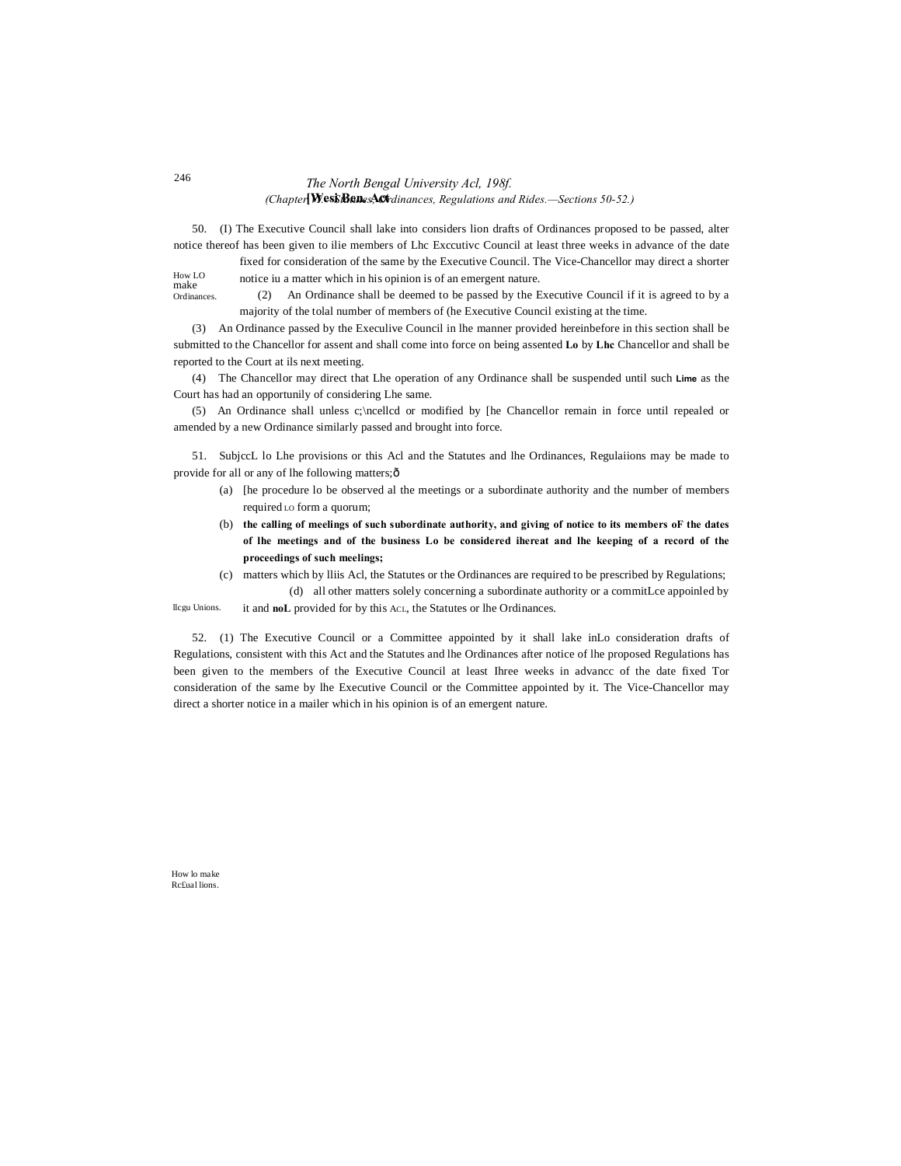# *The North Bengal University Acl, 198f.* **[Wesi Ben. Act** *(Chapter VI.—Statutes, Ordinances, Regulations and Rides.—Sections 50-52.)*

50. (I) The Executive Council shall lake into considers lion drafts of Ordinances proposed to be passed, alter notice thereof has been given to ilie members of Lhc Exccutivc Council at least three weeks in advance of the date

How LO make fixed for consideration of the same by the Executive Council. The Vice-Chancellor may direct a shorter notice iu a matter which in his opinion is of an emergent nature.

Ordinances.

(2) An Ordinance shall be deemed to be passed by the Executive Council if it is agreed to by a majority of the tolal number of members of (he Executive Council existing at the time.

(3) An Ordinance passed by the Execulive Council in lhe manner provided hereinbefore in this section shall be submitted to the Chancellor for assent and shall come into force on being assented **Lo** by **Lhc** Chancellor and shall be reported to the Court at ils next meeting.

(4) The Chancellor may direct that Lhe operation of any Ordinance shall be suspended until such **Lime** as the Court has had an opportunily of considering Lhe same.

(5) An Ordinance shall unless c;\ncellcd or modified by [he Chancellor remain in force until repealed or amended by a new Ordinance similarly passed and brought into force.

51. SubjccL lo Lhe provisions or this Acl and the Statutes and lhe Ordinances, Regulaiions may be made to provide for all or any of lhe following matters; $\hat{o}$ 

- (a) [he procedure lo be observed al the meetings or a subordinate authority and the number of members required LO form a quorum;
- (b) **the calling of meelings of such subordinate authority, and giving of notice to its members oF the dates of lhe meetings and of the business Lo be considered ihereat and lhe keeping of a record of the proceedings of such meelings;**
- (c) matters which by lliis Acl, the Statutes or the Ordinances are required to be prescribed by Regulations; (d) all other matters solely concerning a subordinate authority or a commitLce appoinled by

llcgu Unions. it and **noL** provided for by this ACL, the Statutes or lhe Ordinances.

52. (1) The Executive Council or a Committee appointed by it shall lake inLo consideration drafts of Regulations, consistent with this Act and the Statutes and lhe Ordinances after notice of lhe proposed Regulations has been given to the members of the Executive Council at least Ihree weeks in advancc of the date fixed Tor consideration of the same by lhe Executive Council or the Committee appointed by it. The Vice-Chancellor may direct a shorter notice in a mailer which in his opinion is of an emergent nature.

How lo make Rc£ual lions.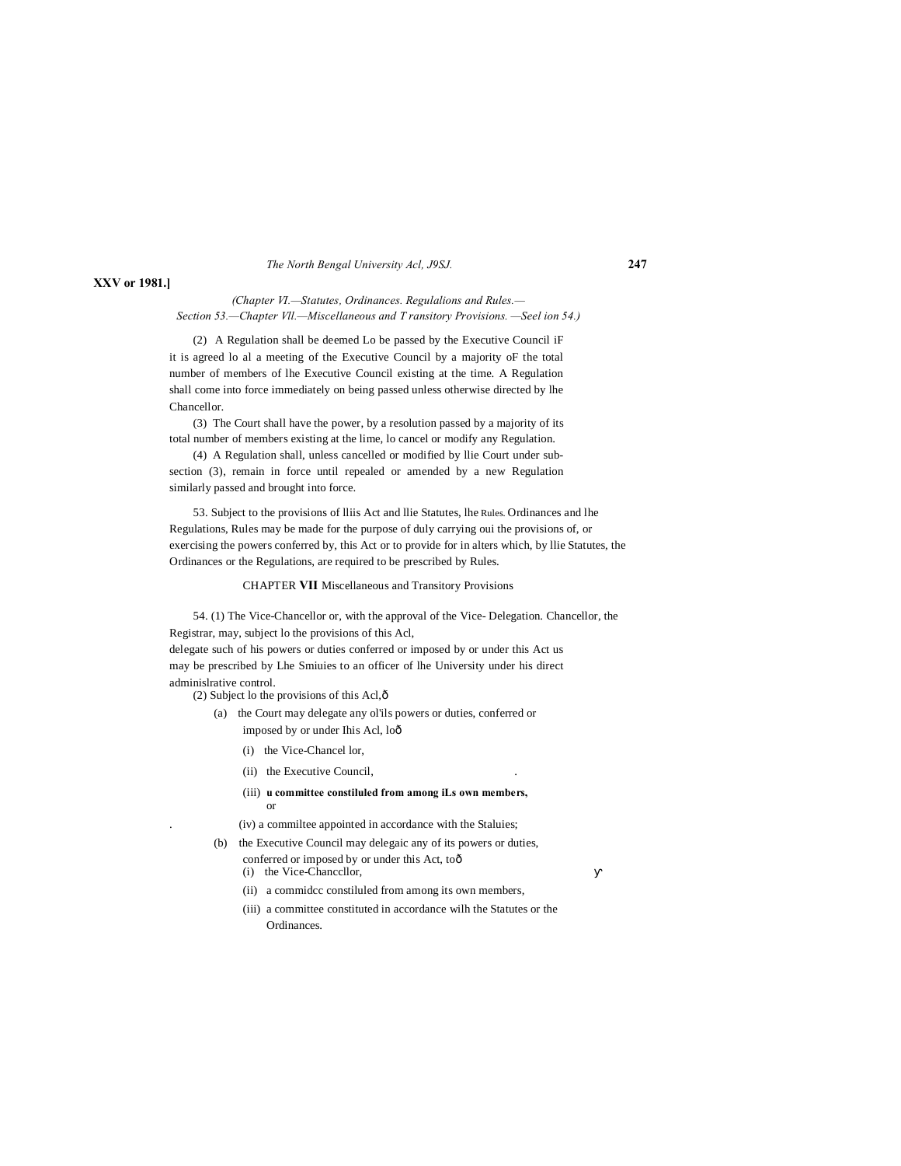#### *The North Bengal University Acl, J9SJ.* **247**

# **XXV or 1981.]**

### *(Chapter VI.—Statutes, Ordinances. Regulalions and Rules.— Section 53.—Chapter Vll.—Miscellaneous and T ransitory Provisions. —Seel ion 54.)*

(2) A Regulation shall be deemed Lo be passed by the Executive Council iF it is agreed lo al a meeting of the Executive Council by a majority oF the total number of members of lhe Executive Council existing at the time. A Regulation shall come into force immediately on being passed unless otherwise directed by lhe Chancellor.

(3) The Court shall have the power, by a resolution passed by a majority of its total number of members existing at the lime, lo cancel or modify any Regulation.

(4) A Regulation shall, unless cancelled or modified by llie Court under subsection (3), remain in force until repealed or amended by a new Regulation similarly passed and brought into force.

53. Subject to the provisions of lliis Act and llie Statutes, lhe Rules. Ordinances and lhe Regulations, Rules may be made for the purpose of duly carrying oui the provisions of, or exercising the powers conferred by, this Act or to provide for in alters which, by llie Statutes, the Ordinances or the Regulations, are required to be prescribed by Rules.

#### CHAPTER **VII** Miscellaneous and Transitory Provisions

54. (1) The Vice-Chancellor or, with the approval of the Vice- Delegation. Chancellor, the Registrar, may, subject lo the provisions of this Acl, delegate such of his powers or duties conferred or imposed by or under this Act us may be prescribed by Lhe Smiuies to an officer of lhe University under his direct

adminislrative control.

(2) Subject lo the provisions of this Acl, $\hat{\text{o}}$ 

- (a) the Court may delegate any ol'ils powers or duties, conferred or imposed by or under Ihis Acl, lo—
	- (i) the Vice-Chancel lor,
	- (ii) the Executive Council,
	- (iii) **u committee constiluled from among iLs own members,** or

. (iv) a commiltee appointed in accordance with the Staluies;

- (b) the Executive Council may delegaic any of its powers or duties, conferred or imposed by or under this Act, toô
	- (i) the Vice-Chanccllor,
	- (ii) a commidcc constiluled from among its own members,
	- (iii) a committee constituted in accordance wilh the Statutes or the Ordinances.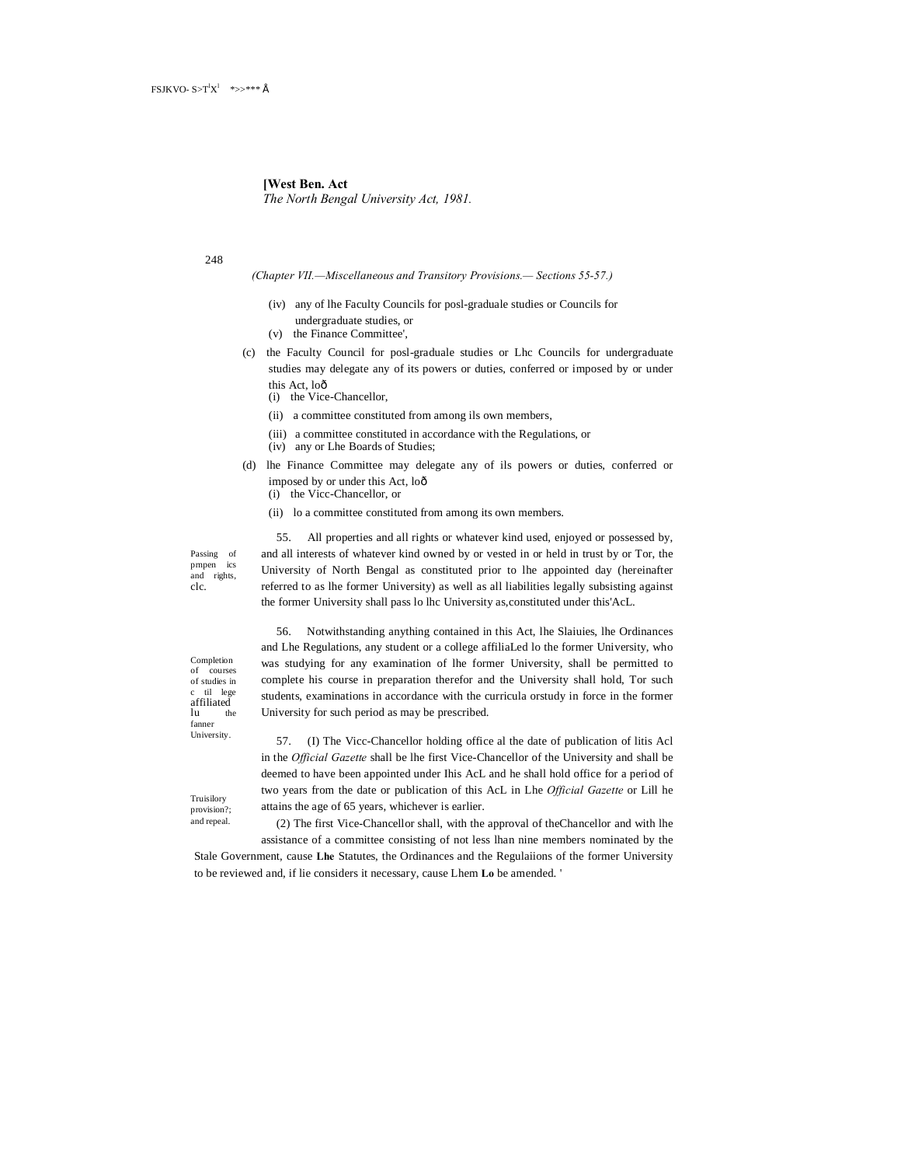**[West Ben. Act** *The North Bengal University Act, 1981.*

248

*(Chapter VII.—Miscellaneous and Transitory Provisions.— Sections 55-57.)*

- (iv) any of lhe Faculty Councils for posl-graduale studies or Councils for undergraduate studies, or
- (v) the Finance Committee',
- (c) the Faculty Council for posl-graduale studies or Lhc Councils for undergraduate studies may delegate any of its powers or duties, conferred or imposed by or under this Act, loô
	- (i) the Vice-Chancellor,
	- (ii) a committee constituted from among ils own members,
	- (iii) a committee constituted in accordance with the Regulations, or
	- (iv) any or Lhe Boards of Studies;

University for such period as may be prescribed.

- (d) lhe Finance Committee may delegate any of ils powers or duties, conferred or imposed by or under this Act, loô
	- (i) the Vicc-Chancellor, or
	- (ii) lo a committee constituted from among its own members.

Passing of prnpen ics and rights, clc.

55. All properties and all rights or whatever kind used, enjoyed or possessed by, and all interests of whatever kind owned by or vested in or held in trust by or Tor, the University of North Bengal as constituted prior to lhe appointed day (hereinafter referred to as lhe former University) as well as all liabilities legally subsisting against the former University shall pass lo lhc University as,constituted under this'AcL.

Completion of courses of studies in til lege affiliated<br>lu the  $\ln$ fanner University.

Truisilory provision?; and repeal.

56. Notwithstanding anything contained in this Act, lhe Slaiuies, lhe Ordinances and Lhe Regulations, any student or a college affiliaLed lo the former University, who was studying for any examination of lhe former University, shall be permitted to complete his course in preparation therefor and the University shall hold, Tor such students, examinations in accordance with the curricula orstudy in force in the former

57. (I) The Vicc-Chancellor holding office al the date of publication of litis Acl in the *Official Gazette* shall be lhe first Vice-Chancellor of the University and shall be deemed to have been appointed under Ihis AcL and he shall hold office for a period of two years from the date or publication of this AcL in Lhe *Official Gazette* or Lill he attains the age of 65 years, whichever is earlier.

(2) The first Vice-Chancellor shall, with the approval of theChancellor and with lhe assistance of a committee consisting of not less lhan nine members nominated by the

Stale Government, cause **Lhe** Statutes, the Ordinances and the Regulaiions of the former University to be reviewed and, if lie considers it necessary, cause Lhem **Lo** be amended. '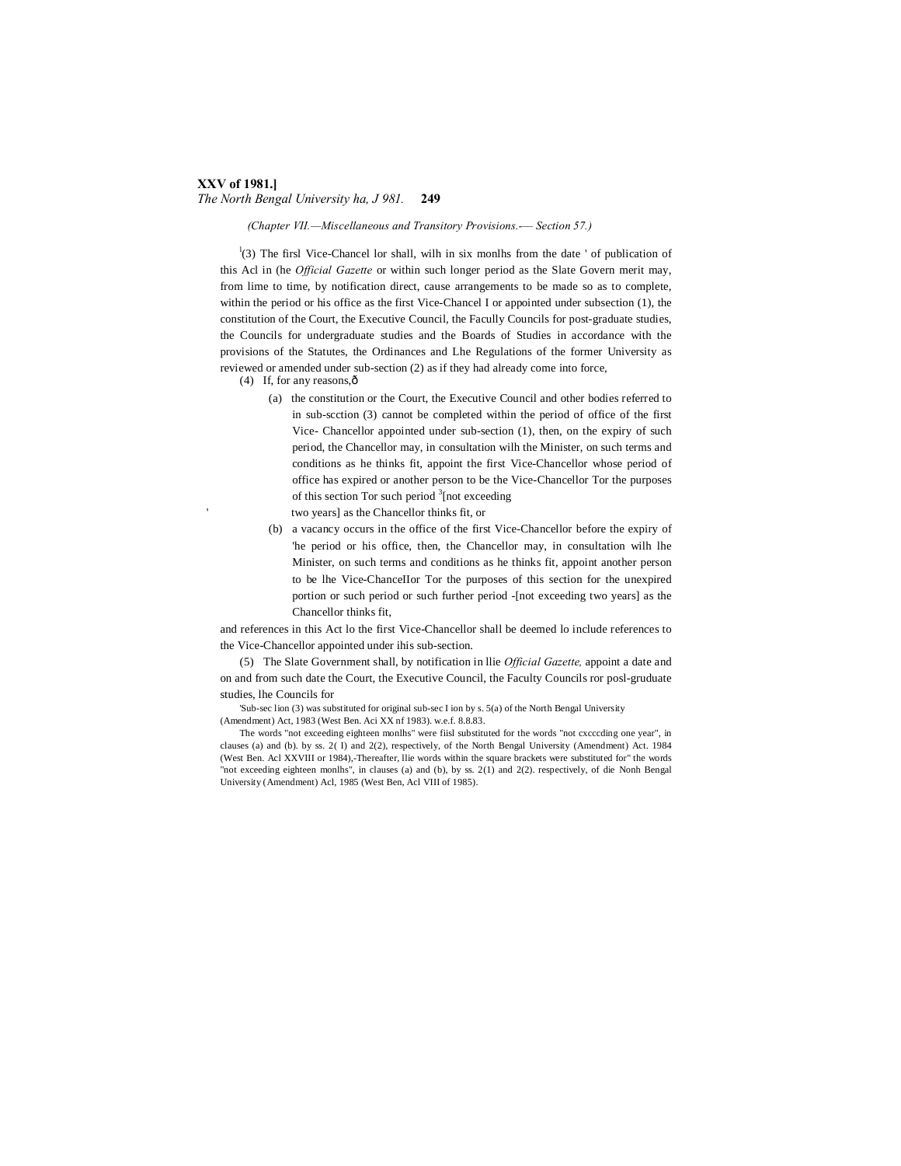#### **XXV of 1981.]** *The North Bengal University ha, J 981.* **249**

*(Chapter VII.—Miscellaneous and Transitory Provisions.-— Section 57.)*

 $\binom{1}{3}$  The firsl Vice-Chancel lor shall, wilh in six monlhs from the date ' of publication of this Acl in (he *Official Gazette* or within such longer period as the Slate Govern merit may, from lime to time, by notification direct, cause arrangements to be made so as to complete, within the period or his office as the first Vice-Chancel I or appointed under subsection (1), the constitution of the Court, the Executive Council, the Facully Councils for post-graduate studies, the Councils for undergraduate studies and the Boards of Studies in accordance with the provisions of the Statutes, the Ordinances and Lhe Regulations of the former University as reviewed or amended under sub-section (2) as if they had already come into force,

(4) If, for any reasons, $\hat{o}$ 

(a) the constitution or the Court, the Executive Council and other bodies referred to in sub-scction (3) cannot be completed within the period of office of the first Vice- Chancellor appointed under sub-section (1), then, on the expiry of such period, the Chancellor may, in consultation wilh the Minister, on such terms and conditions as he thinks fit, appoint the first Vice-Chancellor whose period of office has expired or another person to be the Vice-Chancellor Tor the purposes of this section Tor such period <sup>3</sup>[not exceeding

two years] as the Chancellor thinks fit, or

(b) a vacancy occurs in the office of the first Vice-Chancellor before the expiry of 'he period or his office, then, the Chancellor may, in consultation wilh lhe Minister, on such terms and conditions as he thinks fit, appoint another person to be lhe Vice-ChanceIIor Tor the purposes of this section for the unexpired portion or such period or such further period -[not exceeding two years] as the Chancellor thinks fit,

and references in this Act lo the first Vice-Chancellor shall be deemed lo include references to the Vice-Chancellor appointed under ihis sub-section.

(5) The Slate Government shall, by notification in llie *Official Gazette,* appoint a date and on and from such date the Court, the Executive Council, the Faculty Councils ror posl-gruduate studies, lhe Councils for

'Sub-sec lion (3) was substituted for original sub-sec I ion by s. 5(a) of the North Bengal University (Amendment) Act, 1983 (West Ben. Aci XX nf 1983). w.e.f. 8.8.83.

The words "not exceeding eighteen monlhs" were fiisl substituted for the words "not cxcccding one year", in clauses (a) and (b). by ss. 2( I) and 2(2), respectively, of the North Bengal University (Amendment) Act. 1984 (West Ben. Acl XXVIII or 1984),-Thereafter, llie words within the square brackets were substituted for" the words "not exceeding eighteen monlhs", in clauses (a) and (b), by ss. 2(1) and 2(2). respectively, of die Nonh Bengal University (Amendment) Acl, 1985 (West Ben, Acl VIII of 1985).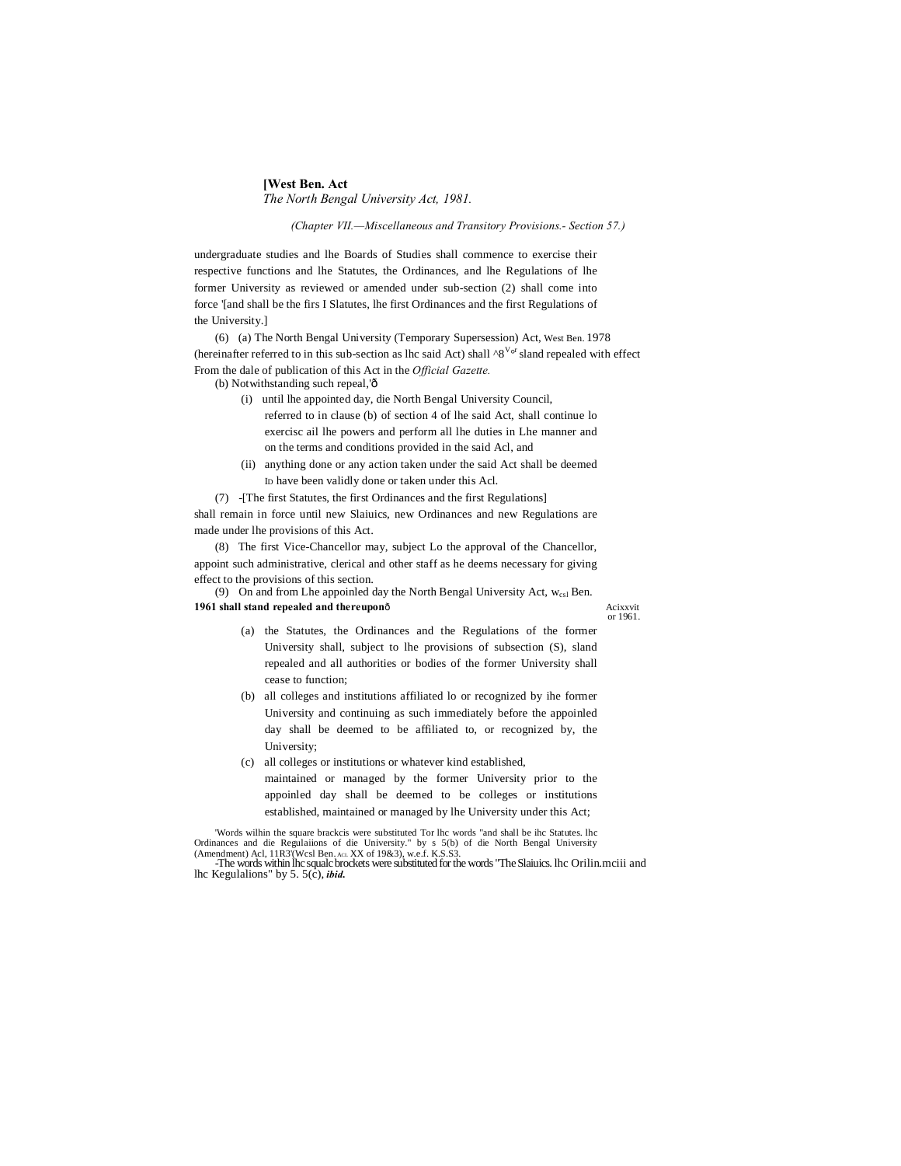# **[West Ben. Act** *The North Bengal University Act, 1981.*

*(Chapter VII.—Miscellaneous and Transitory Provisions.- Section 57.)*

undergraduate studies and lhe Boards of Studies shall commence to exercise their respective functions and lhe Statutes, the Ordinances, and lhe Regulations of lhe former University as reviewed or amended under sub-section (2) shall come into force '[and shall be the firs I Slatutes, lhe first Ordinances and the first Regulations of the University.]

(6) (a) The North Bengal University (Temporary Supersession) Act, West Ben. 1978 (hereinafter referred to in this sub-section as lhc said Act) shall  $\wedge 8^{V_{of}}$  sland repealed with effect From the dale of publication of this Act in the *Official Gazette.*

(b) Notwithstanding such repeal,'ô

- (i) until lhe appointed day, die North Bengal University Council, referred to in clause (b) of section 4 of lhe said Act, shall continue lo exercisc ail lhe powers and perform all lhe duties in Lhe manner and on the terms and conditions provided in the said Acl, and
- (ii) anything done or any action taken under the said Act shall be deemed ID have been validly done or taken under this Acl.

(7) -[The first Statutes, the first Ordinances and the first Regulations] shall remain in force until new Slaiuics, new Ordinances and new Regulations are made under lhe provisions of this Act.

(8) The first Vice-Chancellor may, subject Lo the approval of the Chancellor, appoint such administrative, clerical and other staff as he deems necessary for giving effect to the provisions of this section.

(9) On and from Lhe appoinled day the North Bengal University Act,  $w_{cs1}$  Ben. **1961 shall stand repealed and thereupon**ô **Acixxvit** 

or 1961.

- (a) the Statutes, the Ordinances and the Regulations of the former University shall, subject to lhe provisions of subsection (S), sland repealed and all authorities or bodies of the former University shall cease to function;
- (b) all colleges and institutions affiliated lo or recognized by ihe former University and continuing as such immediately before the appoinled day shall be deemed to be affiliated to, or recognized by, the University;
- (c) all colleges or institutions or whatever kind established, maintained or managed by the former University prior to the appoinled day shall be deemed to be colleges or institutions established, maintained or managed by lhe University under this Act;

'Words wilhin the square brackcis were substituted Tor lhc words "and shall be ihc Statutes. lhc Ordinances and die Regulaiions of die University." by s 5(b) of die North Bengal University (Amendment) Acl, 11R3'(Wcsl Ben. ACL XX of 19&3), w.e.f. K.S.S3.

<sup>-</sup>The words within lhc squalc brockets were substituted for the words "The Slaiuics. lhc Orilin.mciii and lhc Kegulalions" by 5. 5(c), *ibid.*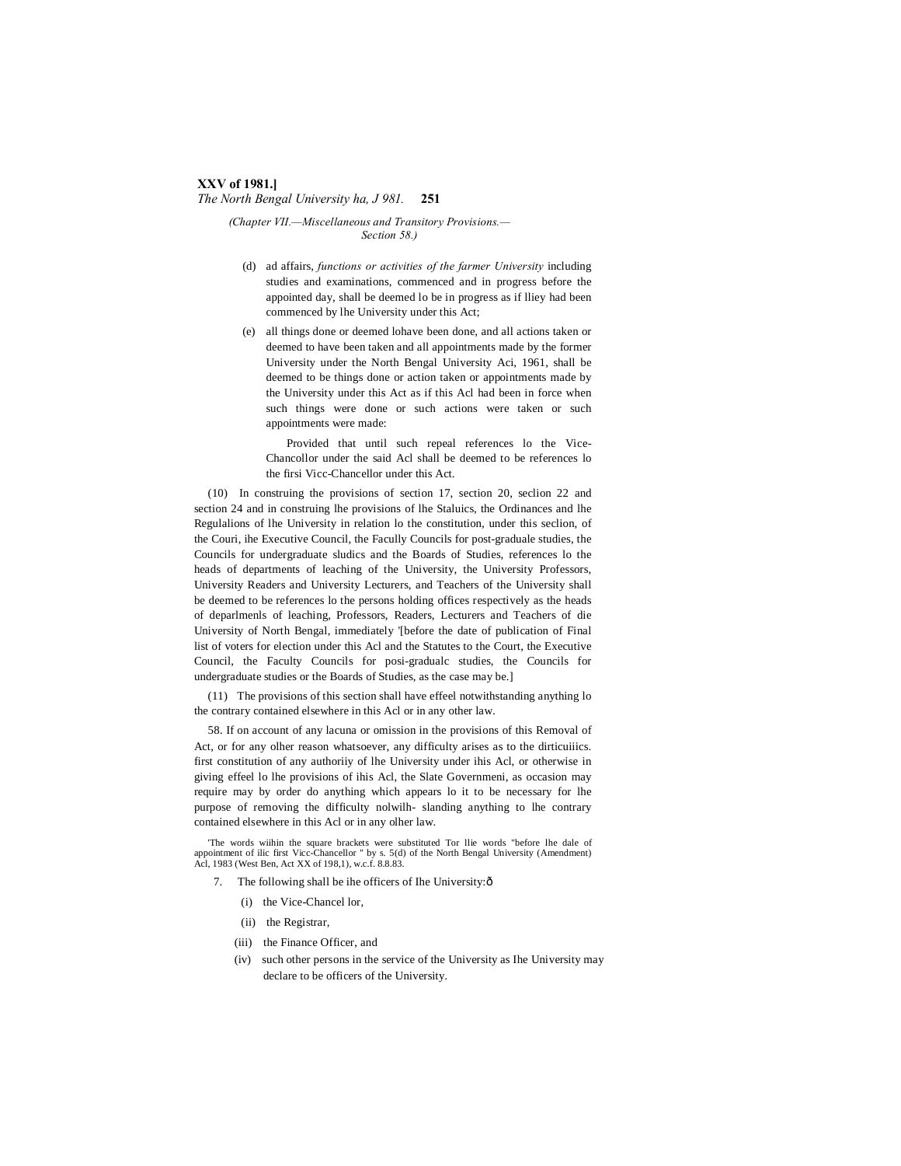#### **XXV of 1981.]** *The North Bengal University ha, J 981.* **251**

*(Chapter VII.—Miscellaneous and Transitory Provisions.— Section 58.)*

- (d) ad affairs, *functions or activities of the farmer University* including studies and examinations, commenced and in progress before the appointed day, shall be deemed lo be in progress as if lliey had been commenced by lhe University under this Act;
- (e) all things done or deemed lohave been done, and all actions taken or deemed to have been taken and all appointments made by the former University under the North Bengal University Aci, 1961, shall be deemed to be things done or action taken or appointments made by the University under this Act as if this Acl had been in force when such things were done or such actions were taken or such appointments were made:

Provided that until such repeal references lo the Vice-Chancollor under the said Acl shall be deemed to be references lo the firsi Vicc-Chancellor under this Act.

(10) In construing the provisions of section 17, section 20, seclion 22 and section 24 and in construing lhe provisions of lhe Staluics, the Ordinances and lhe Regulalions of lhe University in relation lo the constitution, under this seclion, of the Couri, ihe Executive Council, the Facully Councils for post-graduale studies, the Councils for undergraduate sludics and the Boards of Studies, references lo the heads of departments of leaching of the University, the University Professors, University Readers and University Lecturers, and Teachers of the University shall be deemed to be references lo the persons holding offices respectively as the heads of deparlmenls of leaching, Professors, Readers, Lecturers and Teachers of die University of North Bengal, immediately '[before the date of publication of Final list of voters for election under this Acl and the Statutes to the Court, the Executive Council, the Faculty Councils for posi-gradualc studies, the Councils for undergraduate studies or the Boards of Studies, as the case may be.]

(11) The provisions of this section shall have effeel notwithstanding anything lo the contrary contained elsewhere in this Acl or in any other law.

58. If on account of any lacuna or omission in the provisions of this Removal of Act, or for any olher reason whatsoever, any difficulty arises as to the dirticuiiics. first constitution of any authoriiy of lhe University under ihis Acl, or otherwise in giving effeel lo lhe provisions of ihis Acl, the Slate Governmeni, as occasion may require may by order do anything which appears lo it to be necessary for lhe purpose of removing the difficulty nolwilh- slanding anything to lhe contrary contained elsewhere in this Acl or in any olher law.

'The words wiihin the square brackets were substituted Tor llie words "before lhe dale of appointment of ilic first Vicc-Chancellor " by s. 5(d) of the North Bengal University (Amendment) Acl, 1983 (West Ben, Act XX of 198,1), w.c.f. 8.8.83.

- 7. The following shall be ihe officers of Ihe University: $\delta$ 
	- (i) the Vice-Chancel lor,
	- (ii) the Registrar,
	- (iii) the Finance Officer, and
	- (iv) such other persons in the service of the University as Ihe University may declare to be officers of the University.